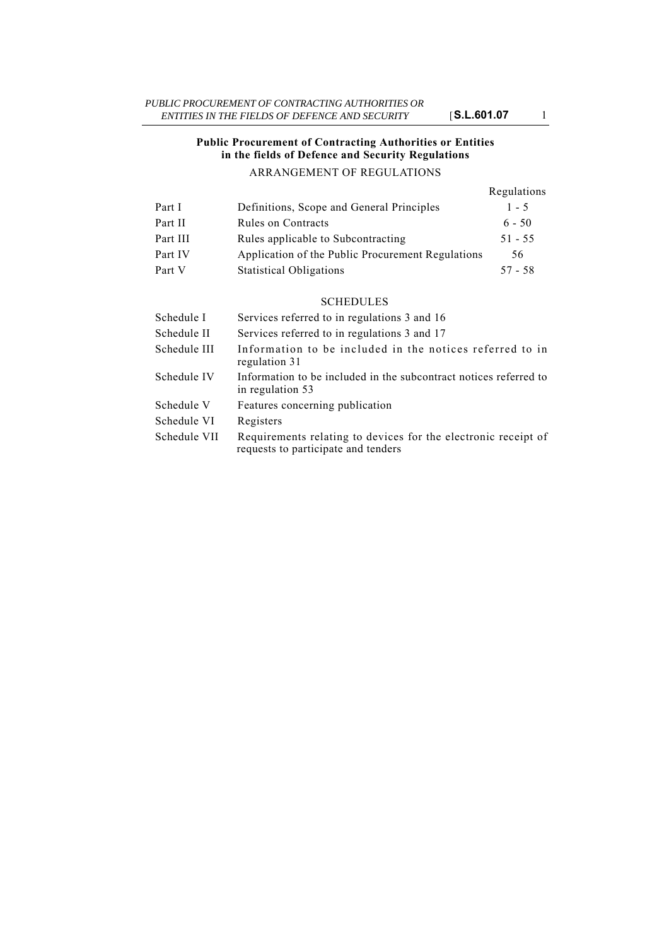## **Public Procurement of Contracting Authorities or Entities in the fields of Defence and Security Regulations** ARRANGEMENT OF REGULATIONS

#### Regulations Part I Definitions, Scope and General Principles 1 5

| Part 1   | Definitions, Scope and General Principles         | $\mathsf{I}$ - $\mathsf{I}$ |
|----------|---------------------------------------------------|-----------------------------|
| Part II  | Rules on Contracts                                | $6 - 50$                    |
| Part III | Rules applicable to Subcontracting                | $51 - 55$                   |
| Part IV  | Application of the Public Procurement Regulations | 56                          |
| Part V   | <b>Statistical Obligations</b>                    | $57 - 58$                   |

### SCHEDULES

| Schedule I   | Services referred to in regulations 3 and 16                                                          |
|--------------|-------------------------------------------------------------------------------------------------------|
| Schedule II  | Services referred to in regulations 3 and 17                                                          |
| Schedule III | Information to be included in the notices referred to in<br>regulation 31                             |
| Schedule IV  | Information to be included in the subcontract notices referred to<br>in regulation 53                 |
| Schedule V   | Features concerning publication                                                                       |
| Schedule VI  | Registers                                                                                             |
| Schedule VII | Requirements relating to devices for the electronic receipt of<br>requests to participate and tenders |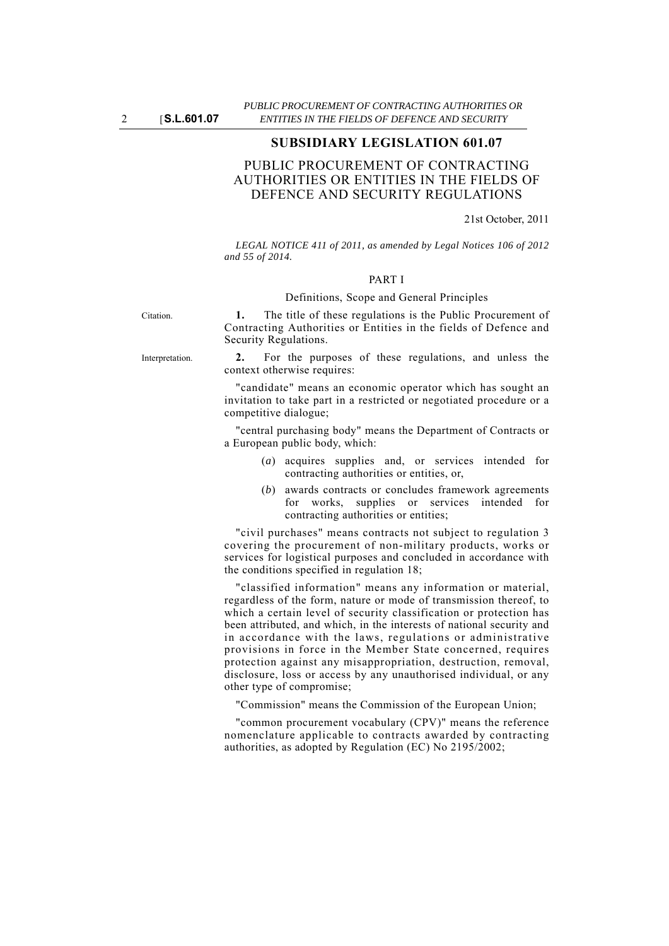## **SUBSIDIARY LEGISLATION 601.07**

# PUBLIC PROCUREMENT OF CONTRACTING AUTHORITIES OR ENTITIES IN THE FIELDS OF DEFENCE AND SECURITY REGULATIONS

21st October, 2011

*LEGAL NOTICE 411 of 2011, as amended by Legal Notices 106 of 2012 and 55 of 2014.*

### PART I

#### Definitions, Scope and General Principles

Citation. **1.** The title of these regulations is the Public Procurement of Contracting Authorities or Entities in the fields of Defence and Security Regulations.

Interpretation. **2.** For the purposes of these regulations, and unless the context otherwise requires:

> "candidate" means an economic operator which has sought an invitation to take part in a restricted or negotiated procedure or a competitive dialogue;

> "central purchasing body" means the Department of Contracts or a European public body, which:

- (*a*) acquires supplies and, or services intended for contracting authorities or entities, or,
- (*b*) awards contracts or concludes framework agreements for works, supplies or services intended for contracting authorities or entities;

"civil purchases" means contracts not subject to regulation 3 covering the procurement of non-military products, works or services for logistical purposes and concluded in accordance with the conditions specified in regulation 18;

"classified information" means any information or material, regardless of the form, nature or mode of transmission thereof, to which a certain level of security classification or protection has been attributed, and which, in the interests of national security and in accordance with the laws, regulations or administrative provisions in force in the Member State concerned, requires protection against any misappropriation, destruction, removal, disclosure, loss or access by any unauthorised individual, or any other type of compromise;

"Commission" means the Commission of the European Union;

"common procurement vocabulary (CPV)" means the reference nomenclature applicable to contracts awarded by contracting authorities, as adopted by Regulation (EC) No 2195/2002;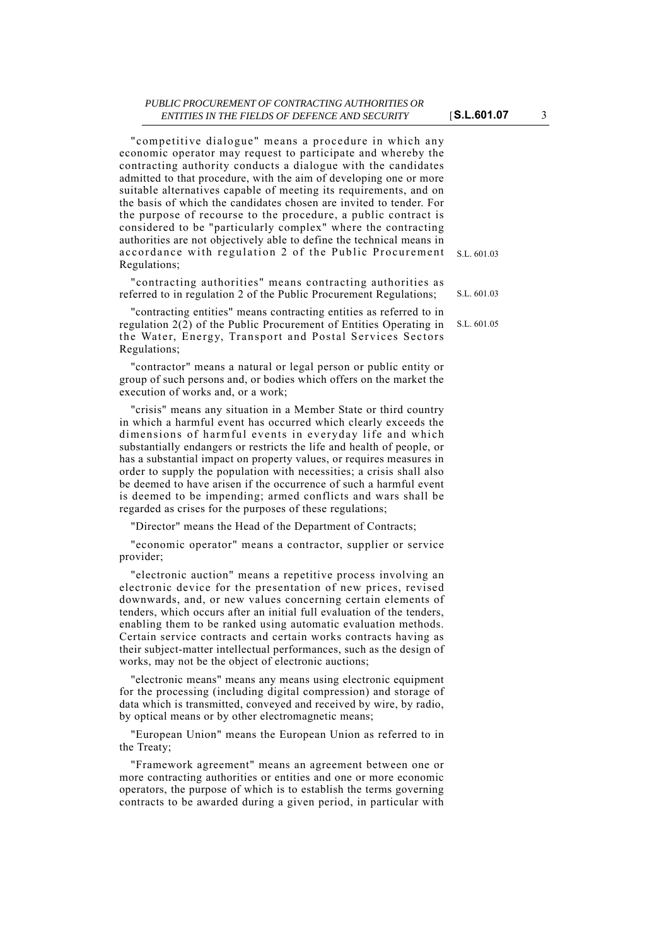#### *PUBLIC PROCUREMENT OF CONTRACTING AUTHORITIES OR ENTITIES IN THE FIELDS OF DEFENCE AND SECURITY* [**S.L.601.07** 3

S.L. 601.03 "competitive dialogue" means a procedure in which any economic operator may request to participate and whereby the contracting authority conducts a dialogue with the candidates admitted to that procedure, with the aim of developing one or more suitable alternatives capable of meeting its requirements, and on the basis of which the candidates chosen are invited to tender. For the purpose of recourse to the procedure, a public contract is considered to be "particularly complex" where the contracting authorities are not objectively able to define the technical means in accordance with regulation 2 of the Public Procurement Regulations;

S.L. 601.03 "contracting authorities" means contracting authorities as referred to in regulation 2 of the Public Procurement Regulations;

S.L. 601.05 "contracting entities" means contracting entities as referred to in regulation  $2(\overline{2})$  of the Public Procurement of Entities Operating in the Water, Energy, Transport and Postal Services Sectors Regulations;

"contractor" means a natural or legal person or public entity or group of such persons and, or bodies which offers on the market the execution of works and, or a work;

"crisis" means any situation in a Member State or third country in which a harmful event has occurred which clearly exceeds the dimensions of harmful events in everyday life and which substantially endangers or restricts the life and health of people, or has a substantial impact on property values, or requires measures in order to supply the population with necessities; a crisis shall also be deemed to have arisen if the occurrence of such a harmful event is deemed to be impending; armed conflicts and wars shall be regarded as crises for the purposes of these regulations;

"Director" means the Head of the Department of Contracts;

"economic operator" means a contractor, supplier or service provider;

"electronic auction" means a repetitive process involving an electronic device for the presentation of new prices, revised downwards, and, or new values concerning certain elements of tenders, which occurs after an initial full evaluation of the tenders, enabling them to be ranked using automatic evaluation methods. Certain service contracts and certain works contracts having as their subject-matter intellectual performances, such as the design of works, may not be the object of electronic auctions;

"electronic means" means any means using electronic equipment for the processing (including digital compression) and storage of data which is transmitted, conveyed and received by wire, by radio, by optical means or by other electromagnetic means;

"European Union" means the European Union as referred to in the Treaty;

"Framework agreement" means an agreement between one or more contracting authorities or entities and one or more economic operators, the purpose of which is to establish the terms governing contracts to be awarded during a given period, in particular with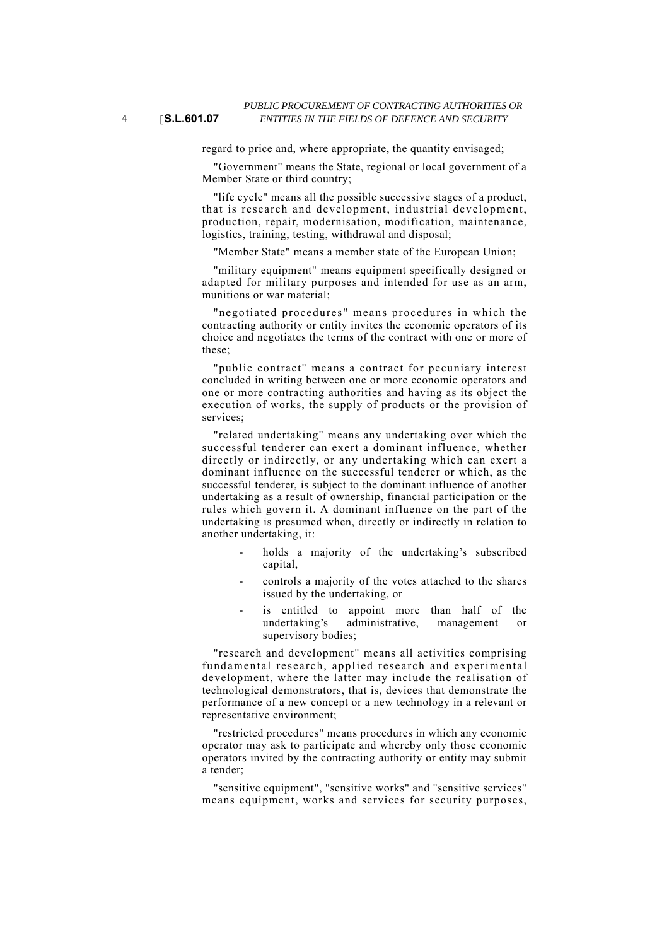regard to price and, where appropriate, the quantity envisaged;

"Government" means the State, regional or local government of a Member State or third country;

"life cycle" means all the possible successive stages of a product, that is research and development, industrial development, production, repair, modernisation, modification, maintenance, logistics, training, testing, withdrawal and disposal;

"Member State" means a member state of the European Union;

"military equipment" means equipment specifically designed or adapted for military purposes and intended for use as an arm, munitions or war material;

"negotiated procedures" means procedures in which the contracting authority or entity invites the economic operators of its choice and negotiates the terms of the contract with one or more of these;

"public contract" means a contract for pecuniary interest concluded in writing between one or more economic operators and one or more contracting authorities and having as its object the execution of works, the supply of products or the provision of services;

"related undertaking" means any undertaking over which the successful tenderer can exert a dominant influence, whether directly or indirectly, or any undertaking which can exert a dominant influence on the successful tenderer or which, as the successful tenderer, is subject to the dominant influence of another undertaking as a result of ownership, financial participation or the rules which govern it. A dominant influence on the part of the undertaking is presumed when, directly or indirectly in relation to another undertaking, it:

- holds a majority of the undertaking's subscribed capital,
- controls a majority of the votes attached to the shares issued by the undertaking, or
- is entitled to appoint more than half of the undertaking's administrative, management or supervisory bodies;

"research and development" means all activities comprising fundamental research, applied research and experimental development, where the latter may include the realisation of technological demonstrators, that is, devices that demonstrate the performance of a new concept or a new technology in a relevant or representative environment;

"restricted procedures" means procedures in which any economic operator may ask to participate and whereby only those economic operators invited by the contracting authority or entity may submit a tender;

"sensitive equipment", "sensitive works" and "sensitive services" means equipment, works and services for security purposes,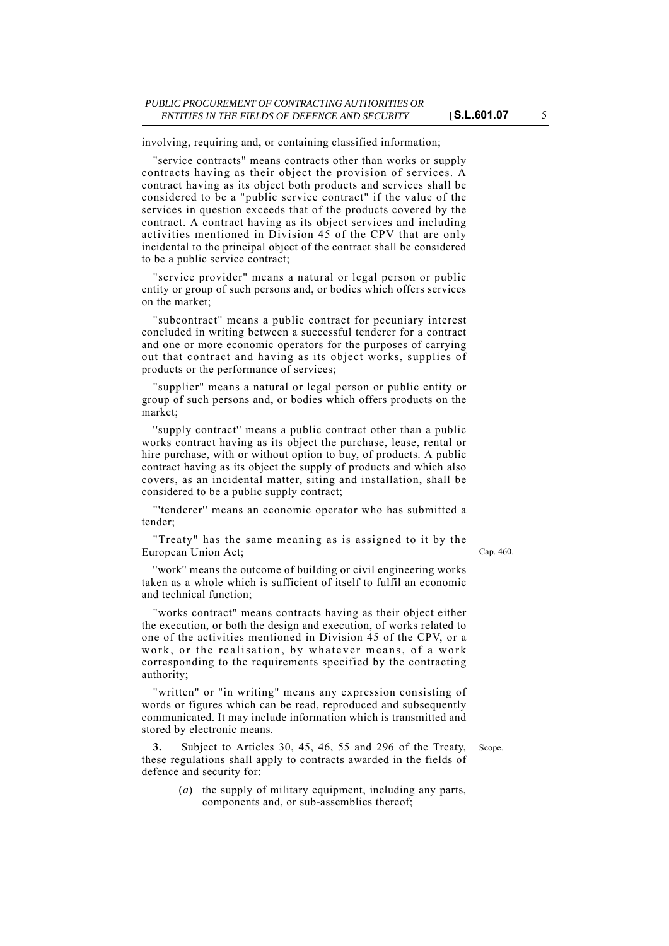involving, requiring and, or containing classified information;

"service contracts" means contracts other than works or supply contracts having as their object the provision of services. A contract having as its object both products and services shall be considered to be a "public service contract" if the value of the services in question exceeds that of the products covered by the contract. A contract having as its object services and including activities mentioned in Division 45 of the CPV that are only incidental to the principal object of the contract shall be considered to be a public service contract;

"service provider" means a natural or legal person or public entity or group of such persons and, or bodies which offers services on the market;

"subcontract" means a public contract for pecuniary interest concluded in writing between a successful tenderer for a contract and one or more economic operators for the purposes of carrying out that contract and having as its object works, supplies of products or the performance of services;

"supplier" means a natural or legal person or public entity or group of such persons and, or bodies which offers products on the market;

''supply contract'' means a public contract other than a public works contract having as its object the purchase, lease, rental or hire purchase, with or without option to buy, of products. A public contract having as its object the supply of products and which also covers, as an incidental matter, siting and installation, shall be considered to be a public supply contract;

"'tenderer'' means an economic operator who has submitted a tender;

"Treaty" has the same meaning as is assigned to it by the European Union Act;

Cap. 460.

''work'' means the outcome of building or civil engineering works taken as a whole which is sufficient of itself to fulfil an economic and technical function;

"works contract" means contracts having as their object either the execution, or both the design and execution, of works related to one of the activities mentioned in Division 45 of the CPV, or a work, or the realisation, by whatever means, of a work corresponding to the requirements specified by the contracting authority;

"written" or "in writing" means any expression consisting of words or figures which can be read, reproduced and subsequently communicated. It may include information which is transmitted and stored by electronic means.

**3.** Subject to Articles 30, 45, 46, 55 and 296 of the Treaty, Scope. these regulations shall apply to contracts awarded in the fields of defence and security for:

> (*a*) the supply of military equipment, including any parts, components and, or sub-assemblies thereof;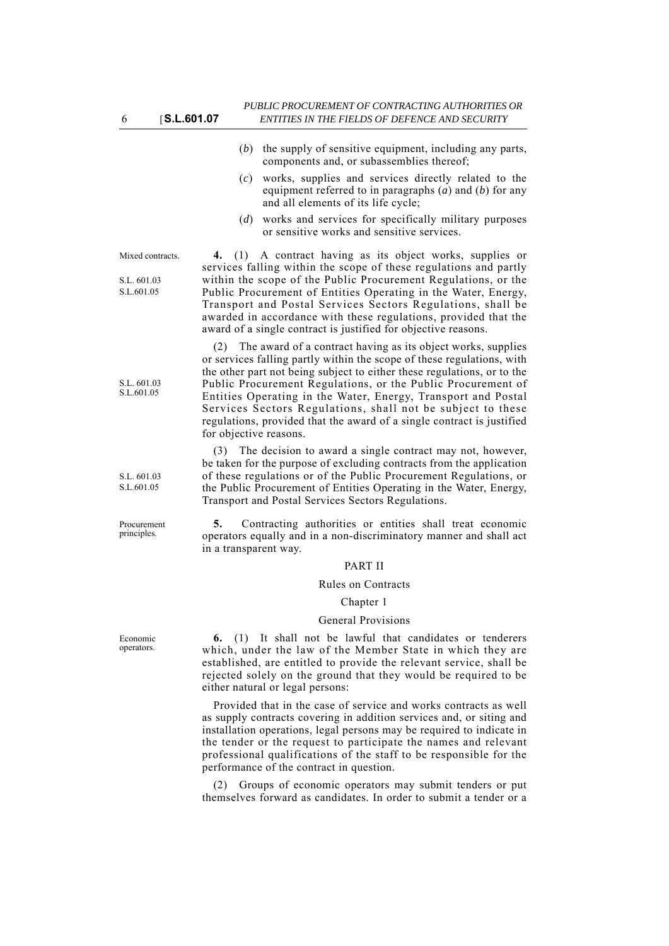- (*b*) the supply of sensitive equipment, including any parts, components and, or subassemblies thereof;
- (*c*) works, supplies and services directly related to the equipment referred to in paragraphs (*a*) and (*b*) for any and all elements of its life cycle;
- (*d*) works and services for specifically military purposes or sensitive works and sensitive services.

#### Mixed contracts.

S.L. 601.03 S.L.601.05

S.L. 601.03 S.L.601.05

S.L. 601.03 S.L.601.05

Procurement principles.

Economic operators.

**4.** (1) A contract having as its object works, supplies or services falling within the scope of these regulations and partly within the scope of the Public Procurement Regulations, or the Public Procurement of Entities Operating in the Water, Energy, Transport and Postal Services Sectors Regulations, shall be awarded in accordance with these regulations, provided that the award of a single contract is justified for objective reasons.

(2) The award of a contract having as its object works, supplies or services falling partly within the scope of these regulations, with the other part not being subject to either these regulations, or to the Public Procurement Regulations, or the Public Procurement of Entities Operating in the Water, Energy, Transport and Postal Services Sectors Regulations, shall not be subject to these regulations, provided that the award of a single contract is justified for objective reasons.

(3) The decision to award a single contract may not, however, be taken for the purpose of excluding contracts from the application of these regulations or of the Public Procurement Regulations, or the Public Procurement of Entities Operating in the Water, Energy, Transport and Postal Services Sectors Regulations.

**5.** Contracting authorities or entities shall treat economic operators equally and in a non-discriminatory manner and shall act in a transparent way.

#### PART II

#### Rules on Contracts

### Chapter 1

#### General Provisions

**6.** (1) It shall not be lawful that candidates or tenderers which, under the law of the Member State in which they are established, are entitled to provide the relevant service, shall be rejected solely on the ground that they would be required to be either natural or legal persons:

Provided that in the case of service and works contracts as well as supply contracts covering in addition services and, or siting and installation operations, legal persons may be required to indicate in the tender or the request to participate the names and relevant professional qualifications of the staff to be responsible for the performance of the contract in question.

(2) Groups of economic operators may submit tenders or put themselves forward as candidates. In order to submit a tender or a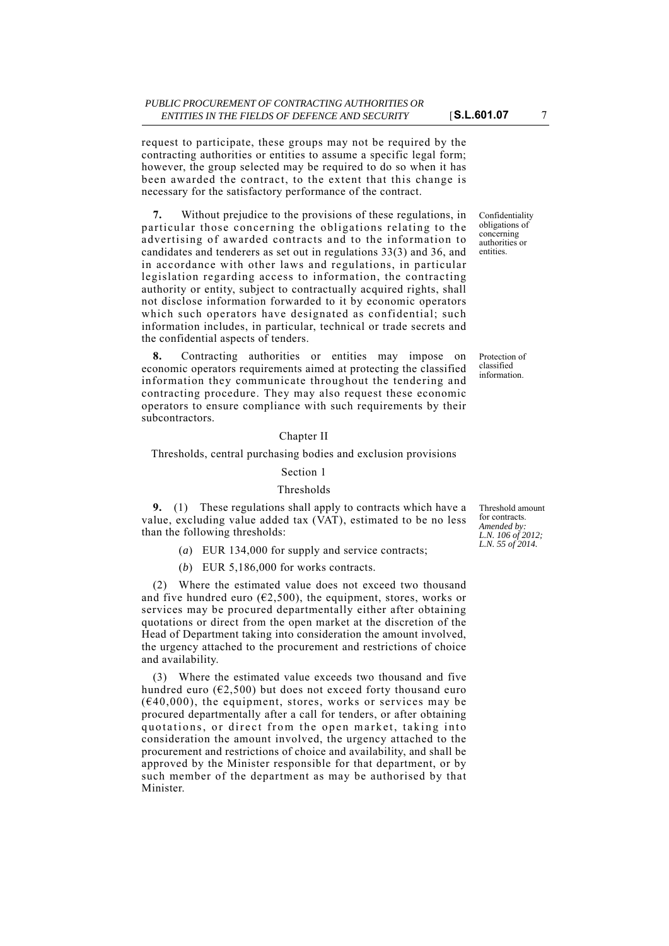request to participate, these groups may not be required by the contracting authorities or entities to assume a specific legal form; however, the group selected may be required to do so when it has been awarded the contract, to the extent that this change is necessary for the satisfactory performance of the contract.

**7.** Without prejudice to the provisions of these regulations, in particular those concerning the obligations relating to the advertising of awarded contracts and to the information to candidates and tenderers as set out in regulations 33(3) and 36, and in accordance with other laws and regulations, in particular legislation regarding access to information, the contracting authority or entity, subject to contractually acquired rights, shall not disclose information forwarded to it by economic operators which such operators have designated as confidential; such information includes, in particular, technical or trade secrets and the confidential aspects of tenders.

**8.** Contracting authorities or entities may impose on economic operators requirements aimed at protecting the classified information they communicate throughout the tendering and contracting procedure. They may also request these economic operators to ensure compliance with such requirements by their subcontractors.

### Chapter II

#### Thresholds, central purchasing bodies and exclusion provisions

# Section 1

# Thresholds

**9.** (1) These regulations shall apply to contracts which have a value, excluding value added tax (VAT), estimated to be no less than the following thresholds:

- (*a*) EUR 134,000 for supply and service contracts;
- (*b*) EUR 5,186,000 for works contracts.

(2) Where the estimated value does not exceed two thousand and five hundred euro ( $\epsilon$ 2,500), the equipment, stores, works or services may be procured departmentally either after obtaining quotations or direct from the open market at the discretion of the Head of Department taking into consideration the amount involved, the urgency attached to the procurement and restrictions of choice and availability.

Where the estimated value exceeds two thousand and five hundred euro ( $E$ , 500) but does not exceed forty thousand euro  $(640,000)$ , the equipment, stores, works or services may be procured departmentally after a call for tenders, or after obtaining quotations, or direct from the open market, taking into consideration the amount involved, the urgency attached to the procurement and restrictions of choice and availability, and shall be approved by the Minister responsible for that department, or by such member of the department as may be authorised by that Minister.

Confidentiality obligations of concerning authorities or entities.

Protection of classified information.

Threshold amount for contracts. *Amended by: L.N. 106 of 2012; L.N. 55 of 2014.*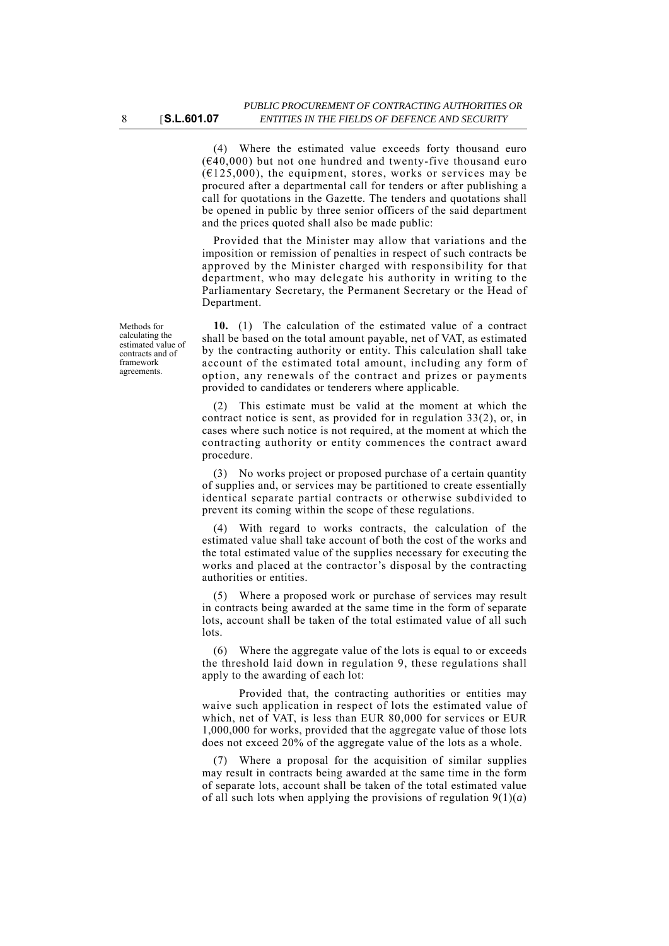(4) Where the estimated value exceeds forty thousand euro  $(640,000)$  but not one hundred and twenty-five thousand euro  $(6125.000)$ , the equipment, stores, works or services may be procured after a departmental call for tenders or after publishing a call for quotations in the Gazette. The tenders and quotations shall be opened in public by three senior officers of the said department and the prices quoted shall also be made public:

Provided that the Minister may allow that variations and the imposition or remission of penalties in respect of such contracts be approved by the Minister charged with responsibility for that department, who may delegate his authority in writing to the Parliamentary Secretary, the Permanent Secretary or the Head of Department.

**10.** (1) The calculation of the estimated value of a contract shall be based on the total amount payable, net of VAT, as estimated by the contracting authority or entity. This calculation shall take account of the estimated total amount, including any form of option, any renewals of the contract and prizes or payments provided to candidates or tenderers where applicable.

(2) This estimate must be valid at the moment at which the contract notice is sent, as provided for in regulation 33(2), or, in cases where such notice is not required, at the moment at which the contracting authority or entity commences the contract award procedure.

(3) No works project or proposed purchase of a certain quantity of supplies and, or services may be partitioned to create essentially identical separate partial contracts or otherwise subdivided to prevent its coming within the scope of these regulations.

(4) With regard to works contracts, the calculation of the estimated value shall take account of both the cost of the works and the total estimated value of the supplies necessary for executing the works and placed at the contractor's disposal by the contracting authorities or entities.

(5) Where a proposed work or purchase of services may result in contracts being awarded at the same time in the form of separate lots, account shall be taken of the total estimated value of all such lots.

(6) Where the aggregate value of the lots is equal to or exceeds the threshold laid down in regulation 9, these regulations shall apply to the awarding of each lot:

Provided that, the contracting authorities or entities may waive such application in respect of lots the estimated value of which, net of VAT, is less than EUR 80,000 for services or EUR 1,000,000 for works, provided that the aggregate value of those lots does not exceed 20% of the aggregate value of the lots as a whole.

(7) Where a proposal for the acquisition of similar supplies may result in contracts being awarded at the same time in the form of separate lots, account shall be taken of the total estimated value of all such lots when applying the provisions of regulation  $9(1)(a)$ 

Methods for calculating the estimated value of contracts and of framework agreements.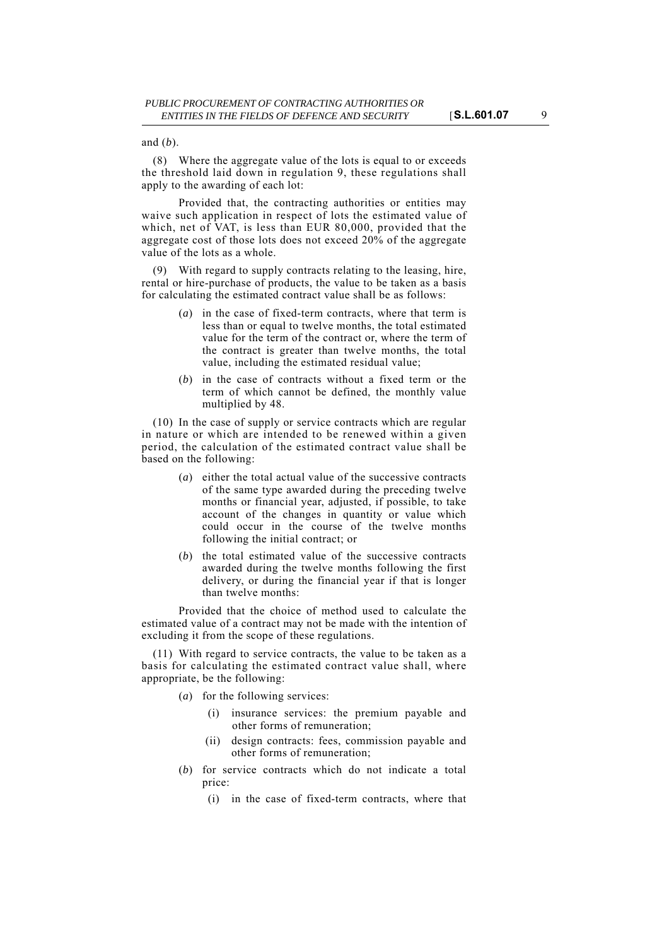and (*b*).

(8) Where the aggregate value of the lots is equal to or exceeds the threshold laid down in regulation 9, these regulations shall apply to the awarding of each lot:

Provided that, the contracting authorities or entities may waive such application in respect of lots the estimated value of which, net of VAT, is less than EUR 80,000, provided that the aggregate cost of those lots does not exceed 20% of the aggregate value of the lots as a whole.

(9) With regard to supply contracts relating to the leasing, hire, rental or hire-purchase of products, the value to be taken as a basis for calculating the estimated contract value shall be as follows:

- (*a*) in the case of fixed-term contracts, where that term is less than or equal to twelve months, the total estimated value for the term of the contract or, where the term of the contract is greater than twelve months, the total value, including the estimated residual value;
- (*b*) in the case of contracts without a fixed term or the term of which cannot be defined, the monthly value multiplied by 48.

(10) In the case of supply or service contracts which are regular in nature or which are intended to be renewed within a given period, the calculation of the estimated contract value shall be based on the following:

- (*a*) either the total actual value of the successive contracts of the same type awarded during the preceding twelve months or financial year, adjusted, if possible, to take account of the changes in quantity or value which could occur in the course of the twelve months following the initial contract; or
- (*b*) the total estimated value of the successive contracts awarded during the twelve months following the first delivery, or during the financial year if that is longer than twelve months:

Provided that the choice of method used to calculate the estimated value of a contract may not be made with the intention of excluding it from the scope of these regulations.

(11) With regard to service contracts, the value to be taken as a basis for calculating the estimated contract value shall, where appropriate, be the following:

- (*a*) for the following services:
	- (i) insurance services: the premium payable and other forms of remuneration;
	- (ii) design contracts: fees, commission payable and other forms of remuneration;
- (*b*) for service contracts which do not indicate a total price:
	- (i) in the case of fixed-term contracts, where that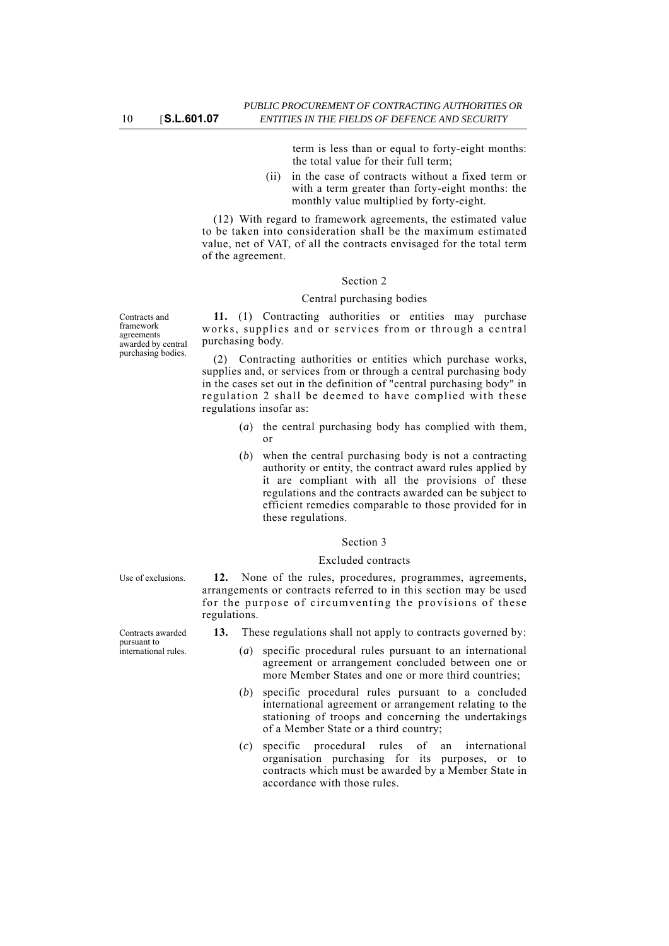Contracts and framework agreements awarded by central purchasing bodies.

term is less than or equal to forty-eight months: the total value for their full term;

(ii) in the case of contracts without a fixed term or with a term greater than forty-eight months: the monthly value multiplied by forty-eight.

(12) With regard to framework agreements, the estimated value to be taken into consideration shall be the maximum estimated value, net of VAT, of all the contracts envisaged for the total term of the agreement.

### Section 2

#### Central purchasing bodies

**11.** (1) Contracting authorities or entities may purchase works, supplies and or services from or through a central purchasing body.

(2) Contracting authorities or entities which purchase works, supplies and, or services from or through a central purchasing body in the cases set out in the definition of "central purchasing body" in regulation 2 shall be deemed to have complied with these regulations insofar as:

- (*a*) the central purchasing body has complied with them, or
- (*b*) when the central purchasing body is not a contracting authority or entity, the contract award rules applied by it are compliant with all the provisions of these regulations and the contracts awarded can be subject to efficient remedies comparable to those provided for in these regulations.

#### Section 3

### Excluded contracts

Use of exclusions. **12.** None of the rules, procedures, programmes, agreements, arrangements or contracts referred to in this section may be used for the purpose of circumventing the provisions of these regulations.

Contracts awarded

**13.** These regulations shall not apply to contracts governed by:

- (*a*) specific procedural rules pursuant to an international agreement or arrangement concluded between one or more Member States and one or more third countries;
- (*b*) specific procedural rules pursuant to a concluded international agreement or arrangement relating to the stationing of troops and concerning the undertakings of a Member State or a third country;
- (*c*) specific procedural rules of an international organisation purchasing for its purposes, or to contracts which must be awarded by a Member State in accordance with those rules.

pursuant to international rules.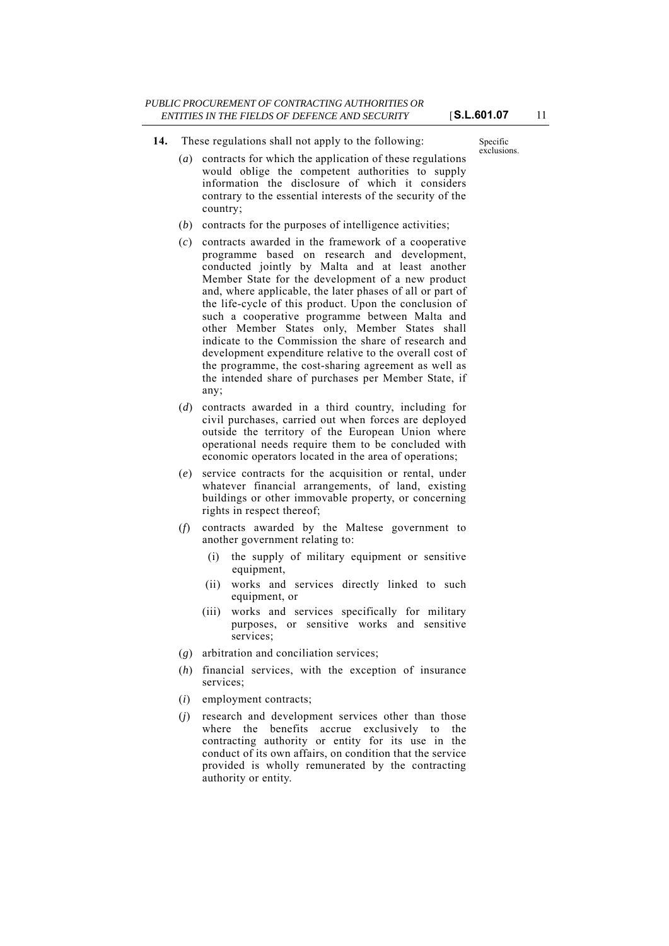**14.** These regulations shall not apply to the following:

Specific exclusions.

- (*a*) contracts for which the application of these regulations would oblige the competent authorities to supply information the disclosure of which it considers contrary to the essential interests of the security of the country;
- (*b*) contracts for the purposes of intelligence activities;
- (*c*) contracts awarded in the framework of a cooperative programme based on research and development, conducted jointly by Malta and at least another Member State for the development of a new product and, where applicable, the later phases of all or part of the life-cycle of this product. Upon the conclusion of such a cooperative programme between Malta and other Member States only, Member States shall indicate to the Commission the share of research and development expenditure relative to the overall cost of the programme, the cost-sharing agreement as well as the intended share of purchases per Member State, if any;
- (*d*) contracts awarded in a third country, including for civil purchases, carried out when forces are deployed outside the territory of the European Union where operational needs require them to be concluded with economic operators located in the area of operations;
- (*e*) service contracts for the acquisition or rental, under whatever financial arrangements, of land, existing buildings or other immovable property, or concerning rights in respect thereof;
- (*f*) contracts awarded by the Maltese government to another government relating to:
	- (i) the supply of military equipment or sensitive equipment,
	- (ii) works and services directly linked to such equipment, or
	- (iii) works and services specifically for military purposes, or sensitive works and sensitive services;
- (*g*) arbitration and conciliation services;
- (*h*) financial services, with the exception of insurance services;
- (*i*) employment contracts;
- (*j*) research and development services other than those where the benefits accrue exclusively to the contracting authority or entity for its use in the conduct of its own affairs, on condition that the service provided is wholly remunerated by the contracting authority or entity.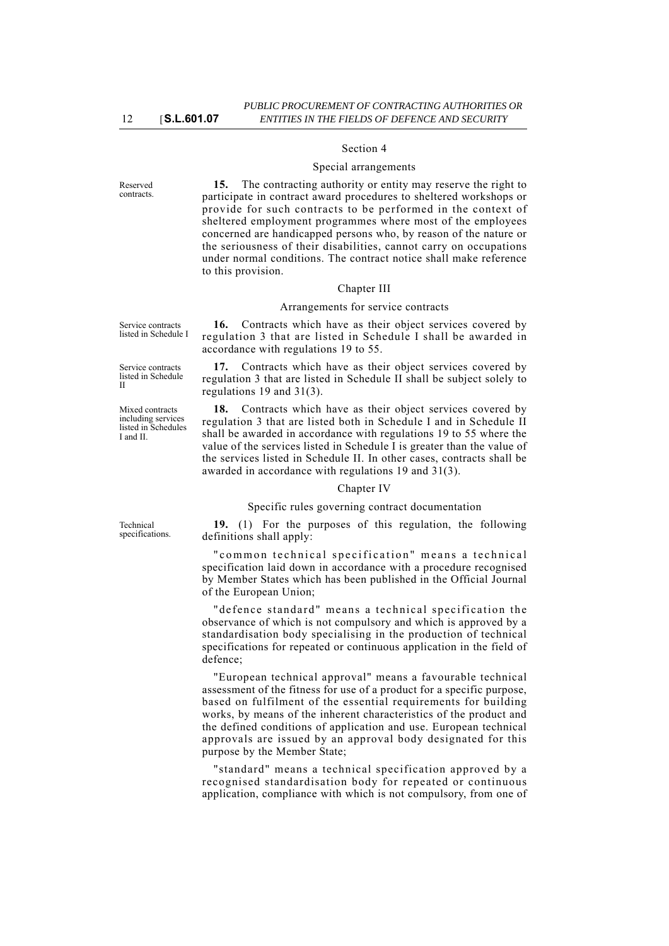### Section 4

#### Special arrangements

Reserved contracts.

**15.** The contracting authority or entity may reserve the right to participate in contract award procedures to sheltered workshops or provide for such contracts to be performed in the context of sheltered employment programmes where most of the employees concerned are handicapped persons who, by reason of the nature or the seriousness of their disabilities, cannot carry on occupations under normal conditions. The contract notice shall make reference to this provision.

### Chapter III

#### Arrangements for service contracts

**16.** Contracts which have as their object services covered by regulation 3 that are listed in Schedule I shall be awarded in accordance with regulations 19 to 55.

**17.** Contracts which have as their object services covered by regulation 3 that are listed in Schedule II shall be subject solely to regulations 19 and 31(3).

**18.** Contracts which have as their object services covered by regulation 3 that are listed both in Schedule I and in Schedule II shall be awarded in accordance with regulations 19 to 55 where the value of the services listed in Schedule I is greater than the value of the services listed in Schedule II. In other cases, contracts shall be awarded in accordance with regulations 19 and 31(3).

#### Chapter IV

Specific rules governing contract documentation

**19.** (1) For the purposes of this regulation, the following definitions shall apply:

"common technical specification" means a technical specification laid down in accordance with a procedure recognised by Member States which has been published in the Official Journal of the European Union;

"defence standard" means a technical specification the observance of which is not compulsory and which is approved by a standardisation body specialising in the production of technical specifications for repeated or continuous application in the field of defence;

"European technical approval" means a favourable technical assessment of the fitness for use of a product for a specific purpose, based on fulfilment of the essential requirements for building works, by means of the inherent characteristics of the product and the defined conditions of application and use. European technical approvals are issued by an approval body designated for this purpose by the Member State;

"standard" means a technical specification approved by a recognised standardisation body for repeated or continuous application, compliance with which is not compulsory, from one of

Service contracts listed in Schedule I

Service contracts listed in Schedule II

Mixed contracts including services listed in Schedules I and II.

Technical specifications.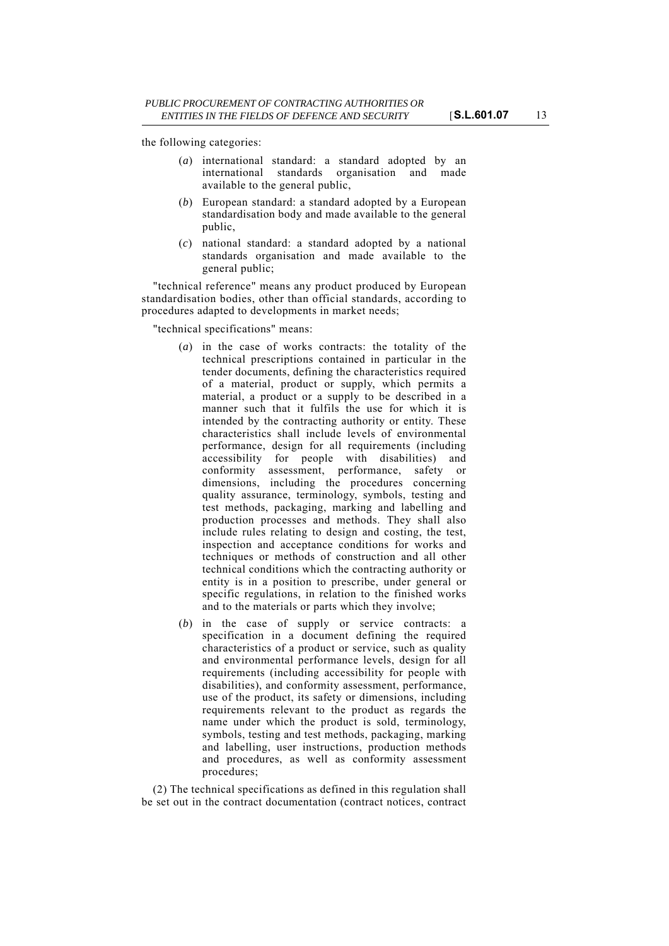the following categories:

- (*a*) international standard: a standard adopted by an international standards organisation and made available to the general public,
- (*b*) European standard: a standard adopted by a European standardisation body and made available to the general public,
- (*c*) national standard: a standard adopted by a national standards organisation and made available to the general public;

"technical reference" means any product produced by European standardisation bodies, other than official standards, according to procedures adapted to developments in market needs;

"technical specifications" means:

- (*a*) in the case of works contracts: the totality of the technical prescriptions contained in particular in the tender documents, defining the characteristics required of a material, product or supply, which permits a material, a product or a supply to be described in a manner such that it fulfils the use for which it is intended by the contracting authority or entity. These characteristics shall include levels of environmental performance, design for all requirements (including accessibility for people with disabilities) and conformity assessment, performance, safety or dimensions, including the procedures concerning quality assurance, terminology, symbols, testing and test methods, packaging, marking and labelling and production processes and methods. They shall also include rules relating to design and costing, the test, inspection and acceptance conditions for works and techniques or methods of construction and all other technical conditions which the contracting authority or entity is in a position to prescribe, under general or specific regulations, in relation to the finished works and to the materials or parts which they involve;
- (*b*) in the case of supply or service contracts: a specification in a document defining the required characteristics of a product or service, such as quality and environmental performance levels, design for all requirements (including accessibility for people with disabilities), and conformity assessment, performance, use of the product, its safety or dimensions, including requirements relevant to the product as regards the name under which the product is sold, terminology, symbols, testing and test methods, packaging, marking and labelling, user instructions, production methods and procedures, as well as conformity assessment procedures;

(2) The technical specifications as defined in this regulation shall be set out in the contract documentation (contract notices, contract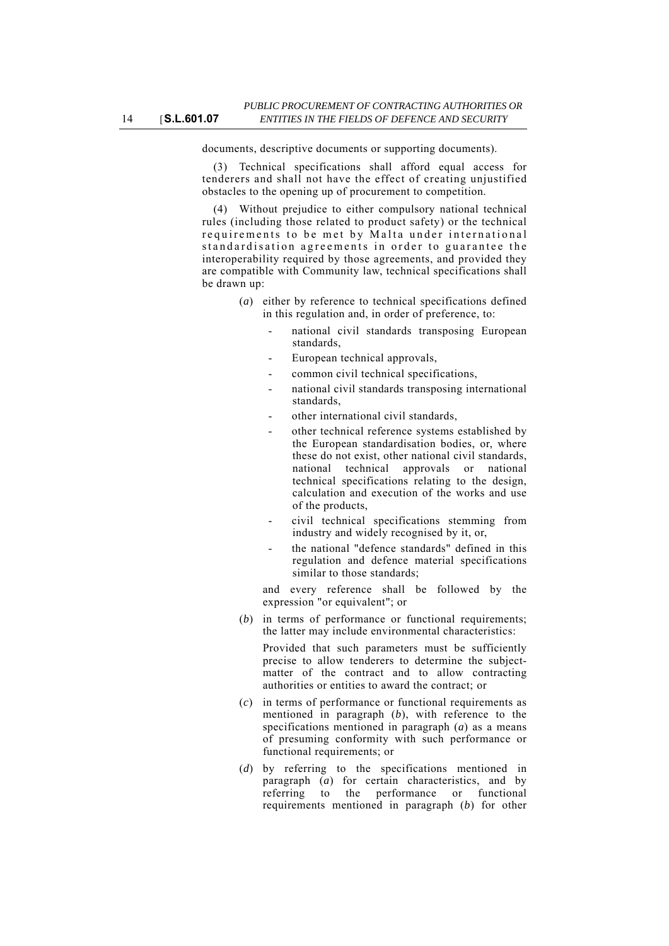documents, descriptive documents or supporting documents).

(3) Technical specifications shall afford equal access for tenderers and shall not have the effect of creating unjustified obstacles to the opening up of procurement to competition.

(4) Without prejudice to either compulsory national technical rules (including those related to product safety) or the technical requirements to be met by Malta under international standardisation agreements in order to guarantee the interoperability required by those agreements, and provided they are compatible with Community law, technical specifications shall be drawn up:

- (*a*) either by reference to technical specifications defined in this regulation and, in order of preference, to:
	- national civil standards transposing European standards,
	- European technical approvals,
	- common civil technical specifications,
	- national civil standards transposing international standards,
	- other international civil standards,
	- other technical reference systems established by the European standardisation bodies, or, where these do not exist, other national civil standards, national technical approvals or national technical specifications relating to the design, calculation and execution of the works and use of the products,
	- civil technical specifications stemming from industry and widely recognised by it, or,
	- the national "defence standards" defined in this regulation and defence material specifications similar to those standards;

and every reference shall be followed by the expression "or equivalent"; or

(*b*) in terms of performance or functional requirements; the latter may include environmental characteristics:

Provided that such parameters must be sufficiently precise to allow tenderers to determine the subjectmatter of the contract and to allow contracting authorities or entities to award the contract; or

- (*c*) in terms of performance or functional requirements as mentioned in paragraph (*b*), with reference to the specifications mentioned in paragraph (*a*) as a means of presuming conformity with such performance or functional requirements; or
- (*d*) by referring to the specifications mentioned in paragraph (*a*) for certain characteristics, and by referring to the performance or functional requirements mentioned in paragraph (*b*) for other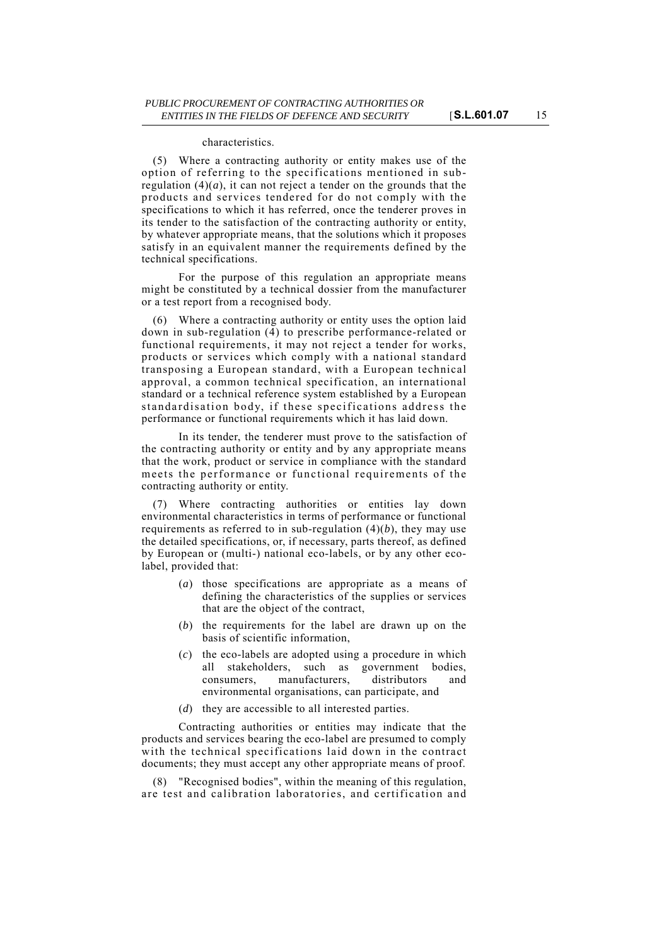#### characteristics.

(5) Where a contracting authority or entity makes use of the option of referring to the specifications mentioned in subregulation  $(4)(a)$ , it can not reject a tender on the grounds that the products and services tendered for do not comply with the specifications to which it has referred, once the tenderer proves in its tender to the satisfaction of the contracting authority or entity, by whatever appropriate means, that the solutions which it proposes satisfy in an equivalent manner the requirements defined by the technical specifications.

For the purpose of this regulation an appropriate means might be constituted by a technical dossier from the manufacturer or a test report from a recognised body.

(6) Where a contracting authority or entity uses the option laid down in sub-regulation (4) to prescribe performance-related or functional requirements, it may not reject a tender for works, products or services which comply with a national standard transposing a European standard, with a European technical approval, a common technical specification, an international standard or a technical reference system established by a European standardisation body, if these specifications address the performance or functional requirements which it has laid down.

In its tender, the tenderer must prove to the satisfaction of the contracting authority or entity and by any appropriate means that the work, product or service in compliance with the standard meets the performance or functional requirements of the contracting authority or entity.

(7) Where contracting authorities or entities lay down environmental characteristics in terms of performance or functional requirements as referred to in sub-regulation (4)(*b*), they may use the detailed specifications, or, if necessary, parts thereof, as defined by European or (multi-) national eco-labels, or by any other ecolabel, provided that:

- (*a*) those specifications are appropriate as a means of defining the characteristics of the supplies or services that are the object of the contract,
- (*b*) the requirements for the label are drawn up on the basis of scientific information,
- (*c*) the eco-labels are adopted using a procedure in which all stakeholders, such as government bodies, consumers, manufacturers, distributors and environmental organisations, can participate, and
- (*d*) they are accessible to all interested parties.

Contracting authorities or entities may indicate that the products and services bearing the eco-label are presumed to comply with the technical specifications laid down in the contract documents; they must accept any other appropriate means of proof.

(8) "Recognised bodies", within the meaning of this regulation, are test and calibration laboratories, and certification and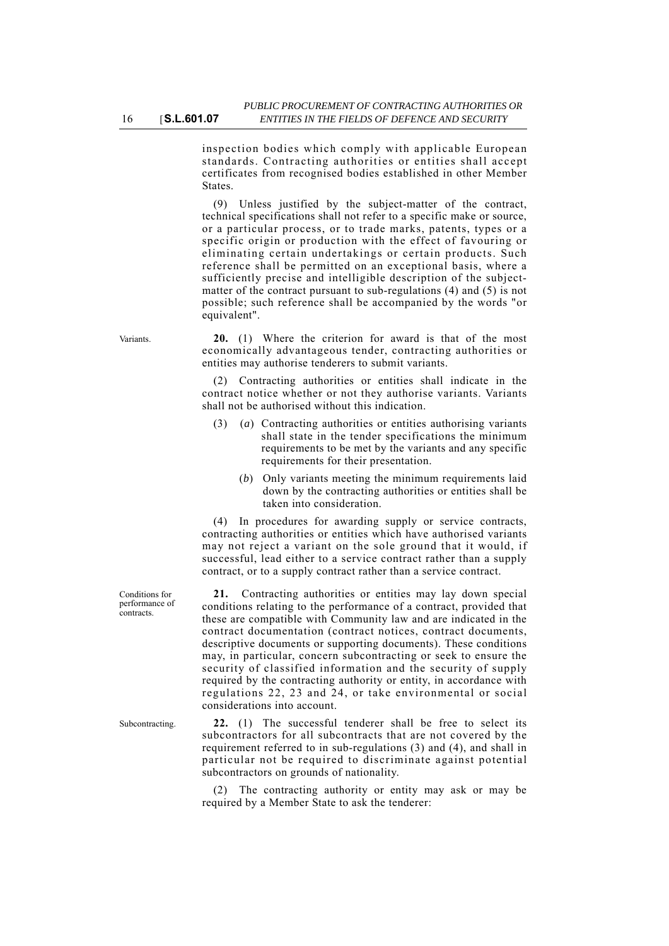inspection bodies which comply with applicable European standards. Contracting authorities or entities shall accept certificates from recognised bodies established in other Member **States**.

(9) Unless justified by the subject-matter of the contract, technical specifications shall not refer to a specific make or source, or a particular process, or to trade marks, patents, types or a specific origin or production with the effect of favouring or eliminating certain undertakings or certain products. Such reference shall be permitted on an exceptional basis, where a sufficiently precise and intelligible description of the subjectmatter of the contract pursuant to sub-regulations (4) and (5) is not possible; such reference shall be accompanied by the words "or equivalent".

Variants. **20.** (1) Where the criterion for award is that of the most economically advantageous tender, contracting authorities or entities may authorise tenderers to submit variants.

> (2) Contracting authorities or entities shall indicate in the contract notice whether or not they authorise variants. Variants shall not be authorised without this indication.

- (3) (*a*) Contracting authorities or entities authorising variants shall state in the tender specifications the minimum requirements to be met by the variants and any specific requirements for their presentation.
	- (*b*) Only variants meeting the minimum requirements laid down by the contracting authorities or entities shall be taken into consideration.

(4) In procedures for awarding supply or service contracts, contracting authorities or entities which have authorised variants may not reject a variant on the sole ground that it would, if successful, lead either to a service contract rather than a supply contract, or to a supply contract rather than a service contract.

**21.** Contracting authorities or entities may lay down special conditions relating to the performance of a contract, provided that these are compatible with Community law and are indicated in the contract documentation (contract notices, contract documents, descriptive documents or supporting documents). These conditions may, in particular, concern subcontracting or seek to ensure the security of classified information and the security of supply required by the contracting authority or entity, in accordance with regulations 22, 23 and 24, or take environmental or social considerations into account.

Subcontracting. **22.** (1) The successful tenderer shall be free to select its subcontractors for all subcontracts that are not covered by the requirement referred to in sub-regulations (3) and (4), and shall in particular not be required to discriminate against potential subcontractors on grounds of nationality.

> (2) The contracting authority or entity may ask or may be required by a Member State to ask the tenderer:

Conditions for performance of contracts.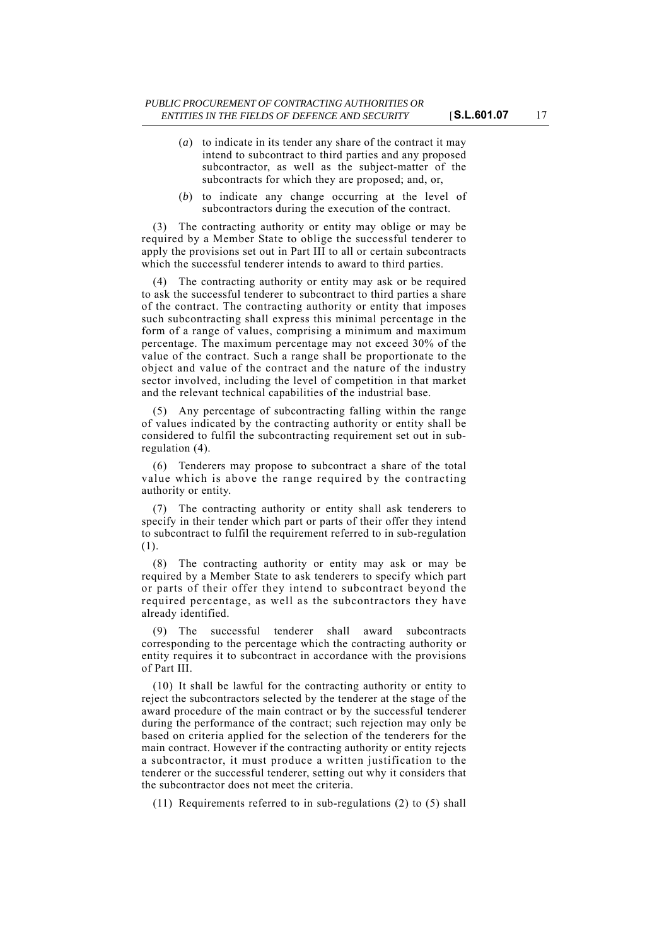- (*a*) to indicate in its tender any share of the contract it may intend to subcontract to third parties and any proposed subcontractor, as well as the subject-matter of the subcontracts for which they are proposed; and, or,
- (*b*) to indicate any change occurring at the level of subcontractors during the execution of the contract.

(3) The contracting authority or entity may oblige or may be required by a Member State to oblige the successful tenderer to apply the provisions set out in Part III to all or certain subcontracts which the successful tenderer intends to award to third parties.

(4) The contracting authority or entity may ask or be required to ask the successful tenderer to subcontract to third parties a share of the contract. The contracting authority or entity that imposes such subcontracting shall express this minimal percentage in the form of a range of values, comprising a minimum and maximum percentage. The maximum percentage may not exceed 30% of the value of the contract. Such a range shall be proportionate to the object and value of the contract and the nature of the industry sector involved, including the level of competition in that market and the relevant technical capabilities of the industrial base.

(5) Any percentage of subcontracting falling within the range of values indicated by the contracting authority or entity shall be considered to fulfil the subcontracting requirement set out in subregulation (4).

(6) Tenderers may propose to subcontract a share of the total value which is above the range required by the contracting authority or entity.

(7) The contracting authority or entity shall ask tenderers to specify in their tender which part or parts of their offer they intend to subcontract to fulfil the requirement referred to in sub-regulation (1).

(8) The contracting authority or entity may ask or may be required by a Member State to ask tenderers to specify which part or parts of their offer they intend to subcontract beyond the required percentage, as well as the subcontractors they have already identified.

(9) The successful tenderer shall award subcontracts corresponding to the percentage which the contracting authority or entity requires it to subcontract in accordance with the provisions of Part III.

(10) It shall be lawful for the contracting authority or entity to reject the subcontractors selected by the tenderer at the stage of the award procedure of the main contract or by the successful tenderer during the performance of the contract; such rejection may only be based on criteria applied for the selection of the tenderers for the main contract. However if the contracting authority or entity rejects a subcontractor, it must produce a written justification to the tenderer or the successful tenderer, setting out why it considers that the subcontractor does not meet the criteria.

(11) Requirements referred to in sub-regulations (2) to (5) shall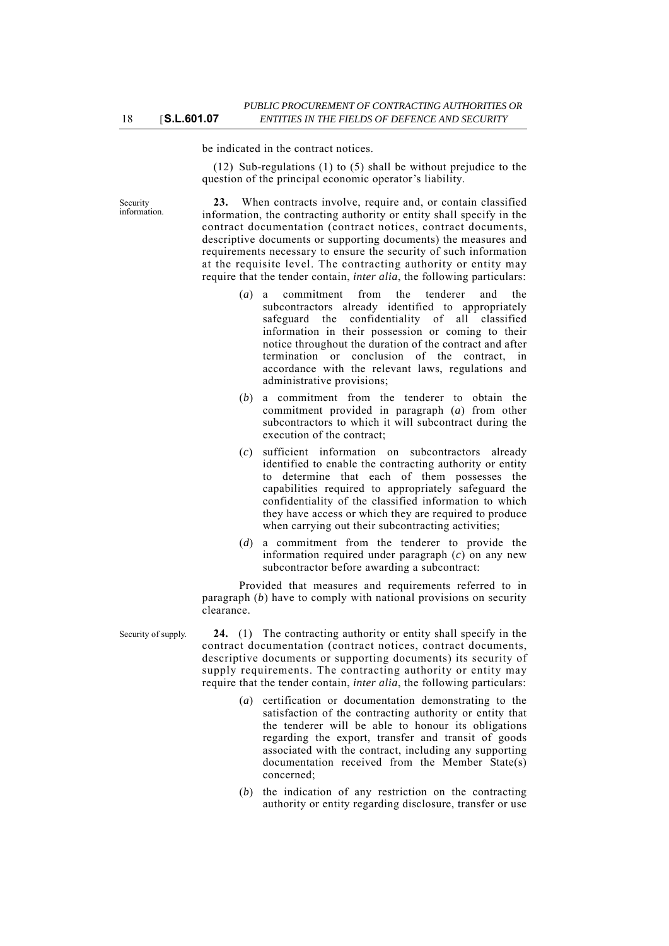be indicated in the contract notices.

(12) Sub-regulations (1) to (5) shall be without prejudice to the question of the principal economic operator's liability.

Security information.

**23.** When contracts involve, require and, or contain classified information, the contracting authority or entity shall specify in the contract documentation (contract notices, contract documents, descriptive documents or supporting documents) the measures and requirements necessary to ensure the security of such information at the requisite level. The contracting authority or entity may require that the tender contain, *inter alia*, the following particulars:

- (*a*) a commitment from the tenderer and the subcontractors already identified to appropriately safeguard the confidentiality of all classified information in their possession or coming to their notice throughout the duration of the contract and after termination or conclusion of the contract, in accordance with the relevant laws, regulations and administrative provisions;
- (*b*) a commitment from the tenderer to obtain the commitment provided in paragraph (*a*) from other subcontractors to which it will subcontract during the execution of the contract;
- (*c*) sufficient information on subcontractors already identified to enable the contracting authority or entity to determine that each of them possesses the capabilities required to appropriately safeguard the confidentiality of the classified information to which they have access or which they are required to produce when carrying out their subcontracting activities;
- (*d*) a commitment from the tenderer to provide the information required under paragraph (*c*) on any new subcontractor before awarding a subcontract:

Provided that measures and requirements referred to in paragraph (*b*) have to comply with national provisions on security clearance.

Security of supply. **24.** (1) The contracting authority or entity shall specify in the contract documentation (contract notices, contract documents, descriptive documents or supporting documents) its security of supply requirements. The contracting authority or entity may require that the tender contain, *inter alia*, the following particulars:

- (*a*) certification or documentation demonstrating to the satisfaction of the contracting authority or entity that the tenderer will be able to honour its obligations regarding the export, transfer and transit of goods associated with the contract, including any supporting documentation received from the Member State(s) concerned;
- (*b*) the indication of any restriction on the contracting authority or entity regarding disclosure, transfer or use

18 [**S.L.601.07**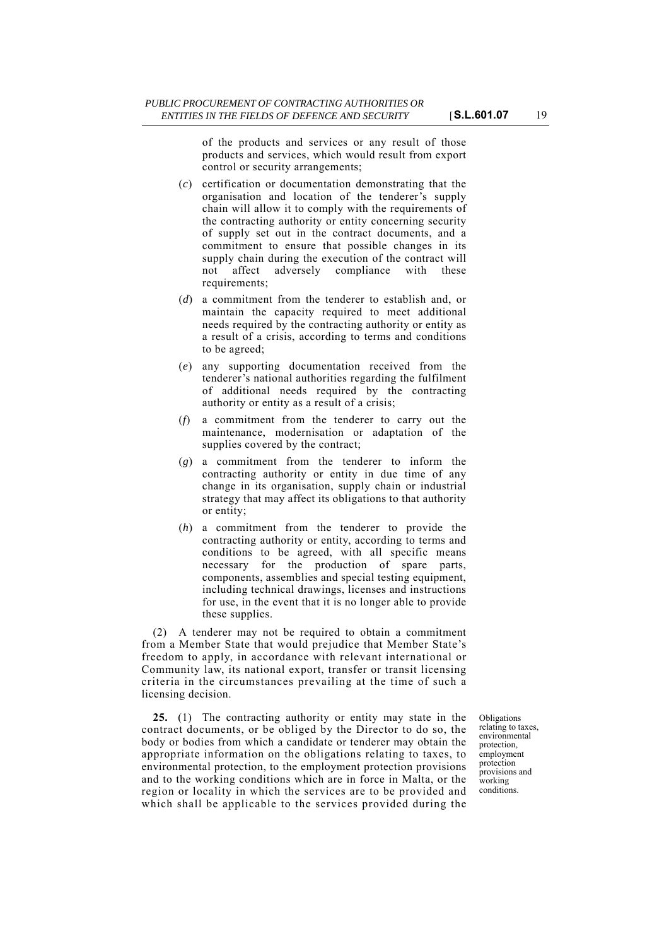of the products and services or any result of those products and services, which would result from export control or security arrangements;

- (*c*) certification or documentation demonstrating that the organisation and location of the tenderer's supply chain will allow it to comply with the requirements of the contracting authority or entity concerning security of supply set out in the contract documents, and a commitment to ensure that possible changes in its supply chain during the execution of the contract will not affect adversely compliance with these requirements;
- (*d*) a commitment from the tenderer to establish and, or maintain the capacity required to meet additional needs required by the contracting authority or entity as a result of a crisis, according to terms and conditions to be agreed;
- (*e*) any supporting documentation received from the tenderer's national authorities regarding the fulfilment of additional needs required by the contracting authority or entity as a result of a crisis;
- (*f*) a commitment from the tenderer to carry out the maintenance, modernisation or adaptation of the supplies covered by the contract;
- (*g*) a commitment from the tenderer to inform the contracting authority or entity in due time of any change in its organisation, supply chain or industrial strategy that may affect its obligations to that authority or entity;
- (*h*) a commitment from the tenderer to provide the contracting authority or entity, according to terms and conditions to be agreed, with all specific means necessary for the production of spare parts, components, assemblies and special testing equipment, including technical drawings, licenses and instructions for use, in the event that it is no longer able to provide these supplies.

(2) A tenderer may not be required to obtain a commitment from a Member State that would prejudice that Member State's freedom to apply, in accordance with relevant international or Community law, its national export, transfer or transit licensing criteria in the circumstances prevailing at the time of such a licensing decision.

**25.** (1) The contracting authority or entity may state in the contract documents, or be obliged by the Director to do so, the body or bodies from which a candidate or tenderer may obtain the appropriate information on the obligations relating to taxes, to environmental protection, to the employment protection provisions and to the working conditions which are in force in Malta, or the region or locality in which the services are to be provided and which shall be applicable to the services provided during the

Obligations relating to taxes, environmental protection, employment protection provisions and working conditions.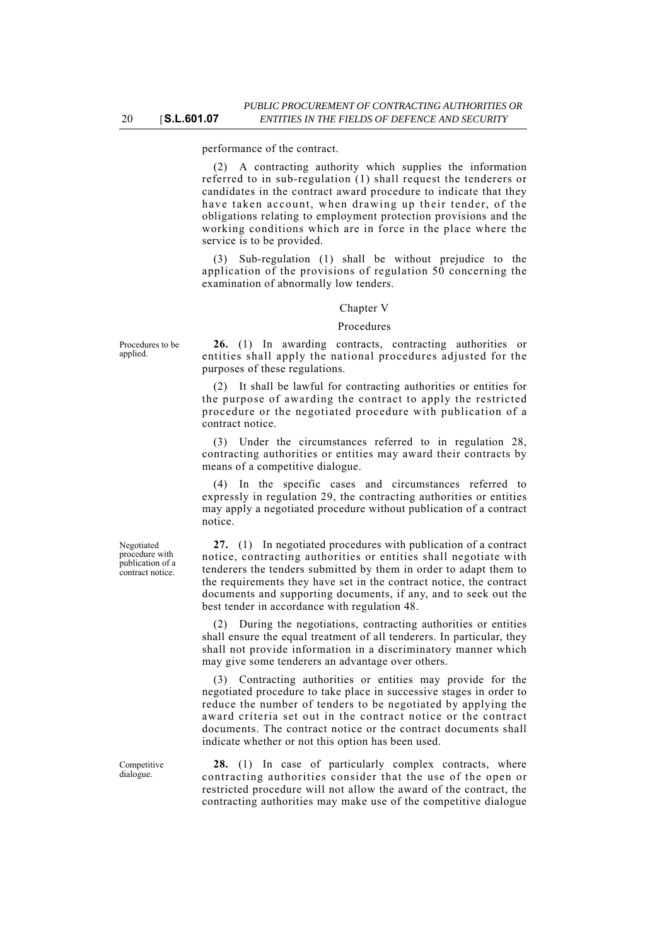(2) A contracting authority which supplies the information referred to in sub-regulation (1) shall request the tenderers or candidates in the contract award procedure to indicate that they have taken account, when drawing up their tender, of the obligations relating to employment protection provisions and the working conditions which are in force in the place where the service is to be provided.

(3) Sub-regulation (1) shall be without prejudice to the application of the provisions of regulation 50 concerning the examination of abnormally low tenders.

#### Chapter V

#### Procedures

Procedures to be applied.

**26.** (1) In awarding contracts, contracting authorities or entities shall apply the national procedures adjusted for the purposes of these regulations.

(2) It shall be lawful for contracting authorities or entities for the purpose of awarding the contract to apply the restricted procedure or the negotiated procedure with publication of a contract notice.

(3) Under the circumstances referred to in regulation 28, contracting authorities or entities may award their contracts by means of a competitive dialogue.

(4) In the specific cases and circumstances referred to expressly in regulation 29, the contracting authorities or entities may apply a negotiated procedure without publication of a contract notice.

**27.** (1) In negotiated procedures with publication of a contract notice, contracting authorities or entities shall negotiate with tenderers the tenders submitted by them in order to adapt them to the requirements they have set in the contract notice, the contract documents and supporting documents, if any, and to seek out the best tender in accordance with regulation 48.

(2) During the negotiations, contracting authorities or entities shall ensure the equal treatment of all tenderers. In particular, they shall not provide information in a discriminatory manner which may give some tenderers an advantage over others.

Contracting authorities or entities may provide for the negotiated procedure to take place in successive stages in order to reduce the number of tenders to be negotiated by applying the award criteria set out in the contract notice or the contract documents. The contract notice or the contract documents shall indicate whether or not this option has been used.

**28.** (1) In case of particularly complex contracts, where contracting authorities consider that the use of the open or restricted procedure will not allow the award of the contract, the contracting authorities may make use of the competitive dialogue

Negotiated procedure with publication of a contract notice.

Competitive dialogue.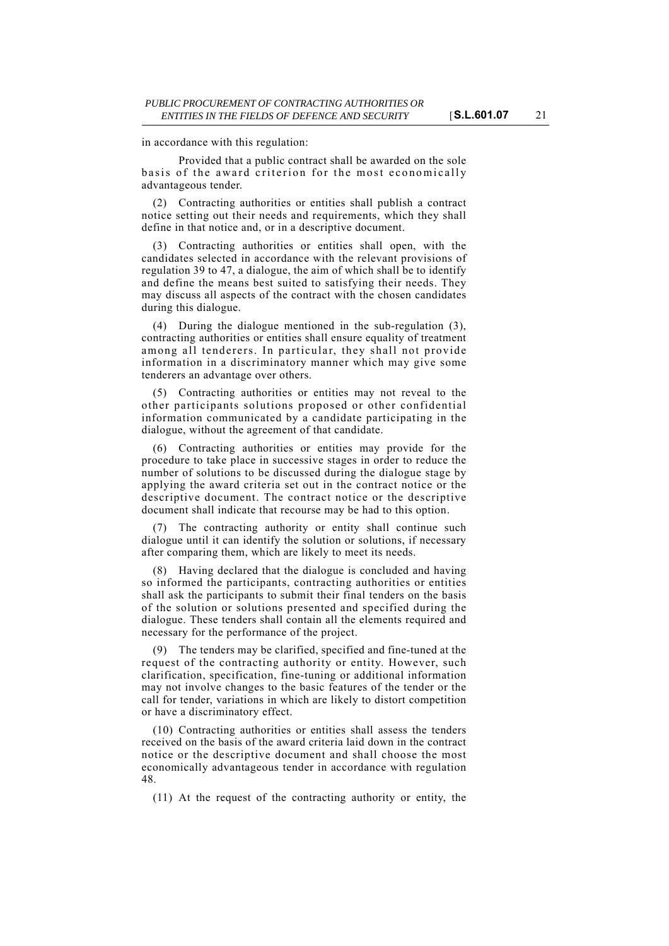in accordance with this regulation:

Provided that a public contract shall be awarded on the sole basis of the award criterion for the most economically advantageous tender.

(2) Contracting authorities or entities shall publish a contract notice setting out their needs and requirements, which they shall define in that notice and, or in a descriptive document.

(3) Contracting authorities or entities shall open, with the candidates selected in accordance with the relevant provisions of regulation 39 to 47, a dialogue, the aim of which shall be to identify and define the means best suited to satisfying their needs. They may discuss all aspects of the contract with the chosen candidates during this dialogue.

(4) During the dialogue mentioned in the sub-regulation (3), contracting authorities or entities shall ensure equality of treatment among all tenderers. In particular, they shall not provide information in a discriminatory manner which may give some tenderers an advantage over others.

(5) Contracting authorities or entities may not reveal to the other participants solutions proposed or other confidential information communicated by a candidate participating in the dialogue, without the agreement of that candidate.

(6) Contracting authorities or entities may provide for the procedure to take place in successive stages in order to reduce the number of solutions to be discussed during the dialogue stage by applying the award criteria set out in the contract notice or the descriptive document. The contract notice or the descriptive document shall indicate that recourse may be had to this option.

(7) The contracting authority or entity shall continue such dialogue until it can identify the solution or solutions, if necessary after comparing them, which are likely to meet its needs.

(8) Having declared that the dialogue is concluded and having so informed the participants, contracting authorities or entities shall ask the participants to submit their final tenders on the basis of the solution or solutions presented and specified during the dialogue. These tenders shall contain all the elements required and necessary for the performance of the project.

(9) The tenders may be clarified, specified and fine-tuned at the request of the contracting authority or entity. However, such clarification, specification, fine-tuning or additional information may not involve changes to the basic features of the tender or the call for tender, variations in which are likely to distort competition or have a discriminatory effect.

(10) Contracting authorities or entities shall assess the tenders received on the basis of the award criteria laid down in the contract notice or the descriptive document and shall choose the most economically advantageous tender in accordance with regulation 48.

(11) At the request of the contracting authority or entity, the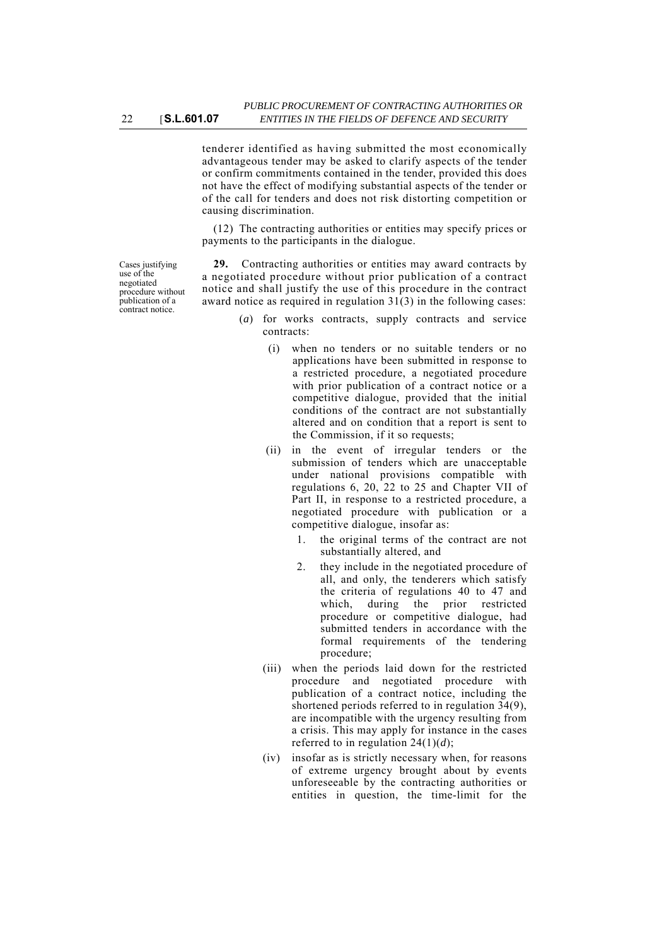tenderer identified as having submitted the most economically advantageous tender may be asked to clarify aspects of the tender or confirm commitments contained in the tender, provided this does not have the effect of modifying substantial aspects of the tender or of the call for tenders and does not risk distorting competition or causing discrimination.

(12) The contracting authorities or entities may specify prices or payments to the participants in the dialogue.

Cases justifying use of the negotiated procedure without publication of a contract notice.

**29.** Contracting authorities or entities may award contracts by a negotiated procedure without prior publication of a contract notice and shall justify the use of this procedure in the contract award notice as required in regulation 31(3) in the following cases:

- (*a*) for works contracts, supply contracts and service contracts:
	- (i) when no tenders or no suitable tenders or no applications have been submitted in response to a restricted procedure, a negotiated procedure with prior publication of a contract notice or a competitive dialogue, provided that the initial conditions of the contract are not substantially altered and on condition that a report is sent to the Commission, if it so requests;
	- (ii) in the event of irregular tenders or the submission of tenders which are unacceptable under national provisions compatible with regulations 6, 20, 22 to 25 and Chapter VII of Part II, in response to a restricted procedure, a negotiated procedure with publication or a competitive dialogue, insofar as:
		- 1. the original terms of the contract are not substantially altered, and
		- 2. they include in the negotiated procedure of all, and only, the tenderers which satisfy the criteria of regulations 40 to 47 and which, during the prior restricted procedure or competitive dialogue, had submitted tenders in accordance with the formal requirements of the tendering procedure;
	- (iii) when the periods laid down for the restricted procedure and negotiated procedure with publication of a contract notice, including the shortened periods referred to in regulation 34(9), are incompatible with the urgency resulting from a crisis. This may apply for instance in the cases referred to in regulation 24(1)(*d*);
	- (iv) insofar as is strictly necessary when, for reasons of extreme urgency brought about by events unforeseeable by the contracting authorities or entities in question, the time-limit for the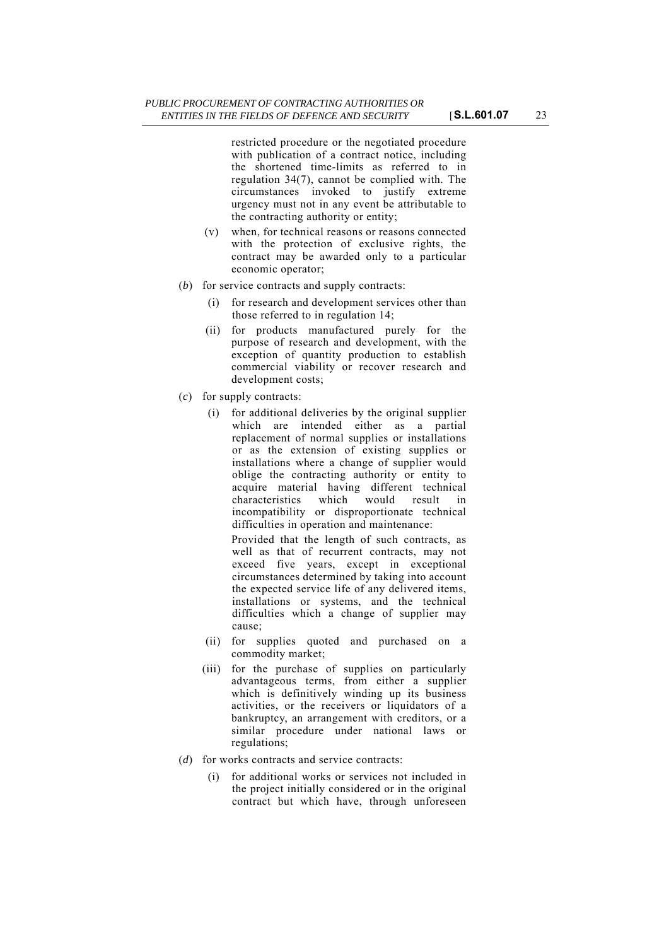restricted procedure or the negotiated procedure with publication of a contract notice, including the shortened time-limits as referred to in regulation 34(7), cannot be complied with. The circumstances invoked to justify extreme urgency must not in any event be attributable to the contracting authority or entity;

- (v) when, for technical reasons or reasons connected with the protection of exclusive rights, the contract may be awarded only to a particular economic operator;
- (*b*) for service contracts and supply contracts:
	- (i) for research and development services other than those referred to in regulation 14;
	- (ii) for products manufactured purely for the purpose of research and development, with the exception of quantity production to establish commercial viability or recover research and development costs;
- (*c*) for supply contracts:
	- (i) for additional deliveries by the original supplier which are intended either as a partial replacement of normal supplies or installations or as the extension of existing supplies or installations where a change of supplier would oblige the contracting authority or entity to acquire material having different technical characteristics which would result in incompatibility or disproportionate technical difficulties in operation and maintenance:

Provided that the length of such contracts, as well as that of recurrent contracts, may not exceed five years, except in exceptional circumstances determined by taking into account the expected service life of any delivered items, installations or systems, and the technical difficulties which a change of supplier may cause;

- (ii) for supplies quoted and purchased on a commodity market;
- (iii) for the purchase of supplies on particularly advantageous terms, from either a supplier which is definitively winding up its business activities, or the receivers or liquidators of a bankruptcy, an arrangement with creditors, or a similar procedure under national laws or regulations;
- (*d*) for works contracts and service contracts:
	- (i) for additional works or services not included in the project initially considered or in the original contract but which have, through unforeseen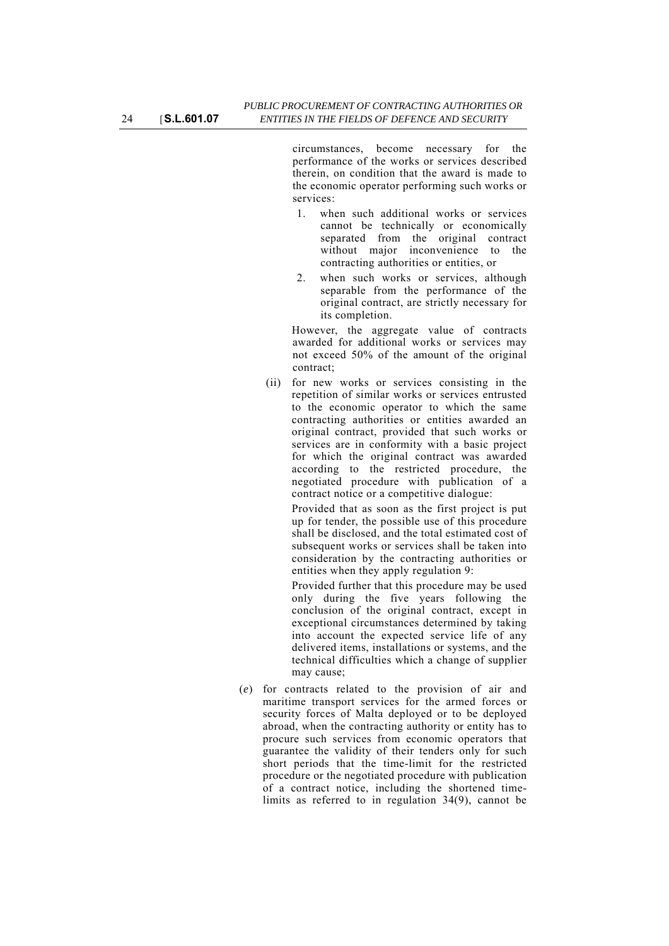circumstances, become necessary for the performance of the works or services described therein, on condition that the award is made to the economic operator performing such works or services:

- 1. when such additional works or services cannot be technically or economically separated from the original contract without major inconvenience to the contracting authorities or entities, or
- 2. when such works or services, although separable from the performance of the original contract, are strictly necessary for its completion.

However, the aggregate value of contracts awarded for additional works or services may not exceed 50% of the amount of the original contract;

(ii) for new works or services consisting in the repetition of similar works or services entrusted to the economic operator to which the same contracting authorities or entities awarded an original contract, provided that such works or services are in conformity with a basic project for which the original contract was awarded according to the restricted procedure, the negotiated procedure with publication of a contract notice or a competitive dialogue:

Provided that as soon as the first project is put up for tender, the possible use of this procedure shall be disclosed, and the total estimated cost of subsequent works or services shall be taken into consideration by the contracting authorities or entities when they apply regulation 9:

Provided further that this procedure may be used only during the five years following the conclusion of the original contract, except in exceptional circumstances determined by taking into account the expected service life of any delivered items, installations or systems, and the technical difficulties which a change of supplier may cause;

(*e*) for contracts related to the provision of air and maritime transport services for the armed forces or security forces of Malta deployed or to be deployed abroad, when the contracting authority or entity has to procure such services from economic operators that guarantee the validity of their tenders only for such short periods that the time-limit for the restricted procedure or the negotiated procedure with publication of a contract notice, including the shortened timelimits as referred to in regulation 34(9), cannot be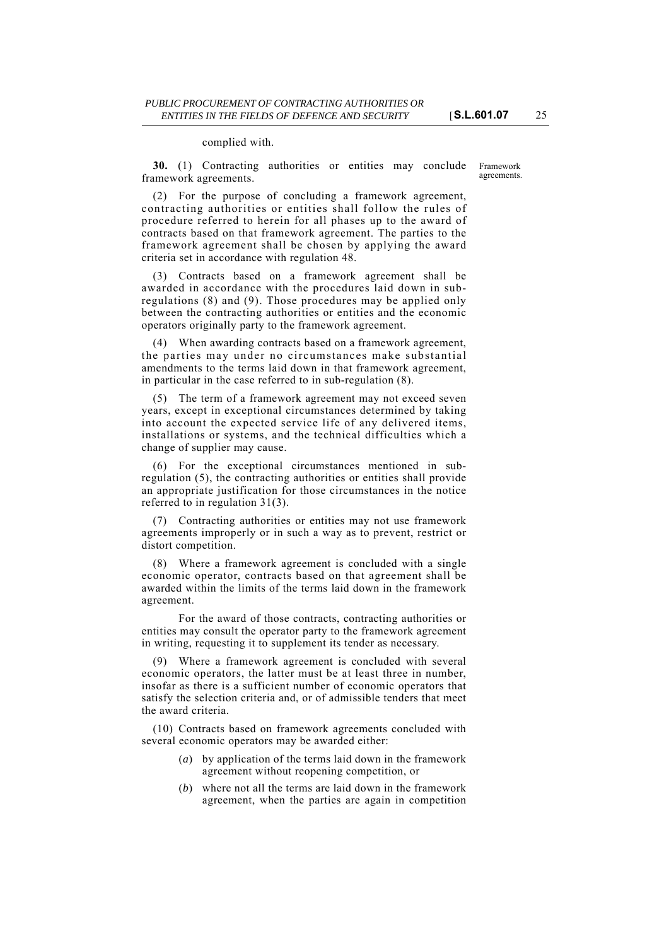#### complied with.

**30.** (1) Contracting authorities or entities may conclude framework agreements.

Framework agreements.

(2) For the purpose of concluding a framework agreement, contracting authorities or entities shall follow the rules of procedure referred to herein for all phases up to the award of contracts based on that framework agreement. The parties to the framework agreement shall be chosen by applying the award criteria set in accordance with regulation 48.

(3) Contracts based on a framework agreement shall be awarded in accordance with the procedures laid down in subregulations (8) and (9). Those procedures may be applied only between the contracting authorities or entities and the economic operators originally party to the framework agreement.

(4) When awarding contracts based on a framework agreement, the parties may under no circumstances make substantial amendments to the terms laid down in that framework agreement, in particular in the case referred to in sub-regulation (8).

(5) The term of a framework agreement may not exceed seven years, except in exceptional circumstances determined by taking into account the expected service life of any delivered items, installations or systems, and the technical difficulties which a change of supplier may cause.

(6) For the exceptional circumstances mentioned in subregulation (5), the contracting authorities or entities shall provide an appropriate justification for those circumstances in the notice referred to in regulation 31(3).

(7) Contracting authorities or entities may not use framework agreements improperly or in such a way as to prevent, restrict or distort competition.

Where a framework agreement is concluded with a single economic operator, contracts based on that agreement shall be awarded within the limits of the terms laid down in the framework agreement.

For the award of those contracts, contracting authorities or entities may consult the operator party to the framework agreement in writing, requesting it to supplement its tender as necessary.

(9) Where a framework agreement is concluded with several economic operators, the latter must be at least three in number, insofar as there is a sufficient number of economic operators that satisfy the selection criteria and, or of admissible tenders that meet the award criteria.

(10) Contracts based on framework agreements concluded with several economic operators may be awarded either:

- (*a*) by application of the terms laid down in the framework agreement without reopening competition, or
- (*b*) where not all the terms are laid down in the framework agreement, when the parties are again in competition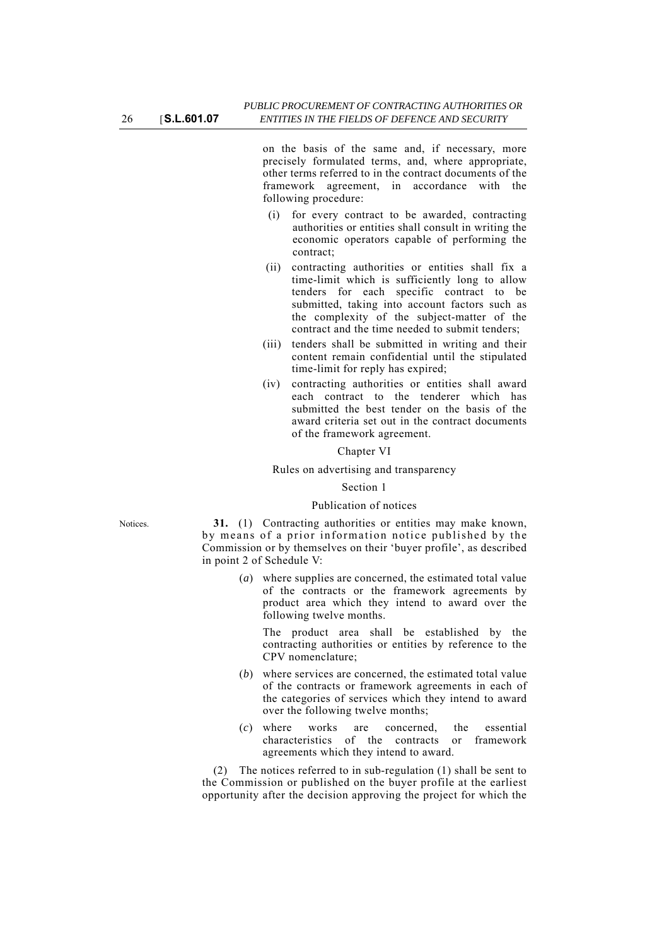on the basis of the same and, if necessary, more precisely formulated terms, and, where appropriate, other terms referred to in the contract documents of the framework agreement, in accordance with the following procedure:

- (i) for every contract to be awarded, contracting authorities or entities shall consult in writing the economic operators capable of performing the contract;
- (ii) contracting authorities or entities shall fix a time-limit which is sufficiently long to allow tenders for each specific contract to be submitted, taking into account factors such as the complexity of the subject-matter of the contract and the time needed to submit tenders;
- (iii) tenders shall be submitted in writing and their content remain confidential until the stipulated time-limit for reply has expired;
- (iv) contracting authorities or entities shall award each contract to the tenderer which has submitted the best tender on the basis of the award criteria set out in the contract documents of the framework agreement.

#### Chapter VI

#### Rules on advertising and transparency

### Section 1

#### Publication of notices

Notices. **31.** (1) Contracting authorities or entities may make known, by means of a prior information notice published by the Commission or by themselves on their 'buyer profile', as described in point 2 of Schedule V:

> (*a*) where supplies are concerned, the estimated total value of the contracts or the framework agreements by product area which they intend to award over the following twelve months.

The product area shall be established by the contracting authorities or entities by reference to the CPV nomenclature;

- (*b*) where services are concerned, the estimated total value of the contracts or framework agreements in each of the categories of services which they intend to award over the following twelve months;
- (*c*) where works are concerned, the essential characteristics of the contracts or framework agreements which they intend to award.

(2) The notices referred to in sub-regulation (1) shall be sent to the Commission or published on the buyer profile at the earliest opportunity after the decision approving the project for which the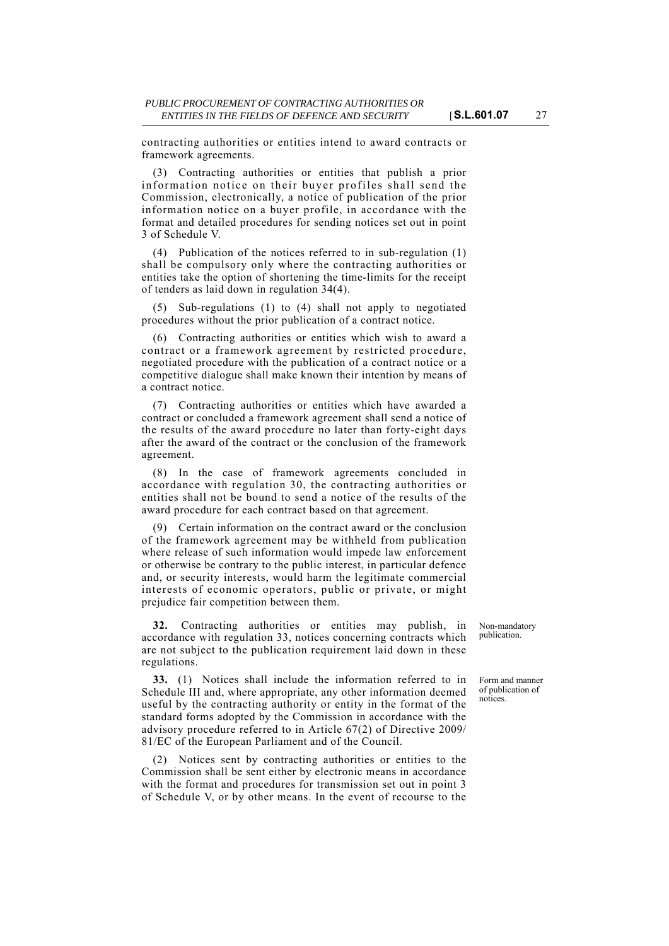contracting authorities or entities intend to award contracts or framework agreements.

(3) Contracting authorities or entities that publish a prior information notice on their buyer profiles shall send the Commission, electronically, a notice of publication of the prior information notice on a buyer profile, in accordance with the format and detailed procedures for sending notices set out in point 3 of Schedule V.

(4) Publication of the notices referred to in sub-regulation (1) shall be compulsory only where the contracting authorities or entities take the option of shortening the time-limits for the receipt of tenders as laid down in regulation 34(4).

(5) Sub-regulations (1) to (4) shall not apply to negotiated procedures without the prior publication of a contract notice.

(6) Contracting authorities or entities which wish to award a contract or a framework agreement by restricted procedure, negotiated procedure with the publication of a contract notice or a competitive dialogue shall make known their intention by means of a contract notice.

(7) Contracting authorities or entities which have awarded a contract or concluded a framework agreement shall send a notice of the results of the award procedure no later than forty-eight days after the award of the contract or the conclusion of the framework agreement.

(8) In the case of framework agreements concluded in accordance with regulation 30, the contracting authorities or entities shall not be bound to send a notice of the results of the award procedure for each contract based on that agreement.

(9) Certain information on the contract award or the conclusion of the framework agreement may be withheld from publication where release of such information would impede law enforcement or otherwise be contrary to the public interest, in particular defence and, or security interests, would harm the legitimate commercial interests of economic operators, public or private, or might prejudice fair competition between them.

**32.** Contracting authorities or entities may publish, in accordance with regulation 33, notices concerning contracts which are not subject to the publication requirement laid down in these regulations.

**33.** (1) Notices shall include the information referred to in Schedule III and, where appropriate, any other information deemed useful by the contracting authority or entity in the format of the standard forms adopted by the Commission in accordance with the advisory procedure referred to in Article 67(2) of Directive 2009/ 81/EC of the European Parliament and of the Council.

(2) Notices sent by contracting authorities or entities to the Commission shall be sent either by electronic means in accordance with the format and procedures for transmission set out in point 3 of Schedule V, or by other means. In the event of recourse to the

Non-mandatory publication.

Form and manner of publication of notices.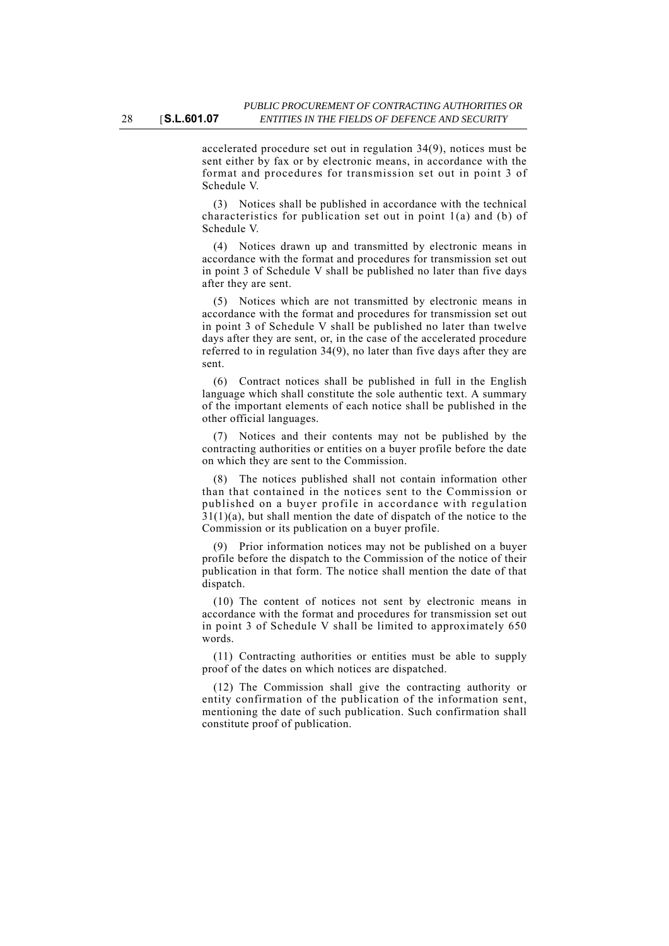accelerated procedure set out in regulation 34(9), notices must be sent either by fax or by electronic means, in accordance with the format and procedures for transmission set out in point 3 of Schedule V.

(3) Notices shall be published in accordance with the technical characteristics for publication set out in point 1(a) and (b) of Schedule V.

(4) Notices drawn up and transmitted by electronic means in accordance with the format and procedures for transmission set out in point 3 of Schedule V shall be published no later than five days after they are sent.

(5) Notices which are not transmitted by electronic means in accordance with the format and procedures for transmission set out in point 3 of Schedule V shall be published no later than twelve days after they are sent, or, in the case of the accelerated procedure referred to in regulation 34(9), no later than five days after they are sent.

(6) Contract notices shall be published in full in the English language which shall constitute the sole authentic text. A summary of the important elements of each notice shall be published in the other official languages.

(7) Notices and their contents may not be published by the contracting authorities or entities on a buyer profile before the date on which they are sent to the Commission.

(8) The notices published shall not contain information other than that contained in the notices sent to the Commission or published on a buyer profile in accordance with regulation  $31(1)(a)$ , but shall mention the date of dispatch of the notice to the Commission or its publication on a buyer profile.

(9) Prior information notices may not be published on a buyer profile before the dispatch to the Commission of the notice of their publication in that form. The notice shall mention the date of that dispatch.

(10) The content of notices not sent by electronic means in accordance with the format and procedures for transmission set out in point 3 of Schedule V shall be limited to approximately 650 words.

(11) Contracting authorities or entities must be able to supply proof of the dates on which notices are dispatched.

(12) The Commission shall give the contracting authority or entity confirmation of the publication of the information sent, mentioning the date of such publication. Such confirmation shall constitute proof of publication.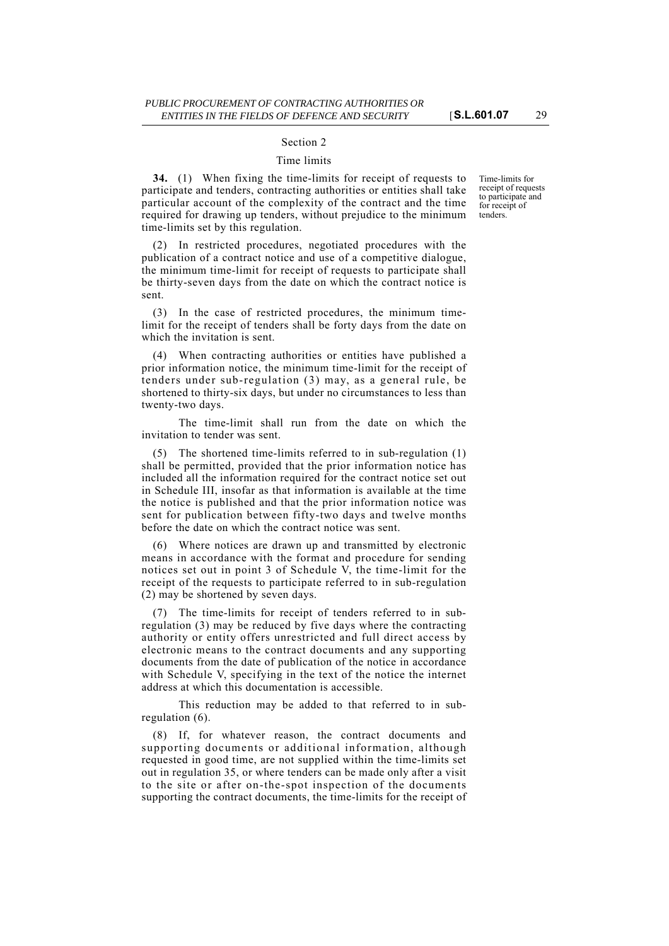#### Section 2

#### Time limits

**34.** (1) When fixing the time-limits for receipt of requests to participate and tenders, contracting authorities or entities shall take particular account of the complexity of the contract and the time required for drawing up tenders, without prejudice to the minimum time-limits set by this regulation.

(2) In restricted procedures, negotiated procedures with the publication of a contract notice and use of a competitive dialogue, the minimum time-limit for receipt of requests to participate shall be thirty-seven days from the date on which the contract notice is sent.

(3) In the case of restricted procedures, the minimum timelimit for the receipt of tenders shall be forty days from the date on which the invitation is sent.

(4) When contracting authorities or entities have published a prior information notice, the minimum time-limit for the receipt of tenders under sub-regulation (3) may, as a general rule, be shortened to thirty-six days, but under no circumstances to less than twenty-two days.

The time-limit shall run from the date on which the invitation to tender was sent.

(5) The shortened time-limits referred to in sub-regulation (1) shall be permitted, provided that the prior information notice has included all the information required for the contract notice set out in Schedule III, insofar as that information is available at the time the notice is published and that the prior information notice was sent for publication between fifty-two days and twelve months before the date on which the contract notice was sent.

(6) Where notices are drawn up and transmitted by electronic means in accordance with the format and procedure for sending notices set out in point 3 of Schedule V, the time-limit for the receipt of the requests to participate referred to in sub-regulation (2) may be shortened by seven days.

(7) The time-limits for receipt of tenders referred to in subregulation (3) may be reduced by five days where the contracting authority or entity offers unrestricted and full direct access by electronic means to the contract documents and any supporting documents from the date of publication of the notice in accordance with Schedule V, specifying in the text of the notice the internet address at which this documentation is accessible.

This reduction may be added to that referred to in subregulation (6).

(8) If, for whatever reason, the contract documents and supporting documents or additional information, although requested in good time, are not supplied within the time-limits set out in regulation 35, or where tenders can be made only after a visit to the site or after on-the-spot inspection of the documents supporting the contract documents, the time-limits for the receipt of Time-limits for receipt of requests to participate and for receipt of tenders.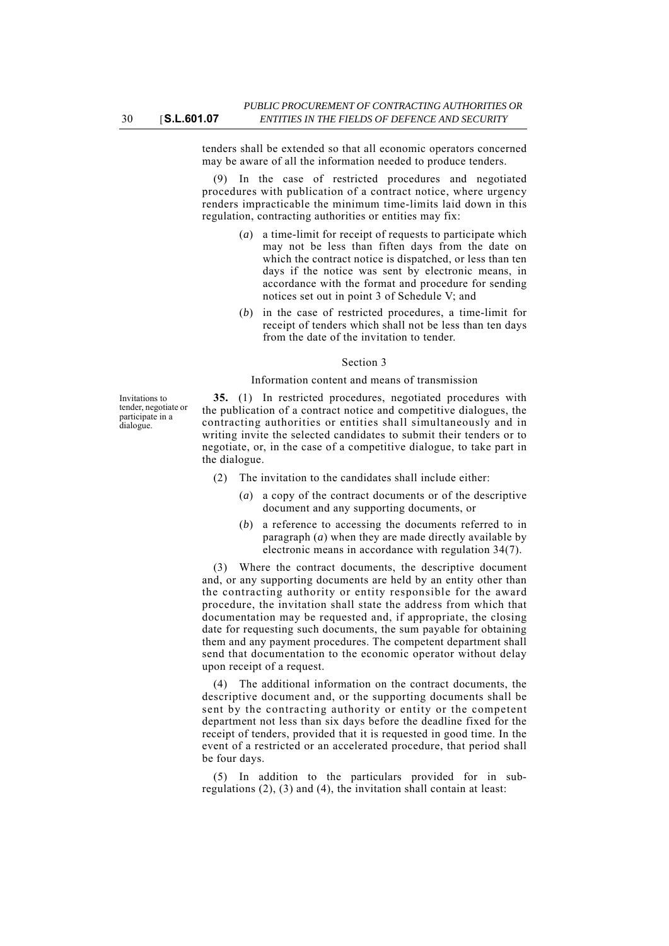tenders shall be extended so that all economic operators concerned may be aware of all the information needed to produce tenders.

(9) In the case of restricted procedures and negotiated procedures with publication of a contract notice, where urgency renders impracticable the minimum time-limits laid down in this regulation, contracting authorities or entities may fix:

- (*a*) a time-limit for receipt of requests to participate which may not be less than fiften days from the date on which the contract notice is dispatched, or less than ten days if the notice was sent by electronic means, in accordance with the format and procedure for sending notices set out in point 3 of Schedule V; and
- (*b*) in the case of restricted procedures, a time-limit for receipt of tenders which shall not be less than ten days from the date of the invitation to tender.

### Section 3

#### Information content and means of transmission

Invitations to tender, negotiate or participate in a dialogue.

**35.** (1) In restricted procedures, negotiated procedures with the publication of a contract notice and competitive dialogues, the contracting authorities or entities shall simultaneously and in writing invite the selected candidates to submit their tenders or to negotiate, or, in the case of a competitive dialogue, to take part in the dialogue.

- (2) The invitation to the candidates shall include either:
	- (*a*) a copy of the contract documents or of the descriptive document and any supporting documents, or
	- (*b*) a reference to accessing the documents referred to in paragraph (*a*) when they are made directly available by electronic means in accordance with regulation 34(7).

(3) Where the contract documents, the descriptive document and, or any supporting documents are held by an entity other than the contracting authority or entity responsible for the award procedure, the invitation shall state the address from which that documentation may be requested and, if appropriate, the closing date for requesting such documents, the sum payable for obtaining them and any payment procedures. The competent department shall send that documentation to the economic operator without delay upon receipt of a request.

(4) The additional information on the contract documents, the descriptive document and, or the supporting documents shall be sent by the contracting authority or entity or the competent department not less than six days before the deadline fixed for the receipt of tenders, provided that it is requested in good time. In the event of a restricted or an accelerated procedure, that period shall be four days.

(5) In addition to the particulars provided for in subregulations (2), (3) and (4), the invitation shall contain at least: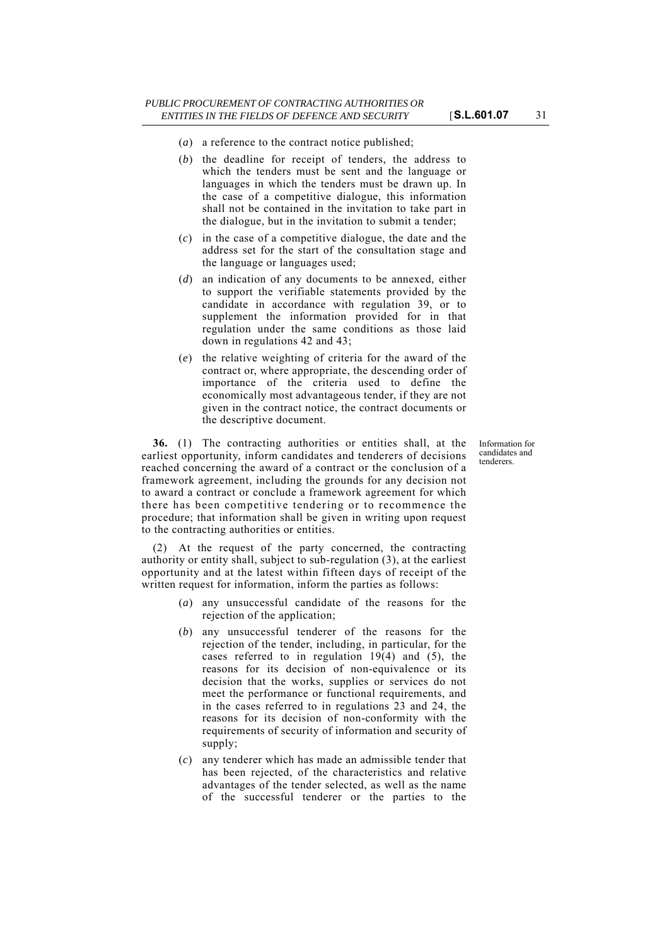- (*a*) a reference to the contract notice published;
- (*b*) the deadline for receipt of tenders, the address to which the tenders must be sent and the language or languages in which the tenders must be drawn up. In the case of a competitive dialogue, this information shall not be contained in the invitation to take part in the dialogue, but in the invitation to submit a tender;
- (*c*) in the case of a competitive dialogue, the date and the address set for the start of the consultation stage and the language or languages used;
- (*d*) an indication of any documents to be annexed, either to support the verifiable statements provided by the candidate in accordance with regulation 39, or to supplement the information provided for in that regulation under the same conditions as those laid down in regulations 42 and 43;
- (*e*) the relative weighting of criteria for the award of the contract or, where appropriate, the descending order of importance of the criteria used to define the economically most advantageous tender, if they are not given in the contract notice, the contract documents or the descriptive document.

**36.** (1) The contracting authorities or entities shall, at the earliest opportunity, inform candidates and tenderers of decisions reached concerning the award of a contract or the conclusion of a framework agreement, including the grounds for any decision not to award a contract or conclude a framework agreement for which there has been competitive tendering or to recommence the procedure; that information shall be given in writing upon request to the contracting authorities or entities.

(2) At the request of the party concerned, the contracting authority or entity shall, subject to sub-regulation (3), at the earliest opportunity and at the latest within fifteen days of receipt of the written request for information, inform the parties as follows:

- (*a*) any unsuccessful candidate of the reasons for the rejection of the application;
- (*b*) any unsuccessful tenderer of the reasons for the rejection of the tender, including, in particular, for the cases referred to in regulation 19(4) and (5), the reasons for its decision of non-equivalence or its decision that the works, supplies or services do not meet the performance or functional requirements, and in the cases referred to in regulations 23 and 24, the reasons for its decision of non-conformity with the requirements of security of information and security of supply;
- (*c*) any tenderer which has made an admissible tender that has been rejected, of the characteristics and relative advantages of the tender selected, as well as the name of the successful tenderer or the parties to the

Information for candidates and tenderers.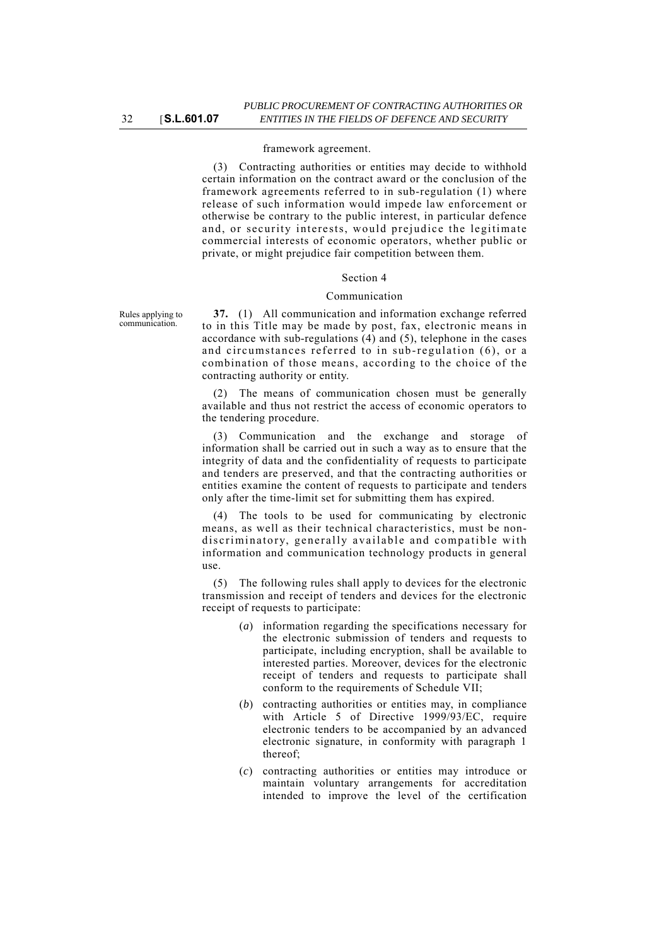### framework agreement.

(3) Contracting authorities or entities may decide to withhold certain information on the contract award or the conclusion of the framework agreements referred to in sub-regulation (1) where release of such information would impede law enforcement or otherwise be contrary to the public interest, in particular defence and, or security interests, would prejudice the legitimate commercial interests of economic operators, whether public or private, or might prejudice fair competition between them.

#### Section 4

#### Communication

Rules applying to communication.

**37.** (1) All communication and information exchange referred to in this Title may be made by post, fax, electronic means in accordance with sub-regulations (4) and (5), telephone in the cases and circumstances referred to in sub-regulation (6), or a combination of those means, according to the choice of the contracting authority or entity.

(2) The means of communication chosen must be generally available and thus not restrict the access of economic operators to the tendering procedure.

(3) Communication and the exchange and storage of information shall be carried out in such a way as to ensure that the integrity of data and the confidentiality of requests to participate and tenders are preserved, and that the contracting authorities or entities examine the content of requests to participate and tenders only after the time-limit set for submitting them has expired.

(4) The tools to be used for communicating by electronic means, as well as their technical characteristics, must be nondiscriminatory, generally available and compatible with information and communication technology products in general use.

(5) The following rules shall apply to devices for the electronic transmission and receipt of tenders and devices for the electronic receipt of requests to participate:

- (*a*) information regarding the specifications necessary for the electronic submission of tenders and requests to participate, including encryption, shall be available to interested parties. Moreover, devices for the electronic receipt of tenders and requests to participate shall conform to the requirements of Schedule VII;
- (*b*) contracting authorities or entities may, in compliance with Article 5 of Directive 1999/93/EC, require electronic tenders to be accompanied by an advanced electronic signature, in conformity with paragraph 1 thereof;
- (*c*) contracting authorities or entities may introduce or maintain voluntary arrangements for accreditation intended to improve the level of the certification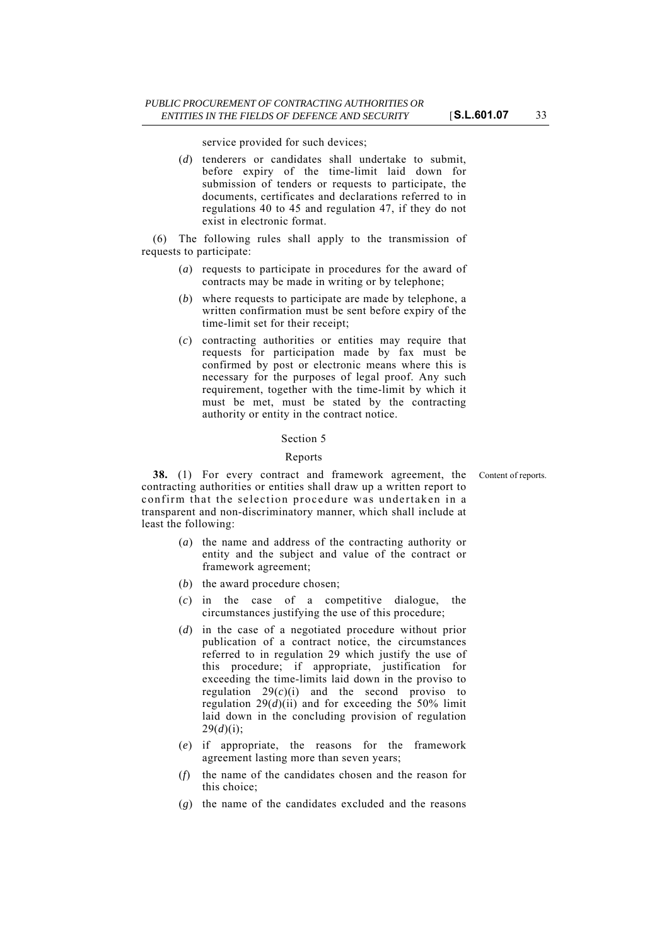service provided for such devices;

(*d*) tenderers or candidates shall undertake to submit, before expiry of the time-limit laid down for submission of tenders or requests to participate, the documents, certificates and declarations referred to in regulations 40 to 45 and regulation 47, if they do not exist in electronic format.

(6) The following rules shall apply to the transmission of requests to participate:

- (*a*) requests to participate in procedures for the award of contracts may be made in writing or by telephone;
- (*b*) where requests to participate are made by telephone, a written confirmation must be sent before expiry of the time-limit set for their receipt;
- (*c*) contracting authorities or entities may require that requests for participation made by fax must be confirmed by post or electronic means where this is necessary for the purposes of legal proof. Any such requirement, together with the time-limit by which it must be met, must be stated by the contracting authority or entity in the contract notice.

#### Section 5

#### Reports

**38.** (1) For every contract and framework agreement, the Content of reports. contracting authorities or entities shall draw up a written report to confirm that the selection procedure was undertaken in a transparent and non-discriminatory manner, which shall include at least the following:

- (*a*) the name and address of the contracting authority or entity and the subject and value of the contract or framework agreement;
- (*b*) the award procedure chosen;
- (*c*) in the case of a competitive dialogue, the circumstances justifying the use of this procedure;
- (*d*) in the case of a negotiated procedure without prior publication of a contract notice, the circumstances referred to in regulation 29 which justify the use of this procedure; if appropriate, justification for exceeding the time-limits laid down in the proviso to regulation  $29(c)(i)$  and the second proviso to regulation  $29(d)(ii)$  and for exceeding the 50% limit laid down in the concluding provision of regulation  $29(d)(i)$ ;
- (*e*) if appropriate, the reasons for the framework agreement lasting more than seven years;
- (*f*) the name of the candidates chosen and the reason for this choice;
- (*g*) the name of the candidates excluded and the reasons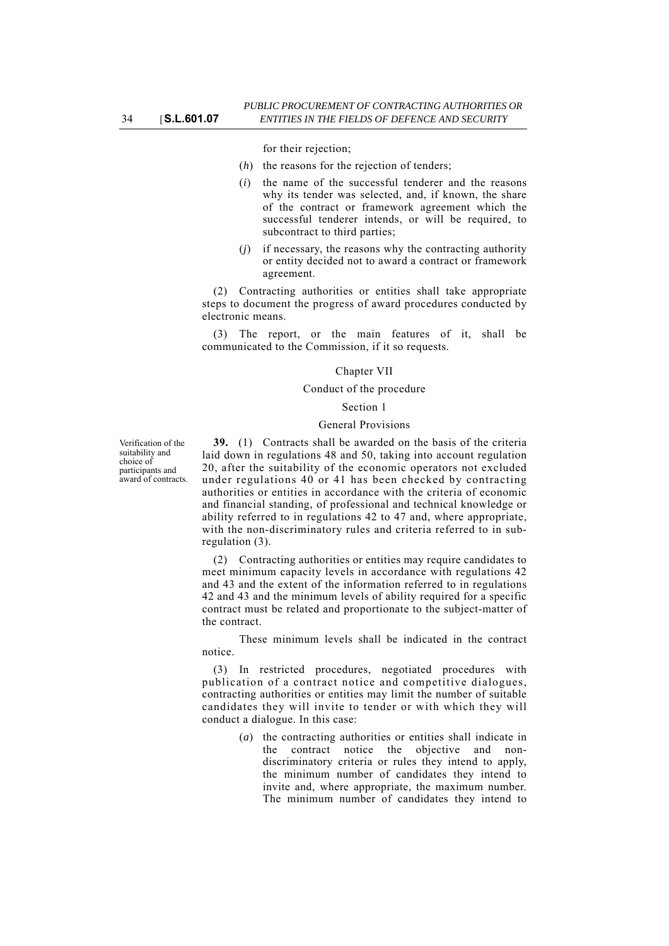for their rejection;

- (*h*) the reasons for the rejection of tenders;
- (*i*) the name of the successful tenderer and the reasons why its tender was selected, and, if known, the share of the contract or framework agreement which the successful tenderer intends, or will be required, to subcontract to third parties;
- (*j*) if necessary, the reasons why the contracting authority or entity decided not to award a contract or framework agreement.

(2) Contracting authorities or entities shall take appropriate steps to document the progress of award procedures conducted by electronic means.

(3) The report, or the main features of it, shall be communicated to the Commission, if it so requests.

#### Chapter VII

### Conduct of the procedure

#### Section 1

#### General Provisions

**39.** (1) Contracts shall be awarded on the basis of the criteria laid down in regulations 48 and 50, taking into account regulation 20, after the suitability of the economic operators not excluded under regulations 40 or 41 has been checked by contracting authorities or entities in accordance with the criteria of economic and financial standing, of professional and technical knowledge or ability referred to in regulations 42 to 47 and, where appropriate, with the non-discriminatory rules and criteria referred to in subregulation (3).

(2) Contracting authorities or entities may require candidates to meet minimum capacity levels in accordance with regulations 42 and 43 and the extent of the information referred to in regulations 42 and 43 and the minimum levels of ability required for a specific contract must be related and proportionate to the subject-matter of the contract.

These minimum levels shall be indicated in the contract notice.

(3) In restricted procedures, negotiated procedures with publication of a contract notice and competitive dialogues, contracting authorities or entities may limit the number of suitable candidates they will invite to tender or with which they will conduct a dialogue. In this case:

> (*a*) the contracting authorities or entities shall indicate in the contract notice the objective and nondiscriminatory criteria or rules they intend to apply, the minimum number of candidates they intend to invite and, where appropriate, the maximum number. The minimum number of candidates they intend to

Verification of the suitability and choice of participants and award of contracts.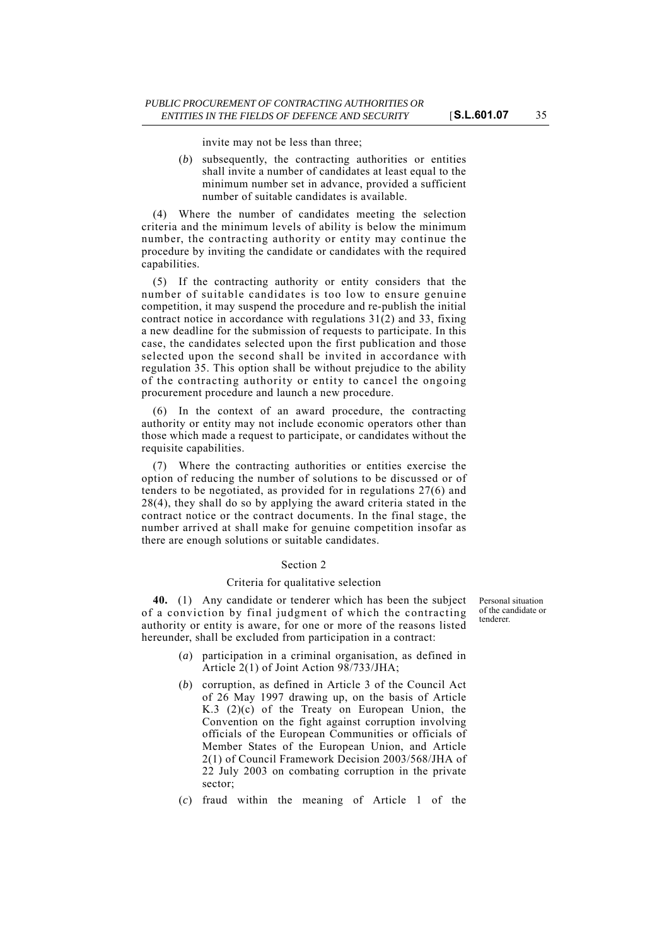invite may not be less than three;

(*b*) subsequently, the contracting authorities or entities shall invite a number of candidates at least equal to the minimum number set in advance, provided a sufficient number of suitable candidates is available.

(4) Where the number of candidates meeting the selection criteria and the minimum levels of ability is below the minimum number, the contracting authority or entity may continue the procedure by inviting the candidate or candidates with the required capabilities.

(5) If the contracting authority or entity considers that the number of suitable candidates is too low to ensure genuine competition, it may suspend the procedure and re-publish the initial contract notice in accordance with regulations 31(2) and 33, fixing a new deadline for the submission of requests to participate. In this case, the candidates selected upon the first publication and those selected upon the second shall be invited in accordance with regulation 35. This option shall be without prejudice to the ability of the contracting authority or entity to cancel the ongoing procurement procedure and launch a new procedure.

(6) In the context of an award procedure, the contracting authority or entity may not include economic operators other than those which made a request to participate, or candidates without the requisite capabilities.

(7) Where the contracting authorities or entities exercise the option of reducing the number of solutions to be discussed or of tenders to be negotiated, as provided for in regulations 27(6) and 28(4), they shall do so by applying the award criteria stated in the contract notice or the contract documents. In the final stage, the number arrived at shall make for genuine competition insofar as there are enough solutions or suitable candidates.

### Section 2

### Criteria for qualitative selection

**40.** (1) Any candidate or tenderer which has been the subject of a conviction by final judgment of which the contracting authority or entity is aware, for one or more of the reasons listed hereunder, shall be excluded from participation in a contract:

- Personal situation of the candidate or tenderer.
- (*a*) participation in a criminal organisation, as defined in Article 2(1) of Joint Action 98/733/JHA;
- (*b*) corruption, as defined in Article 3 of the Council Act of 26 May 1997 drawing up, on the basis of Article K.3 (2)(c) of the Treaty on European Union, the Convention on the fight against corruption involving officials of the European Communities or officials of Member States of the European Union, and Article 2(1) of Council Framework Decision 2003/568/JHA of 22 July 2003 on combating corruption in the private sector;
- (*c*) fraud within the meaning of Article 1 of the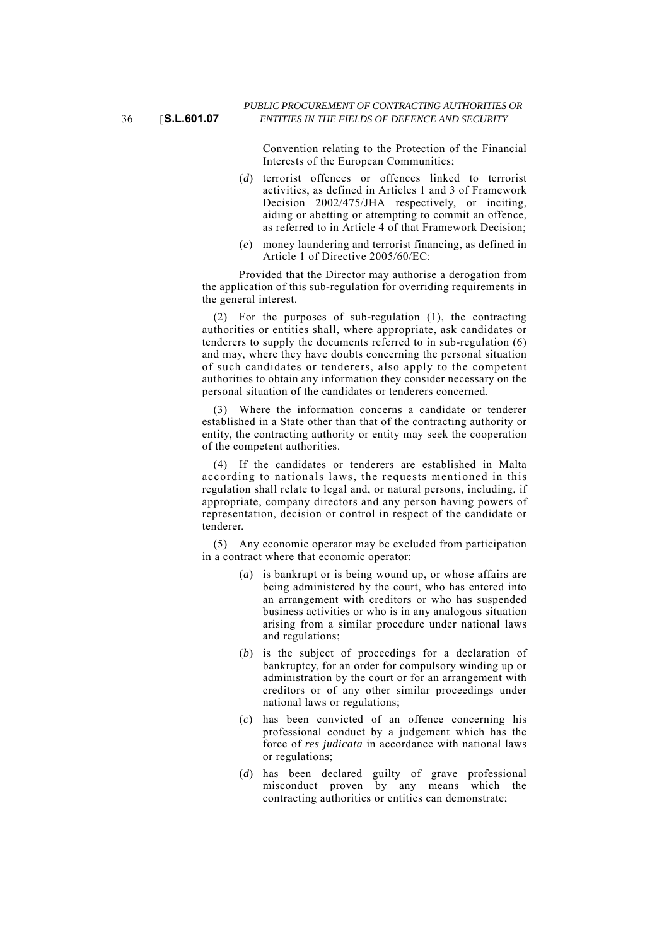Convention relating to the Protection of the Financial Interests of the European Communities;

- (*d*) terrorist offences or offences linked to terrorist activities, as defined in Articles 1 and 3 of Framework Decision 2002/475/JHA respectively, or inciting, aiding or abetting or attempting to commit an offence, as referred to in Article 4 of that Framework Decision;
- (*e*) money laundering and terrorist financing, as defined in Article 1 of Directive 2005/60/EC:

Provided that the Director may authorise a derogation from the application of this sub-regulation for overriding requirements in the general interest.

(2) For the purposes of sub-regulation (1), the contracting authorities or entities shall, where appropriate, ask candidates or tenderers to supply the documents referred to in sub-regulation (6) and may, where they have doubts concerning the personal situation of such candidates or tenderers, also apply to the competent authorities to obtain any information they consider necessary on the personal situation of the candidates or tenderers concerned.

(3) Where the information concerns a candidate or tenderer established in a State other than that of the contracting authority or entity, the contracting authority or entity may seek the cooperation of the competent authorities.

(4) If the candidates or tenderers are established in Malta according to nationals laws, the requests mentioned in this regulation shall relate to legal and, or natural persons, including, if appropriate, company directors and any person having powers of representation, decision or control in respect of the candidate or tenderer.

(5) Any economic operator may be excluded from participation in a contract where that economic operator:

- (*a*) is bankrupt or is being wound up, or whose affairs are being administered by the court, who has entered into an arrangement with creditors or who has suspended business activities or who is in any analogous situation arising from a similar procedure under national laws and regulations;
- (*b*) is the subject of proceedings for a declaration of bankruptcy, for an order for compulsory winding up or administration by the court or for an arrangement with creditors or of any other similar proceedings under national laws or regulations;
- (*c*) has been convicted of an offence concerning his professional conduct by a judgement which has the force of *res judicata* in accordance with national laws or regulations;
- (*d*) has been declared guilty of grave professional misconduct proven by any means which the contracting authorities or entities can demonstrate;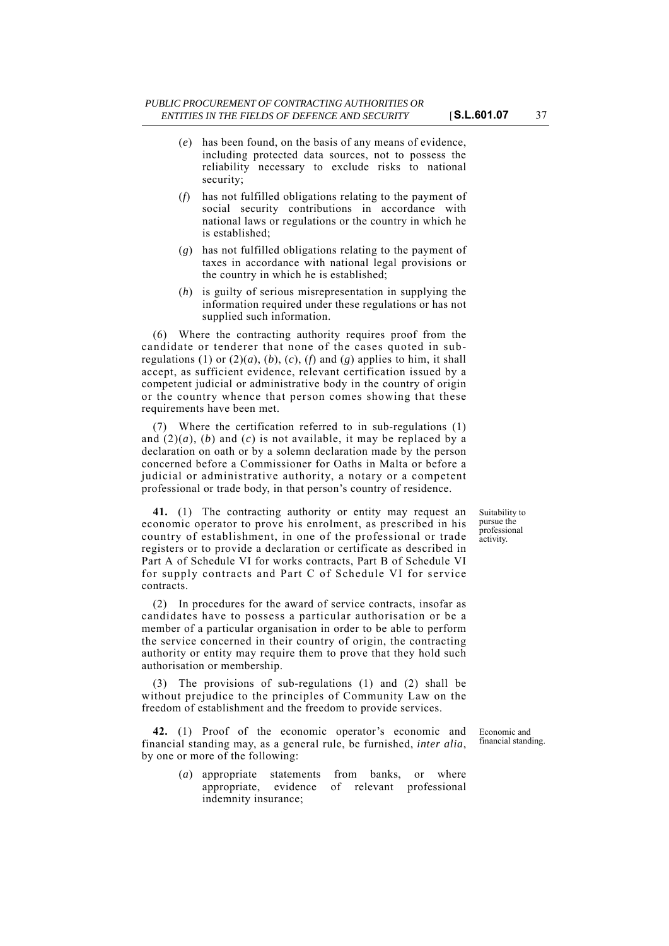- (*e*) has been found, on the basis of any means of evidence, including protected data sources, not to possess the reliability necessary to exclude risks to national security;
- (*f*) has not fulfilled obligations relating to the payment of social security contributions in accordance with national laws or regulations or the country in which he is established;
- (*g*) has not fulfilled obligations relating to the payment of taxes in accordance with national legal provisions or the country in which he is established;
- (*h*) is guilty of serious misrepresentation in supplying the information required under these regulations or has not supplied such information.

(6) Where the contracting authority requires proof from the candidate or tenderer that none of the cases quoted in subregulations (1) or  $(2)(a)$ ,  $(b)$ ,  $(c)$ ,  $(f)$  and  $(g)$  applies to him, it shall accept, as sufficient evidence, relevant certification issued by a competent judicial or administrative body in the country of origin or the country whence that person comes showing that these requirements have been met.

(7) Where the certification referred to in sub-regulations (1) and  $(2)(a)$ ,  $(b)$  and  $(c)$  is not available, it may be replaced by a declaration on oath or by a solemn declaration made by the person concerned before a Commissioner for Oaths in Malta or before a judicial or administrative authority, a notary or a competent professional or trade body, in that person's country of residence.

**41.** (1) The contracting authority or entity may request an economic operator to prove his enrolment, as prescribed in his country of establishment, in one of the professional or trade registers or to provide a declaration or certificate as described in Part A of Schedule VI for works contracts, Part B of Schedule VI for supply contracts and Part C of Schedule VI for service contracts.

(2) In procedures for the award of service contracts, insofar as candidates have to possess a particular authorisation or be a member of a particular organisation in order to be able to perform the service concerned in their country of origin, the contracting authority or entity may require them to prove that they hold such authorisation or membership.

(3) The provisions of sub-regulations (1) and (2) shall be without prejudice to the principles of Community Law on the freedom of establishment and the freedom to provide services.

**42.** (1) Proof of the economic operator's economic and financial standing may, as a general rule, be furnished, *inter alia*, by one or more of the following:

> (*a*) appropriate statements from banks, or where appropriate, evidence of relevant professional indemnity insurance;

Suitability to pursue the professional activity.

Economic and financial standing.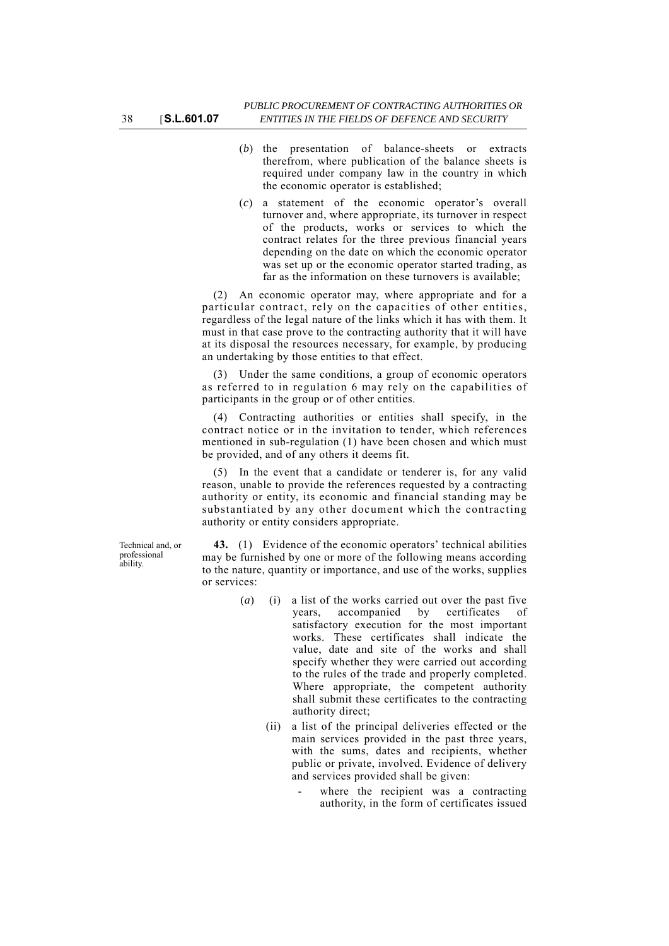- (*b*) the presentation of balance-sheets or extracts therefrom, where publication of the balance sheets is required under company law in the country in which the economic operator is established;
- (*c*) a statement of the economic operator's overall turnover and, where appropriate, its turnover in respect of the products, works or services to which the contract relates for the three previous financial years depending on the date on which the economic operator was set up or the economic operator started trading, as far as the information on these turnovers is available;

(2) An economic operator may, where appropriate and for a particular contract, rely on the capacities of other entities, regardless of the legal nature of the links which it has with them. It must in that case prove to the contracting authority that it will have at its disposal the resources necessary, for example, by producing an undertaking by those entities to that effect.

(3) Under the same conditions, a group of economic operators as referred to in regulation 6 may rely on the capabilities of participants in the group or of other entities.

(4) Contracting authorities or entities shall specify, in the contract notice or in the invitation to tender, which references mentioned in sub-regulation (1) have been chosen and which must be provided, and of any others it deems fit.

(5) In the event that a candidate or tenderer is, for any valid reason, unable to provide the references requested by a contracting authority or entity, its economic and financial standing may be substantiated by any other document which the contracting authority or entity considers appropriate.

Technical and, or professional ability.

**43.** (1) Evidence of the economic operators' technical abilities may be furnished by one or more of the following means according to the nature, quantity or importance, and use of the works, supplies or services:

- (*a*) (**i**) a list of the works carried out over the past five<br>vears, accompanied by certificates of years, accompanied by certificates of satisfactory execution for the most important works. These certificates shall indicate the value, date and site of the works and shall specify whether they were carried out according to the rules of the trade and properly completed. Where appropriate, the competent authority shall submit these certificates to the contracting authority direct;
	- (ii) a list of the principal deliveries effected or the main services provided in the past three years, with the sums, dates and recipients, whether public or private, involved. Evidence of delivery and services provided shall be given:
		- where the recipient was a contracting authority, in the form of certificates issued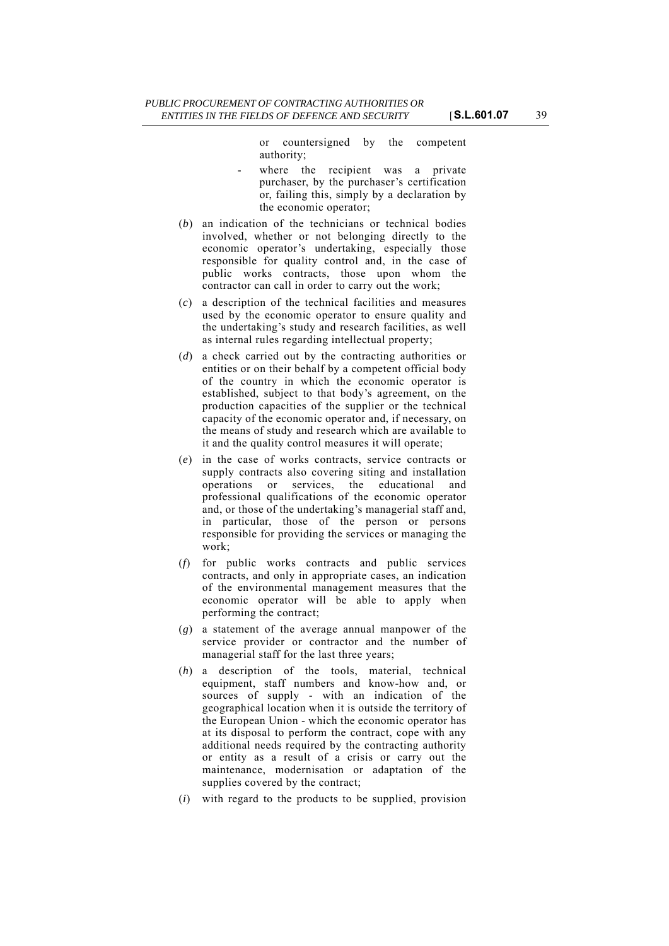or countersigned by the competent authority;

- where the recipient was a private purchaser, by the purchaser's certification or, failing this, simply by a declaration by the economic operator;
- (*b*) an indication of the technicians or technical bodies involved, whether or not belonging directly to the economic operator's undertaking, especially those responsible for quality control and, in the case of public works contracts, those upon whom the contractor can call in order to carry out the work;
- (*c*) a description of the technical facilities and measures used by the economic operator to ensure quality and the undertaking's study and research facilities, as well as internal rules regarding intellectual property;
- (*d*) a check carried out by the contracting authorities or entities or on their behalf by a competent official body of the country in which the economic operator is established, subject to that body's agreement, on the production capacities of the supplier or the technical capacity of the economic operator and, if necessary, on the means of study and research which are available to it and the quality control measures it will operate;
- (*e*) in the case of works contracts, service contracts or supply contracts also covering siting and installation operations or services, the educational and professional qualifications of the economic operator and, or those of the undertaking's managerial staff and, in particular, those of the person or persons responsible for providing the services or managing the work;
- (*f*) for public works contracts and public services contracts, and only in appropriate cases, an indication of the environmental management measures that the economic operator will be able to apply when performing the contract;
- (*g*) a statement of the average annual manpower of the service provider or contractor and the number of managerial staff for the last three years;
- (*h*) a description of the tools, material, technical equipment, staff numbers and know-how and, or sources of supply - with an indication of the geographical location when it is outside the territory of the European Union - which the economic operator has at its disposal to perform the contract, cope with any additional needs required by the contracting authority or entity as a result of a crisis or carry out the maintenance, modernisation or adaptation of the supplies covered by the contract;
- (*i*) with regard to the products to be supplied, provision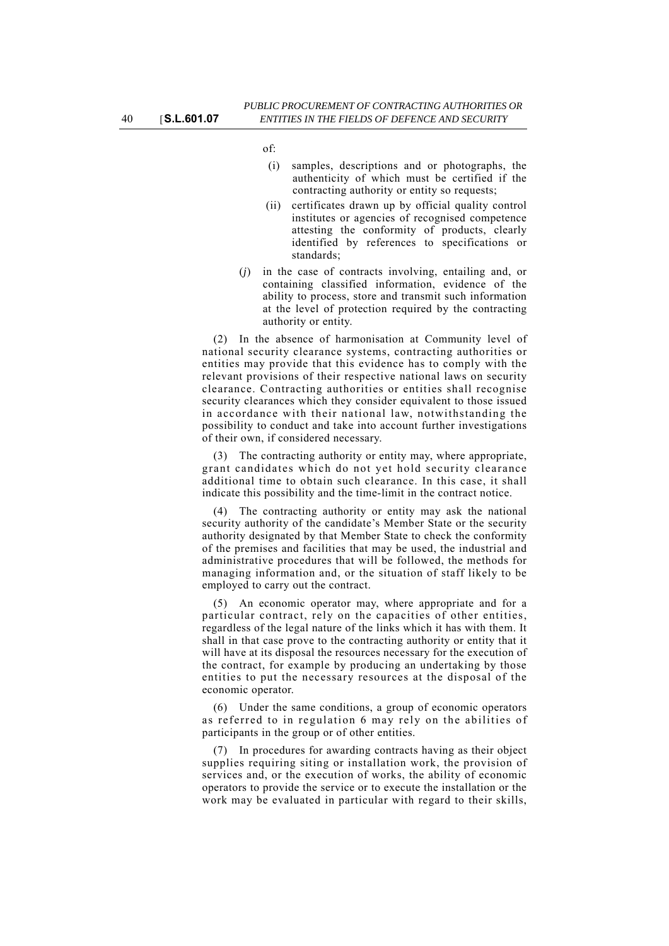of:

- (i) samples, descriptions and or photographs, the authenticity of which must be certified if the contracting authority or entity so requests;
- (ii) certificates drawn up by official quality control institutes or agencies of recognised competence attesting the conformity of products, clearly identified by references to specifications or standards;
- (*j*) in the case of contracts involving, entailing and, or containing classified information, evidence of the ability to process, store and transmit such information at the level of protection required by the contracting authority or entity.

(2) In the absence of harmonisation at Community level of national security clearance systems, contracting authorities or entities may provide that this evidence has to comply with the relevant provisions of their respective national laws on security clearance. Contracting authorities or entities shall recognise security clearances which they consider equivalent to those issued in accordance with their national law, notwithstanding the possibility to conduct and take into account further investigations of their own, if considered necessary.

(3) The contracting authority or entity may, where appropriate, grant candidates which do not yet hold security clearance additional time to obtain such clearance. In this case, it shall indicate this possibility and the time-limit in the contract notice.

(4) The contracting authority or entity may ask the national security authority of the candidate's Member State or the security authority designated by that Member State to check the conformity of the premises and facilities that may be used, the industrial and administrative procedures that will be followed, the methods for managing information and, or the situation of staff likely to be employed to carry out the contract.

(5) An economic operator may, where appropriate and for a particular contract, rely on the capacities of other entities, regardless of the legal nature of the links which it has with them. It shall in that case prove to the contracting authority or entity that it will have at its disposal the resources necessary for the execution of the contract, for example by producing an undertaking by those entities to put the necessary resources at the disposal of the economic operator.

(6) Under the same conditions, a group of economic operators as referred to in regulation 6 may rely on the abilities of participants in the group or of other entities.

(7) In procedures for awarding contracts having as their object supplies requiring siting or installation work, the provision of services and, or the execution of works, the ability of economic operators to provide the service or to execute the installation or the work may be evaluated in particular with regard to their skills,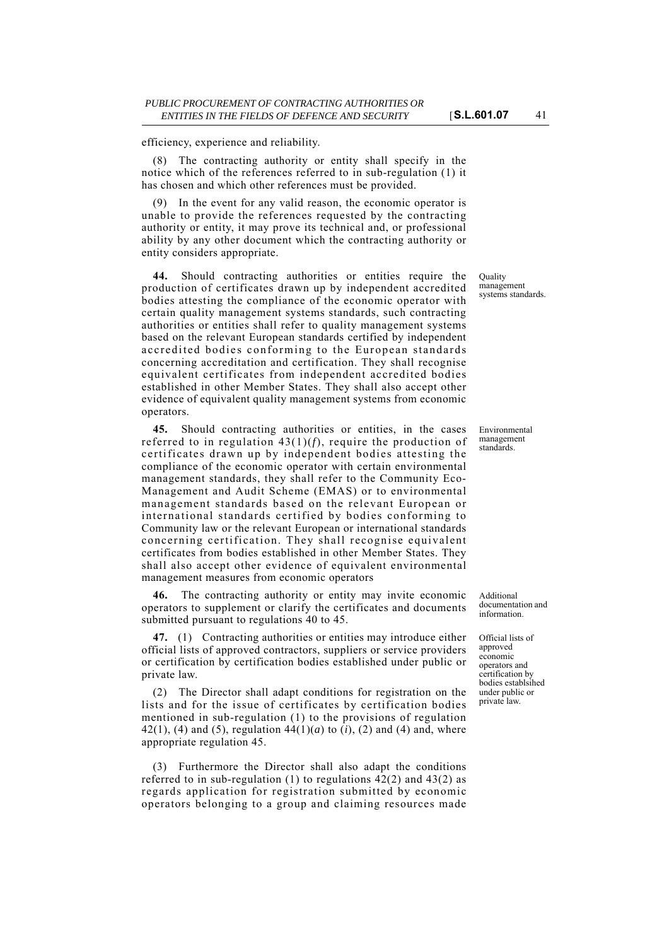efficiency, experience and reliability.

(8) The contracting authority or entity shall specify in the notice which of the references referred to in sub-regulation (1) it has chosen and which other references must be provided.

(9) In the event for any valid reason, the economic operator is unable to provide the references requested by the contracting authority or entity, it may prove its technical and, or professional ability by any other document which the contracting authority or entity considers appropriate.

**44.** Should contracting authorities or entities require the production of certificates drawn up by independent accredited bodies attesting the compliance of the economic operator with certain quality management systems standards, such contracting authorities or entities shall refer to quality management systems based on the relevant European standards certified by independent accredited bodies conforming to the European standards concerning accreditation and certification. They shall recognise equivalent certificates from independent accredited bodies established in other Member States. They shall also accept other evidence of equivalent quality management systems from economic operators.

**45.** Should contracting authorities or entities, in the cases referred to in regulation 43(1)(*f*), require the production of certificates drawn up by independent bodies attesting the compliance of the economic operator with certain environmental management standards, they shall refer to the Community Eco-Management and Audit Scheme (EMAS) or to environmental management standards based on the relevant European or international standards certified by bodies conforming to Community law or the relevant European or international standards concerning certification. They shall recognise equivalent certificates from bodies established in other Member States. They shall also accept other evidence of equivalent environmental management measures from economic operators

**46.** The contracting authority or entity may invite economic operators to supplement or clarify the certificates and documents submitted pursuant to regulations 40 to 45.

**47.** (1) Contracting authorities or entities may introduce either official lists of approved contractors, suppliers or service providers or certification by certification bodies established under public or private law.

(2) The Director shall adapt conditions for registration on the lists and for the issue of certificates by certification bodies mentioned in sub-regulation (1) to the provisions of regulation 42(1), (4) and (5), regulation  $44(1)(a)$  to  $(i)$ , (2) and (4) and, where appropriate regulation 45.

(3) Furthermore the Director shall also adapt the conditions referred to in sub-regulation (1) to regulations 42(2) and 43(2) as regards application for registration submitted by economic operators belonging to a group and claiming resources made

Quality management systems standards.

Environmental management standards.

Additional documentation and information.

Official lists of approved economic operators and certification by bodies establsihed under public or private law.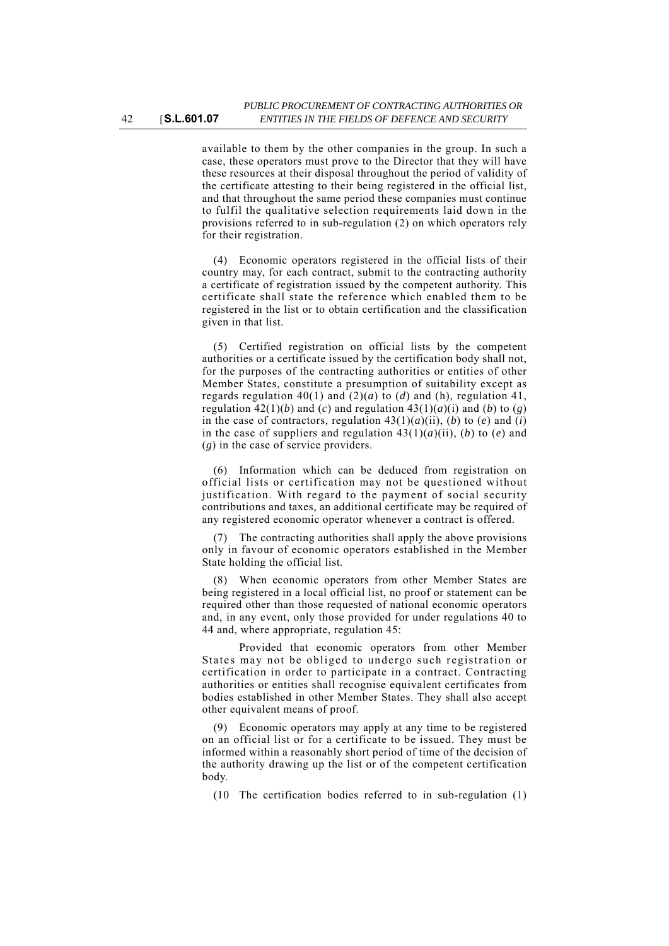available to them by the other companies in the group. In such a case, these operators must prove to the Director that they will have these resources at their disposal throughout the period of validity of the certificate attesting to their being registered in the official list, and that throughout the same period these companies must continue to fulfil the qualitative selection requirements laid down in the provisions referred to in sub-regulation (2) on which operators rely for their registration.

(4) Economic operators registered in the official lists of their country may, for each contract, submit to the contracting authority a certificate of registration issued by the competent authority. This certificate shall state the reference which enabled them to be registered in the list or to obtain certification and the classification given in that list.

(5) Certified registration on official lists by the competent authorities or a certificate issued by the certification body shall not, for the purposes of the contracting authorities or entities of other Member States, constitute a presumption of suitability except as regards regulation 40(1) and (2)(*a*) to (*d*) and (h), regulation 41, regulation  $42(1)(b)$  and (*c*) and regulation  $43(1)(a)(i)$  and (*b*) to (*g*) in the case of contractors, regulation  $43(1)(a)(ii)$ , (*b*) to (*e*) and (*i*) in the case of suppliers and regulation  $43(1)(a)(ii)$ , (*b*) to (*e*) and (*g*) in the case of service providers.

(6) Information which can be deduced from registration on official lists or certification may not be questioned without justification. With regard to the payment of social security contributions and taxes, an additional certificate may be required of any registered economic operator whenever a contract is offered.

(7) The contracting authorities shall apply the above provisions only in favour of economic operators established in the Member State holding the official list.

(8) When economic operators from other Member States are being registered in a local official list, no proof or statement can be required other than those requested of national economic operators and, in any event, only those provided for under regulations 40 to 44 and, where appropriate, regulation 45:

Provided that economic operators from other Member States may not be obliged to undergo such registration or certification in order to participate in a contract. Contracting authorities or entities shall recognise equivalent certificates from bodies established in other Member States. They shall also accept other equivalent means of proof.

(9) Economic operators may apply at any time to be registered on an official list or for a certificate to be issued. They must be informed within a reasonably short period of time of the decision of the authority drawing up the list or of the competent certification body.

(10 The certification bodies referred to in sub-regulation (1)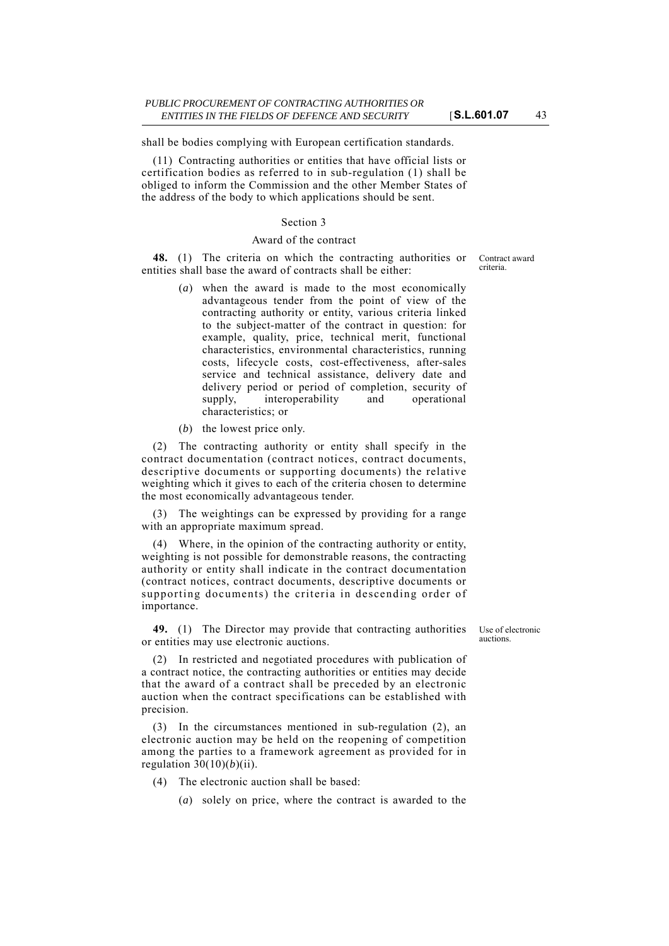shall be bodies complying with European certification standards.

(11) Contracting authorities or entities that have official lists or certification bodies as referred to in sub-regulation (1) shall be obliged to inform the Commission and the other Member States of the address of the body to which applications should be sent.

#### Section 3

### Award of the contract

**48.** (1) The criteria on which the contracting authorities or entities shall base the award of contracts shall be either:

- (*a*) when the award is made to the most economically advantageous tender from the point of view of the contracting authority or entity, various criteria linked to the subject-matter of the contract in question: for example, quality, price, technical merit, functional characteristics, environmental characteristics, running costs, lifecycle costs, cost-effectiveness, after-sales service and technical assistance, delivery date and delivery period or period of completion, security of supply, interoperability and operational characteristics; or
- (*b*) the lowest price only.

(2) The contracting authority or entity shall specify in the contract documentation (contract notices, contract documents, descriptive documents or supporting documents) the relative weighting which it gives to each of the criteria chosen to determine the most economically advantageous tender.

(3) The weightings can be expressed by providing for a range with an appropriate maximum spread.

(4) Where, in the opinion of the contracting authority or entity, weighting is not possible for demonstrable reasons, the contracting authority or entity shall indicate in the contract documentation (contract notices, contract documents, descriptive documents or supporting documents) the criteria in descending order of importance.

**49.** (1) The Director may provide that contracting authorities or entities may use electronic auctions.

Use of electronic auctions.

(2) In restricted and negotiated procedures with publication of a contract notice, the contracting authorities or entities may decide that the award of a contract shall be preceded by an electronic auction when the contract specifications can be established with precision.

(3) In the circumstances mentioned in sub-regulation (2), an electronic auction may be held on the reopening of competition among the parties to a framework agreement as provided for in regulation  $30(10)(b)(ii)$ .

- (4) The electronic auction shall be based:
	- (*a*) solely on price, where the contract is awarded to the

Contract award criteria.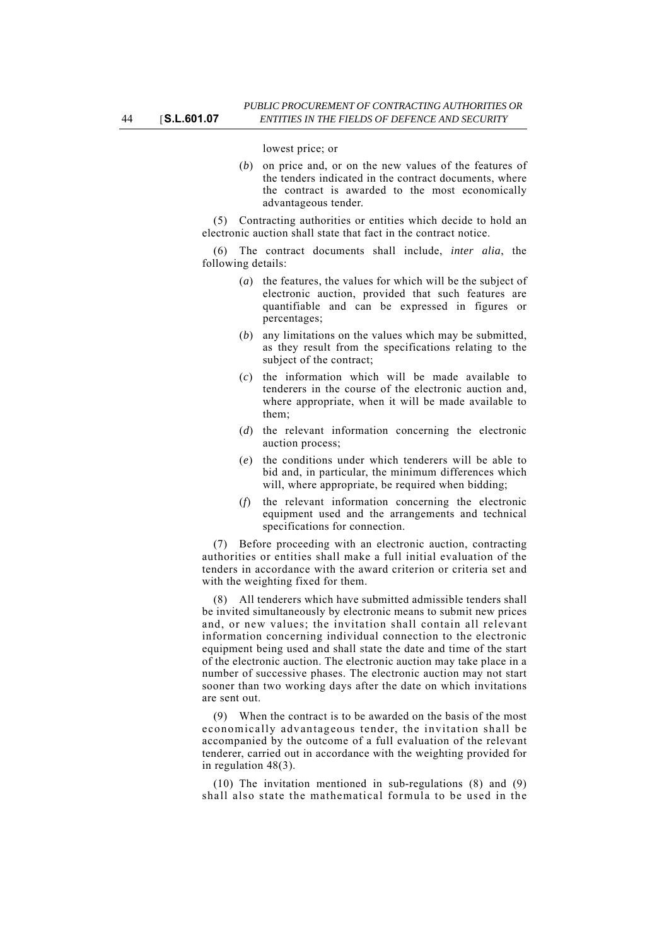lowest price; or

(*b*) on price and, or on the new values of the features of the tenders indicated in the contract documents, where the contract is awarded to the most economically advantageous tender.

(5) Contracting authorities or entities which decide to hold an electronic auction shall state that fact in the contract notice.

(6) The contract documents shall include, *inter alia*, the following details:

- (*a*) the features, the values for which will be the subject of electronic auction, provided that such features are quantifiable and can be expressed in figures or percentages;
- (*b*) any limitations on the values which may be submitted, as they result from the specifications relating to the subject of the contract;
- (*c*) the information which will be made available to tenderers in the course of the electronic auction and, where appropriate, when it will be made available to them;
- (*d*) the relevant information concerning the electronic auction process;
- (*e*) the conditions under which tenderers will be able to bid and, in particular, the minimum differences which will, where appropriate, be required when bidding;
- (*f*) the relevant information concerning the electronic equipment used and the arrangements and technical specifications for connection.

(7) Before proceeding with an electronic auction, contracting authorities or entities shall make a full initial evaluation of the tenders in accordance with the award criterion or criteria set and with the weighting fixed for them.

(8) All tenderers which have submitted admissible tenders shall be invited simultaneously by electronic means to submit new prices and, or new values; the invitation shall contain all relevant information concerning individual connection to the electronic equipment being used and shall state the date and time of the start of the electronic auction. The electronic auction may take place in a number of successive phases. The electronic auction may not start sooner than two working days after the date on which invitations are sent out.

(9) When the contract is to be awarded on the basis of the most economically advantageous tender, the invitation shall be accompanied by the outcome of a full evaluation of the relevant tenderer, carried out in accordance with the weighting provided for in regulation 48(3).

(10) The invitation mentioned in sub-regulations (8) and (9) shall also state the mathematical formula to be used in the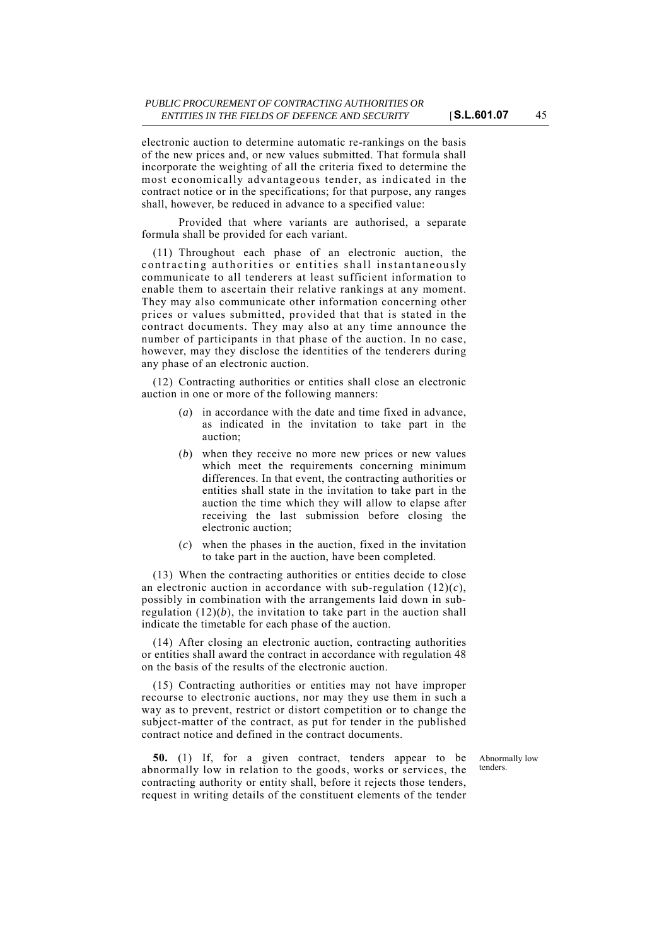electronic auction to determine automatic re-rankings on the basis

of the new prices and, or new values submitted. That formula shall incorporate the weighting of all the criteria fixed to determine the most economically advantageous tender, as indicated in the contract notice or in the specifications; for that purpose, any ranges shall, however, be reduced in advance to a specified value:

Provided that where variants are authorised, a separate formula shall be provided for each variant.

(11) Throughout each phase of an electronic auction, the contracting authorities or entities shall instantaneously communicate to all tenderers at least sufficient information to enable them to ascertain their relative rankings at any moment. They may also communicate other information concerning other prices or values submitted, provided that that is stated in the contract documents. They may also at any time announce the number of participants in that phase of the auction. In no case, however, may they disclose the identities of the tenderers during any phase of an electronic auction.

(12) Contracting authorities or entities shall close an electronic auction in one or more of the following manners:

- (*a*) in accordance with the date and time fixed in advance, as indicated in the invitation to take part in the auction;
- (*b*) when they receive no more new prices or new values which meet the requirements concerning minimum differences. In that event, the contracting authorities or entities shall state in the invitation to take part in the auction the time which they will allow to elapse after receiving the last submission before closing the electronic auction;
- (*c*) when the phases in the auction, fixed in the invitation to take part in the auction, have been completed.

(13) When the contracting authorities or entities decide to close an electronic auction in accordance with sub-regulation (12)(*c*), possibly in combination with the arrangements laid down in subregulation  $(12)(b)$ , the invitation to take part in the auction shall indicate the timetable for each phase of the auction.

(14) After closing an electronic auction, contracting authorities or entities shall award the contract in accordance with regulation 48 on the basis of the results of the electronic auction.

(15) Contracting authorities or entities may not have improper recourse to electronic auctions, nor may they use them in such a way as to prevent, restrict or distort competition or to change the subject-matter of the contract, as put for tender in the published contract notice and defined in the contract documents.

**50.** (1) If, for a given contract, tenders appear to be abnormally low in relation to the goods, works or services, the contracting authority or entity shall, before it rejects those tenders, request in writing details of the constituent elements of the tender

Abnormally low tenders.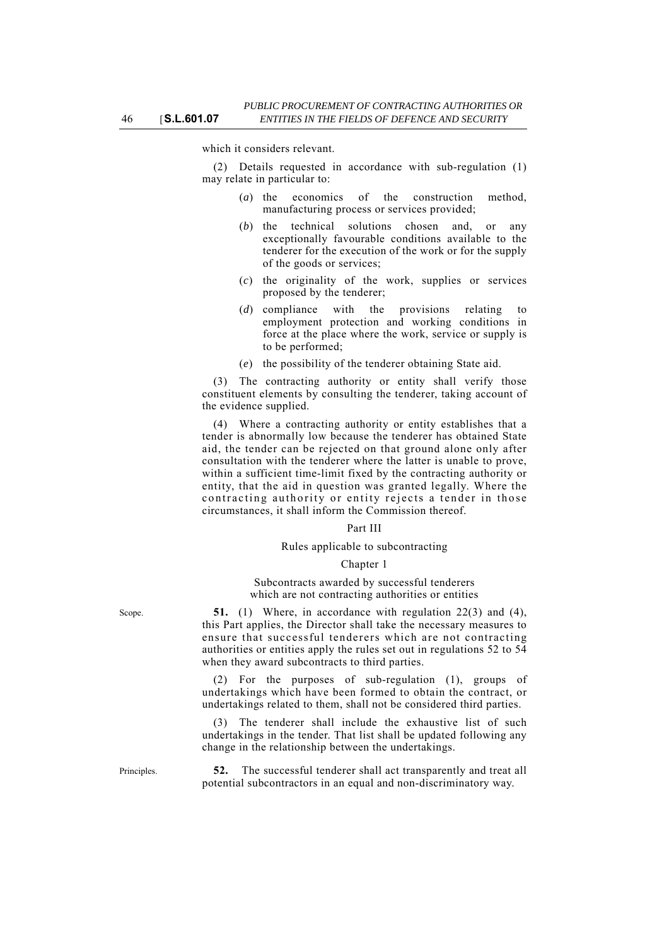which it considers relevant.

(2) Details requested in accordance with sub-regulation (1) may relate in particular to:

- (*a*) the economics of the construction method, manufacturing process or services provided;
- (*b*) the technical solutions chosen and, or any exceptionally favourable conditions available to the tenderer for the execution of the work or for the supply of the goods or services;
- (*c*) the originality of the work, supplies or services proposed by the tenderer;
- (*d*) compliance with the provisions relating to employment protection and working conditions in force at the place where the work, service or supply is to be performed;
- (*e*) the possibility of the tenderer obtaining State aid.

(3) The contracting authority or entity shall verify those constituent elements by consulting the tenderer, taking account of the evidence supplied.

(4) Where a contracting authority or entity establishes that a tender is abnormally low because the tenderer has obtained State aid, the tender can be rejected on that ground alone only after consultation with the tenderer where the latter is unable to prove, within a sufficient time-limit fixed by the contracting authority or entity, that the aid in question was granted legally. Where the contracting authority or entity rejects a tender in those circumstances, it shall inform the Commission thereof.

#### Part III

### Rules applicable to subcontracting

#### Chapter 1

#### Subcontracts awarded by successful tenderers which are not contracting authorities or entities

Scope. **51.** (1) Where, in accordance with regulation  $22(3)$  and  $(4)$ , this Part applies, the Director shall take the necessary measures to ensure that successful tenderers which are not contracting authorities or entities apply the rules set out in regulations 52 to 54 when they award subcontracts to third parties.

> (2) For the purposes of sub-regulation (1), groups of undertakings which have been formed to obtain the contract, or undertakings related to them, shall not be considered third parties.

> (3) The tenderer shall include the exhaustive list of such undertakings in the tender. That list shall be updated following any change in the relationship between the undertakings.

Principles. **52.** The successful tenderer shall act transparently and treat all potential subcontractors in an equal and non-discriminatory way.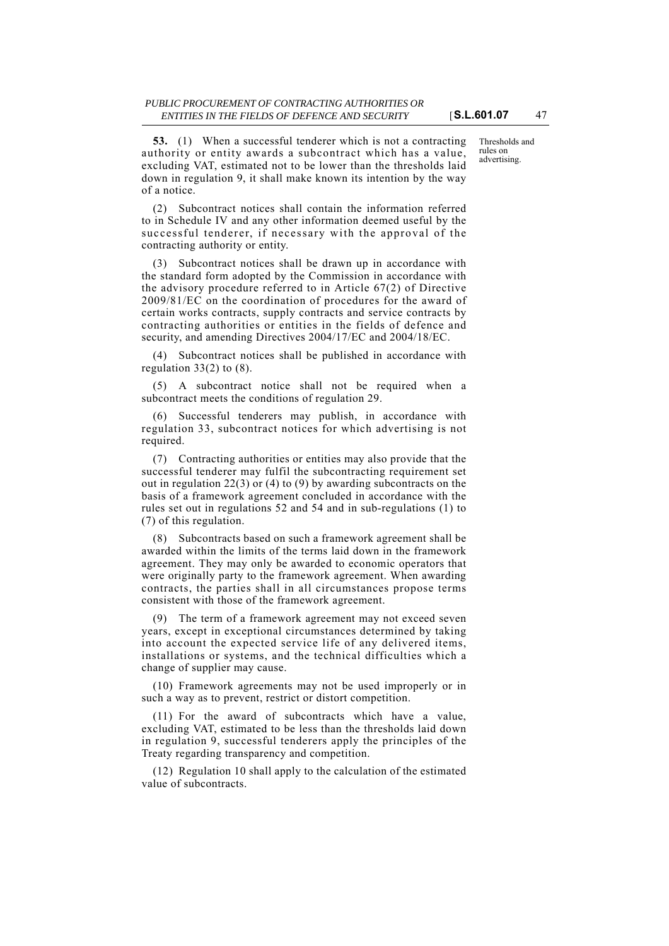**53.** (1) When a successful tenderer which is not a contracting authority or entity awards a subcontract which has a value, excluding VAT, estimated not to be lower than the thresholds laid down in regulation 9, it shall make known its intention by the way of a notice.

(2) Subcontract notices shall contain the information referred to in Schedule IV and any other information deemed useful by the successful tenderer, if necessary with the approval of the contracting authority or entity.

(3) Subcontract notices shall be drawn up in accordance with the standard form adopted by the Commission in accordance with the advisory procedure referred to in Article 67(2) of Directive 2009/81/EC on the coordination of procedures for the award of certain works contracts, supply contracts and service contracts by contracting authorities or entities in the fields of defence and security, and amending Directives 2004/17/EC and 2004/18/EC.

(4) Subcontract notices shall be published in accordance with regulation  $33(2)$  to  $(8)$ .

(5) A subcontract notice shall not be required when a subcontract meets the conditions of regulation 29.

(6) Successful tenderers may publish, in accordance with regulation 33, subcontract notices for which advertising is not required.

(7) Contracting authorities or entities may also provide that the successful tenderer may fulfil the subcontracting requirement set out in regulation 22(3) or (4) to (9) by awarding subcontracts on the basis of a framework agreement concluded in accordance with the rules set out in regulations 52 and 54 and in sub-regulations (1) to (7) of this regulation.

(8) Subcontracts based on such a framework agreement shall be awarded within the limits of the terms laid down in the framework agreement. They may only be awarded to economic operators that were originally party to the framework agreement. When awarding contracts, the parties shall in all circumstances propose terms consistent with those of the framework agreement.

(9) The term of a framework agreement may not exceed seven years, except in exceptional circumstances determined by taking into account the expected service life of any delivered items, installations or systems, and the technical difficulties which a change of supplier may cause.

(10) Framework agreements may not be used improperly or in such a way as to prevent, restrict or distort competition.

(11) For the award of subcontracts which have a value, excluding VAT, estimated to be less than the thresholds laid down in regulation 9, successful tenderers apply the principles of the Treaty regarding transparency and competition.

(12) Regulation 10 shall apply to the calculation of the estimated value of subcontracts.

Thresholds and rules on advertising.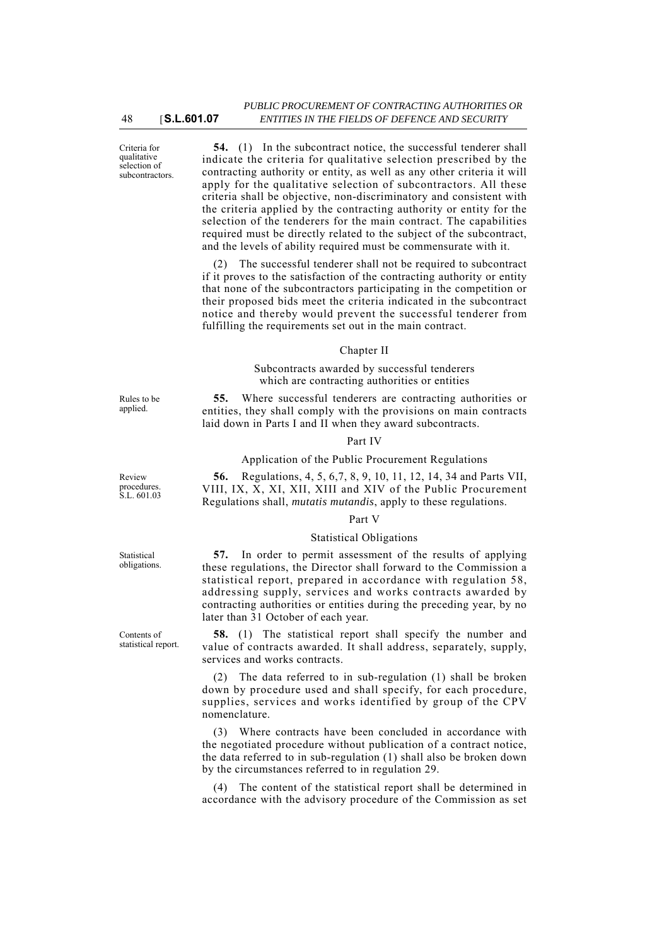Criteria for qualitative selection of subcontractors.

**54.** (1) In the subcontract notice, the successful tenderer shall indicate the criteria for qualitative selection prescribed by the contracting authority or entity, as well as any other criteria it will apply for the qualitative selection of subcontractors. All these criteria shall be objective, non-discriminatory and consistent with the criteria applied by the contracting authority or entity for the selection of the tenderers for the main contract. The capabilities required must be directly related to the subject of the subcontract, and the levels of ability required must be commensurate with it.

(2) The successful tenderer shall not be required to subcontract if it proves to the satisfaction of the contracting authority or entity that none of the subcontractors participating in the competition or their proposed bids meet the criteria indicated in the subcontract notice and thereby would prevent the successful tenderer from fulfilling the requirements set out in the main contract.

#### Chapter II

Subcontracts awarded by successful tenderers which are contracting authorities or entities

**55.** Where successful tenderers are contracting authorities or entities, they shall comply with the provisions on main contracts laid down in Parts I and II when they award subcontracts.

#### Part IV

#### Application of the Public Procurement Regulations

**56.** Regulations, 4, 5, 6,7, 8, 9, 10, 11, 12, 14, 34 and Parts VII, VIII, IX, X, XI, XII, XIII and XIV of the Public Procurement Regulations shall, *mutatis mutandis*, apply to these regulations.

#### Part V

### Statistical Obligations

**57.** In order to permit assessment of the results of applying these regulations, the Director shall forward to the Commission a statistical report, prepared in accordance with regulation 58, addressing supply, services and works contracts awarded by contracting authorities or entities during the preceding year, by no later than 31 October of each year.

**58.** (1) The statistical report shall specify the number and value of contracts awarded. It shall address, separately, supply, services and works contracts.

(2) The data referred to in sub-regulation (1) shall be broken down by procedure used and shall specify, for each procedure, supplies, services and works identified by group of the CPV nomenclature.

(3) Where contracts have been concluded in accordance with the negotiated procedure without publication of a contract notice, the data referred to in sub-regulation (1) shall also be broken down by the circumstances referred to in regulation 29.

(4) The content of the statistical report shall be determined in accordance with the advisory procedure of the Commission as set

Rules to be applied.

Review procedures. S.L. 601.03

Statistical obligations.

Contents of statistical report.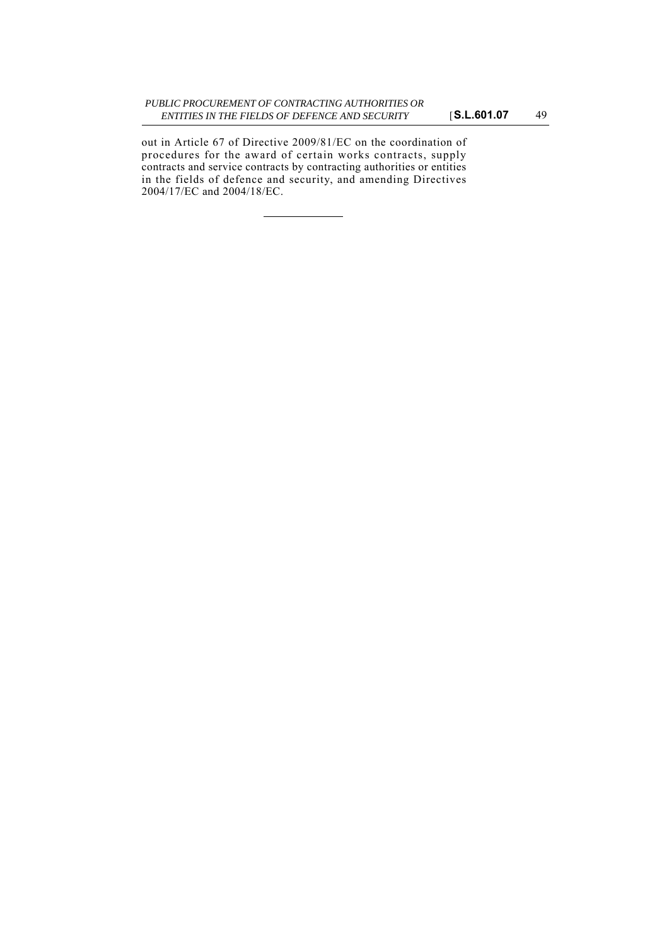out in Article 67 of Directive 2009/81/EC on the coordination of procedures for the award of certain works contracts, supply contracts and service contracts by contracting authorities or entities in the fields of defence and security, and amending Directives 2004/17/EC and 2004/18/EC.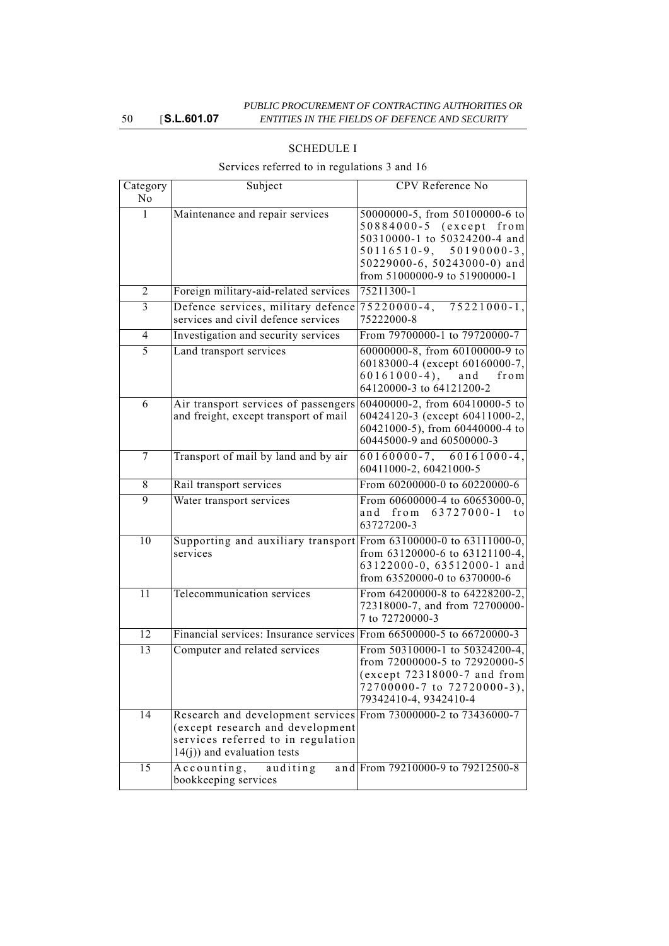| Category<br>N <sub>o</sub> | Subject                                                                                                                                                                     | CPV Reference No                                                                                                                                                                          |
|----------------------------|-----------------------------------------------------------------------------------------------------------------------------------------------------------------------------|-------------------------------------------------------------------------------------------------------------------------------------------------------------------------------------------|
| 1                          | Maintenance and repair services                                                                                                                                             | 50000000-5, from 50100000-6 to<br>50884000-5 (except<br>from<br>50310000-1 to 50324200-4 and<br>$50116510-9, 50190000-3,$<br>50229000-6, 50243000-0) and<br>from 51000000-9 to 51900000-1 |
| 2                          | Foreign military-aid-related services                                                                                                                                       | 75211300-1                                                                                                                                                                                |
| 3                          | Defence services, military defence<br>services and civil defence services                                                                                                   | $75221000 - 1$ ,<br>$75220000 - 4,$<br>75222000-8                                                                                                                                         |
| 4                          | Investigation and security services                                                                                                                                         | From 79700000-1 to 79720000-7                                                                                                                                                             |
| 5                          | Land transport services                                                                                                                                                     | 60000000-8, from 60100000-9 to<br>60183000-4 (except 60160000-7,<br>$60161000-4$ ,<br>and<br>from<br>64120000-3 to 64121200-2                                                             |
| 6                          | Air transport services of passengers<br>and freight, except transport of mail                                                                                               | 60400000-2, from 60410000-5 to<br>60424120-3 (except 60411000-2,<br>60421000-5), from 60440000-4 to<br>60445000-9 and 60500000-3                                                          |
| 7                          | Transport of mail by land and by air                                                                                                                                        | $60160000-7$ , $60161000-4$ ,<br>60411000-2, 60421000-5                                                                                                                                   |
| 8                          | Rail transport services                                                                                                                                                     | From 60200000-0 to 60220000-6                                                                                                                                                             |
| 9                          | Water transport services                                                                                                                                                    | From 60600000-4 to 60653000-0,<br>from $63727000 - 1$<br>and<br>t o<br>63727200-3                                                                                                         |
| 10                         | Supporting and auxiliary transport From 63100000-0 to 63111000-0,<br>services                                                                                               | from 63120000-6 to 63121100-4,<br>63122000-0, 63512000-1 and<br>from 63520000-0 to 6370000-6                                                                                              |
| 11                         | Telecommunication services                                                                                                                                                  | From 64200000-8 to 64228200-2,<br>72318000-7, and from 72700000-<br>7 to 72720000-3                                                                                                       |
| $\overline{12}$            | Financial services: Insurance services From 66500000-5 to 66720000-3                                                                                                        |                                                                                                                                                                                           |
| 13                         | Computer and related services                                                                                                                                               | From 50310000-1 to 50324200-4,<br>from 72000000-5 to 72920000-5<br>(except 72318000-7 and from<br>72700000-7 to 72720000-3),<br>79342410-4, 9342410-4                                     |
| 14                         | Research and development services From 73000000-2 to 73436000-7<br>(except research and development<br>services referred to in regulation<br>$14(j)$ ) and evaluation tests |                                                                                                                                                                                           |
| 15                         | Accounting,<br>auditing<br>bookkeeping services                                                                                                                             | and From 79210000-9 to 79212500-8                                                                                                                                                         |

# SCHEDULE I

# Services referred to in regulations 3 and 16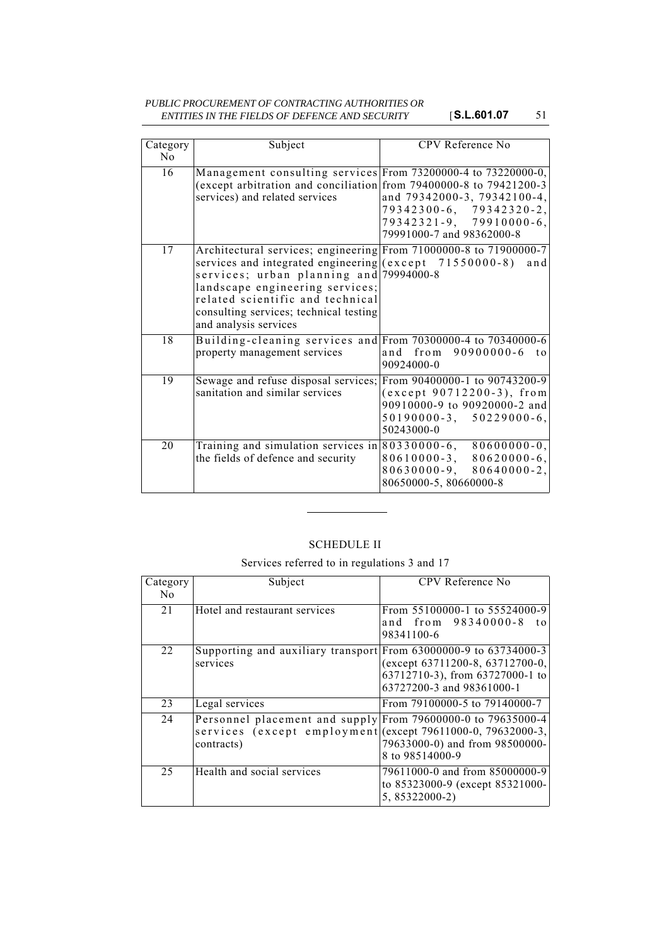### *PUBLIC PROCUREMENT OF CONTRACTING AUTHORITIES OR ENTITIES IN THE FIELDS OF DEFENCE AND SECURITY* [**S.L.601.07** 51

| Category<br>N <sub>0</sub> | Subject                                                                                                                                                                                                                                                                                                                   | <b>CPV</b> Reference No                                                                                                               |
|----------------------------|---------------------------------------------------------------------------------------------------------------------------------------------------------------------------------------------------------------------------------------------------------------------------------------------------------------------------|---------------------------------------------------------------------------------------------------------------------------------------|
| 16                         | Management consulting services From 73200000-4 to 73220000-0,<br>(except arbitration and conciliation from 79400000-8 to 79421200-3<br>services) and related services                                                                                                                                                     | and 79342000-3, 79342100-4,<br>79342300-6, 79342320-2,<br>79342321-9, 79910000-6,<br>79991000-7 and 98362000-8                        |
| 17                         | Architectural services; engineering From 71000000-8 to 71900000-7<br>services and integrated engineering $\vert$ (except 71550000-8)<br>services; urban planning and 79994000-8<br>landscape engineering services;<br>related scientific and technical<br>consulting services; technical testing<br>and analysis services | and                                                                                                                                   |
| $\overline{18}$            | Building-cleaning services and From 70300000-4 to 70340000-6<br>property management services                                                                                                                                                                                                                              | and from<br>90900000-6<br>$\mathbf{t}$<br>90924000-0                                                                                  |
| 19                         | Sewage and refuse disposal services;<br>sanitation and similar services                                                                                                                                                                                                                                                   | From 90400000-1 to 90743200-9<br>(except 90712200-3), from<br>90910000-9 to 90920000-2 and<br>$50190000-3, 50229000-6,$<br>50243000-0 |
| 20                         | Training and simulation services in $80330000-6$ , $80600000-0$ ,<br>the fields of defence and security                                                                                                                                                                                                                   | $80620000 - 6,$<br>$80610000 - 3$ ,<br>$80630000 - 9,$<br>$80640000 - 2$ ,<br>80650000-5, 80660000-8                                  |

# SCHEDULE II

Services referred to in regulations 3 and 17

| Category<br>N <sub>0</sub> | Subject                                                                                                                                   | CPV Reference No                                                                                |
|----------------------------|-------------------------------------------------------------------------------------------------------------------------------------------|-------------------------------------------------------------------------------------------------|
| 21                         | Hotel and restaurant services                                                                                                             | From 55100000-1 to 55524000-9<br>and from 98340000-8<br>t o<br>98341100-6                       |
| 22                         | Supporting and auxiliary transport From 63000000-9 to 63734000-3<br>services                                                              | (except 63711200-8, 63712700-0,<br>63712710-3), from 63727000-1 to<br>63727200-3 and 98361000-1 |
| 23                         | Legal services                                                                                                                            | From 79100000-5 to 79140000-7                                                                   |
| 24                         | Personnel placement and supply From 79600000-0 to 79635000-4<br>services (except employment (except 79611000-0, 79632000-3,<br>contracts) | 79633000-0) and from 98500000-<br>8 to 98514000-9                                               |
| 25                         | Health and social services                                                                                                                | 79611000-0 and from 85000000-9<br>to 85323000-9 (except 85321000-<br>5, 85322000-2)             |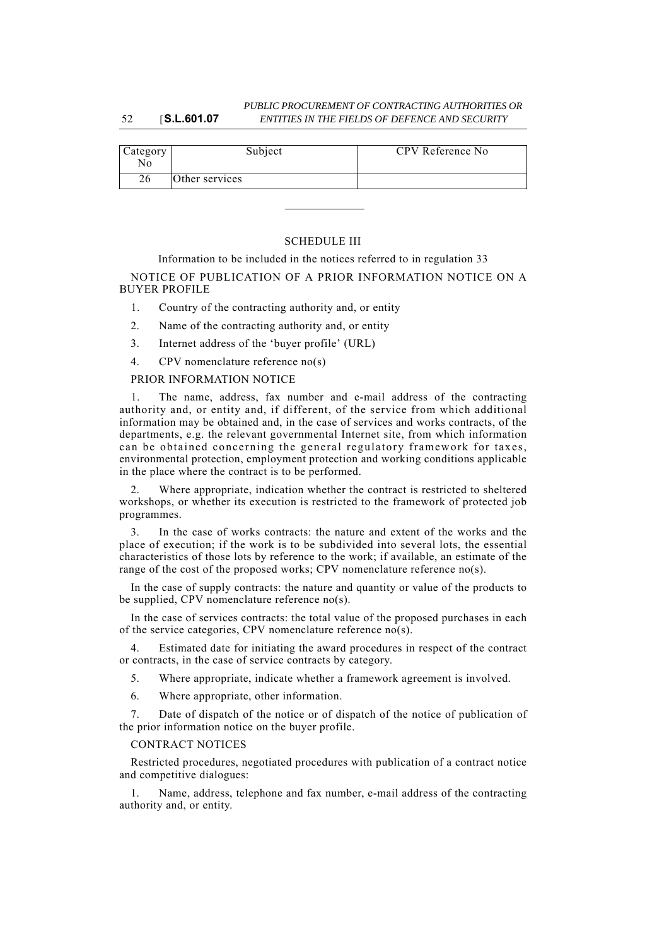#### 52 [**S.L.601.07** *PUBLIC PROCUREMENT OF CONTRACTING AUTHORITIES OR ENTITIES IN THE FIELDS OF DEFENCE AND SECURITY*

| Category<br>N٥ | Subject        | CPV Reference No |
|----------------|----------------|------------------|
| 26             | Other services |                  |

### SCHEDULE III

Information to be included in the notices referred to in regulation 33 NOTICE OF PUBLICATION OF A PRIOR INFORMATION NOTICE ON A BUYER PROFILE

- 1. Country of the contracting authority and, or entity
- 2. Name of the contracting authority and, or entity
- 3. Internet address of the 'buyer profile' (URL)
- 4. CPV nomenclature reference no(s)

### PRIOR INFORMATION NOTICE

The name, address, fax number and e-mail address of the contracting authority and, or entity and, if different, of the service from which additional information may be obtained and, in the case of services and works contracts, of the departments, e.g. the relevant governmental Internet site, from which information can be obtained concerning the general regulatory framework for taxes, environmental protection, employment protection and working conditions applicable in the place where the contract is to be performed.

2. Where appropriate, indication whether the contract is restricted to sheltered workshops, or whether its execution is restricted to the framework of protected job programmes.

3. In the case of works contracts: the nature and extent of the works and the place of execution; if the work is to be subdivided into several lots, the essential characteristics of those lots by reference to the work; if available, an estimate of the range of the cost of the proposed works; CPV nomenclature reference no(s).

In the case of supply contracts: the nature and quantity or value of the products to be supplied, CPV nomenclature reference no(s).

In the case of services contracts: the total value of the proposed purchases in each of the service categories, CPV nomenclature reference no(s).

4. Estimated date for initiating the award procedures in respect of the contract or contracts, in the case of service contracts by category.

5. Where appropriate, indicate whether a framework agreement is involved.

6. Where appropriate, other information.

7. Date of dispatch of the notice or of dispatch of the notice of publication of the prior information notice on the buyer profile.

### CONTRACT NOTICES

Restricted procedures, negotiated procedures with publication of a contract notice and competitive dialogues:

Name, address, telephone and fax number, e-mail address of the contracting authority and, or entity.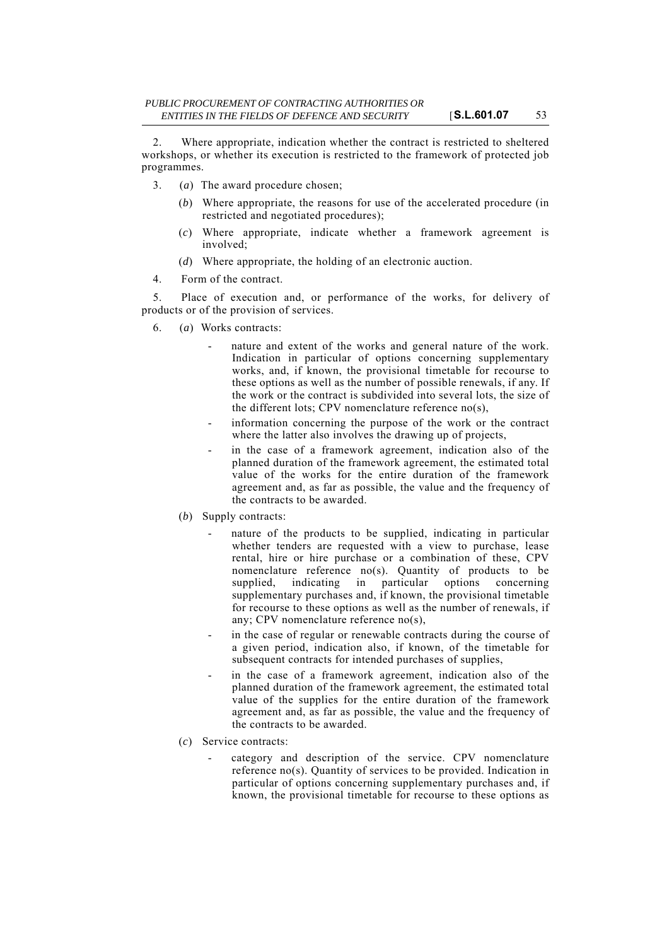2. Where appropriate, indication whether the contract is restricted to sheltered workshops, or whether its execution is restricted to the framework of protected job programmes.

- 3. (*a*) The award procedure chosen;
	- (*b*) Where appropriate, the reasons for use of the accelerated procedure (in restricted and negotiated procedures);
	- (*c*) Where appropriate, indicate whether a framework agreement is involved;
	- (*d*) Where appropriate, the holding of an electronic auction.
- 4. Form of the contract.

5. Place of execution and, or performance of the works, for delivery of products or of the provision of services.

- 6. (*a*) Works contracts:
	- nature and extent of the works and general nature of the work. Indication in particular of options concerning supplementary works, and, if known, the provisional timetable for recourse to these options as well as the number of possible renewals, if any. If the work or the contract is subdivided into several lots, the size of the different lots; CPV nomenclature reference no(s),
	- information concerning the purpose of the work or the contract where the latter also involves the drawing up of projects,
	- in the case of a framework agreement, indication also of the planned duration of the framework agreement, the estimated total value of the works for the entire duration of the framework agreement and, as far as possible, the value and the frequency of the contracts to be awarded.
	- (*b*) Supply contracts:
		- nature of the products to be supplied, indicating in particular whether tenders are requested with a view to purchase, lease rental, hire or hire purchase or a combination of these, CPV nomenclature reference no(s). Quantity of products to be supplied, indicating in particular options concerning supplementary purchases and, if known, the provisional timetable for recourse to these options as well as the number of renewals, if any; CPV nomenclature reference no(s),
		- in the case of regular or renewable contracts during the course of a given period, indication also, if known, of the timetable for subsequent contracts for intended purchases of supplies,
		- in the case of a framework agreement, indication also of the planned duration of the framework agreement, the estimated total value of the supplies for the entire duration of the framework agreement and, as far as possible, the value and the frequency of the contracts to be awarded.
	- (*c*) Service contracts:
		- category and description of the service. CPV nomenclature reference no(s). Quantity of services to be provided. Indication in particular of options concerning supplementary purchases and, if known, the provisional timetable for recourse to these options as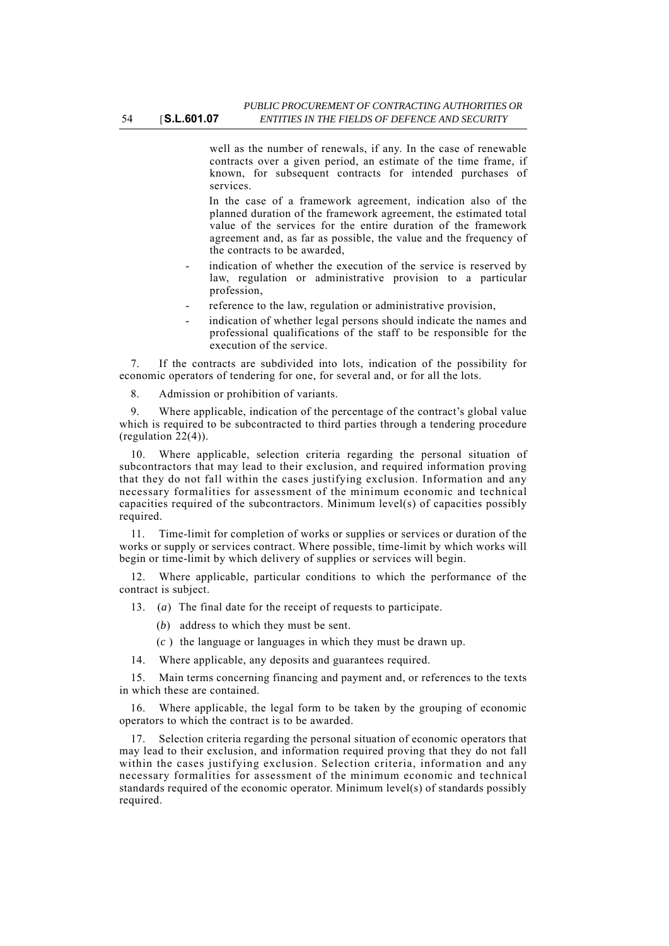well as the number of renewals, if any. In the case of renewable contracts over a given period, an estimate of the time frame, if known, for subsequent contracts for intended purchases of services.

In the case of a framework agreement, indication also of the planned duration of the framework agreement, the estimated total value of the services for the entire duration of the framework agreement and, as far as possible, the value and the frequency of the contracts to be awarded,

- indication of whether the execution of the service is reserved by law, regulation or administrative provision to a particular profession,
- reference to the law, regulation or administrative provision,
- indication of whether legal persons should indicate the names and professional qualifications of the staff to be responsible for the execution of the service.

7. If the contracts are subdivided into lots, indication of the possibility for economic operators of tendering for one, for several and, or for all the lots.

8. Admission or prohibition of variants.

9. Where applicable, indication of the percentage of the contract's global value which is required to be subcontracted to third parties through a tendering procedure (regulation 22(4)).

10. Where applicable, selection criteria regarding the personal situation of subcontractors that may lead to their exclusion, and required information proving that they do not fall within the cases justifying exclusion. Information and any necessary formalities for assessment of the minimum economic and technical capacities required of the subcontractors. Minimum level(s) of capacities possibly required.

11. Time-limit for completion of works or supplies or services or duration of the works or supply or services contract. Where possible, time-limit by which works will begin or time-limit by which delivery of supplies or services will begin.

12. Where applicable, particular conditions to which the performance of the contract is subject.

13. (*a*) The final date for the receipt of requests to participate.

- (*b*) address to which they must be sent.
- (*c* ) the language or languages in which they must be drawn up.

14. Where applicable, any deposits and guarantees required.

15. Main terms concerning financing and payment and, or references to the texts in which these are contained.

16. Where applicable, the legal form to be taken by the grouping of economic operators to which the contract is to be awarded.

17. Selection criteria regarding the personal situation of economic operators that may lead to their exclusion, and information required proving that they do not fall within the cases justifying exclusion. Selection criteria, information and any necessary formalities for assessment of the minimum economic and technical standards required of the economic operator. Minimum level(s) of standards possibly required.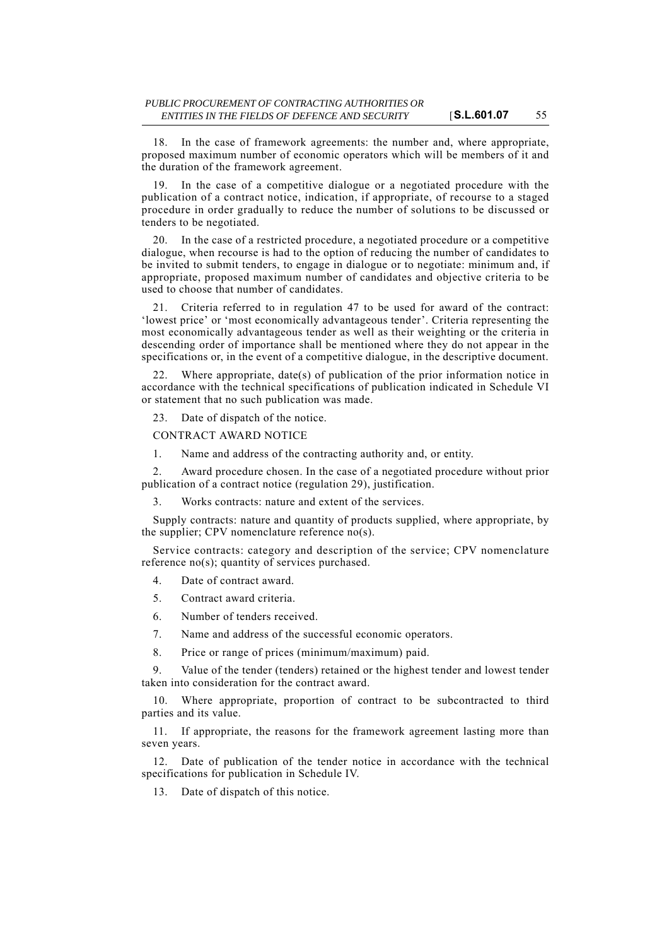18. In the case of framework agreements: the number and, where appropriate, proposed maximum number of economic operators which will be members of it and the duration of the framework agreement.

19. In the case of a competitive dialogue or a negotiated procedure with the publication of a contract notice, indication, if appropriate, of recourse to a staged procedure in order gradually to reduce the number of solutions to be discussed or tenders to be negotiated.

20. In the case of a restricted procedure, a negotiated procedure or a competitive dialogue, when recourse is had to the option of reducing the number of candidates to be invited to submit tenders, to engage in dialogue or to negotiate: minimum and, if appropriate, proposed maximum number of candidates and objective criteria to be used to choose that number of candidates.

21. Criteria referred to in regulation 47 to be used for award of the contract: 'lowest price' or 'most economically advantageous tender'. Criteria representing the most economically advantageous tender as well as their weighting or the criteria in descending order of importance shall be mentioned where they do not appear in the specifications or, in the event of a competitive dialogue, in the descriptive document.

22. Where appropriate, date(s) of publication of the prior information notice in accordance with the technical specifications of publication indicated in Schedule VI or statement that no such publication was made.

23. Date of dispatch of the notice.

CONTRACT AWARD NOTICE

1. Name and address of the contracting authority and, or entity.

2. Award procedure chosen. In the case of a negotiated procedure without prior publication of a contract notice (regulation 29), justification.

3. Works contracts: nature and extent of the services.

Supply contracts: nature and quantity of products supplied, where appropriate, by the supplier; CPV nomenclature reference no(s).

Service contracts: category and description of the service; CPV nomenclature reference no(s); quantity of services purchased.

4. Date of contract award.

- 5. Contract award criteria.
- 6. Number of tenders received.

7. Name and address of the successful economic operators.

8. Price or range of prices (minimum/maximum) paid.

9. Value of the tender (tenders) retained or the highest tender and lowest tender taken into consideration for the contract award.

10. Where appropriate, proportion of contract to be subcontracted to third parties and its value.

11. If appropriate, the reasons for the framework agreement lasting more than seven years.

12. Date of publication of the tender notice in accordance with the technical specifications for publication in Schedule IV.

13. Date of dispatch of this notice.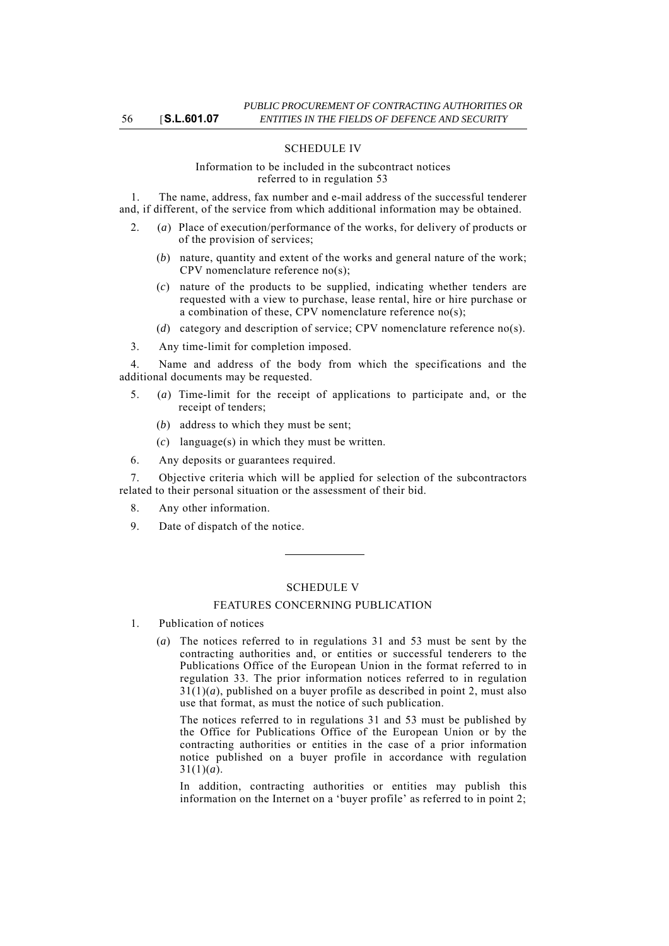### SCHEDULE IV

### Information to be included in the subcontract notices referred to in regulation 53

1. The name, address, fax number and e-mail address of the successful tenderer and, if different, of the service from which additional information may be obtained.

- 2. (*a*) Place of execution/performance of the works, for delivery of products or of the provision of services;
	- (*b*) nature, quantity and extent of the works and general nature of the work; CPV nomenclature reference no(s);
	- (*c*) nature of the products to be supplied, indicating whether tenders are requested with a view to purchase, lease rental, hire or hire purchase or a combination of these, CPV nomenclature reference no(s);
	- (*d*) category and description of service; CPV nomenclature reference no(s).

3. Any time-limit for completion imposed.

4. Name and address of the body from which the specifications and the additional documents may be requested.

- 5. (*a*) Time-limit for the receipt of applications to participate and, or the receipt of tenders;
	- (*b*) address to which they must be sent;
	- (*c*) language(s) in which they must be written.
- 6. Any deposits or guarantees required.

7. Objective criteria which will be applied for selection of the subcontractors related to their personal situation or the assessment of their bid.

- 8. Any other information.
- 9. Date of dispatch of the notice.

### SCHEDULE V

#### FEATURES CONCERNING PUBLICATION

- 1. Publication of notices
	- (*a*) The notices referred to in regulations 31 and 53 must be sent by the contracting authorities and, or entities or successful tenderers to the Publications Office of the European Union in the format referred to in regulation 33. The prior information notices referred to in regulation  $31(1)(a)$ , published on a buyer profile as described in point 2, must also use that format, as must the notice of such publication.

The notices referred to in regulations 31 and 53 must be published by the Office for Publications Office of the European Union or by the contracting authorities or entities in the case of a prior information notice published on a buyer profile in accordance with regulation  $31(1)(a)$ .

In addition, contracting authorities or entities may publish this information on the Internet on a 'buyer profile' as referred to in point 2;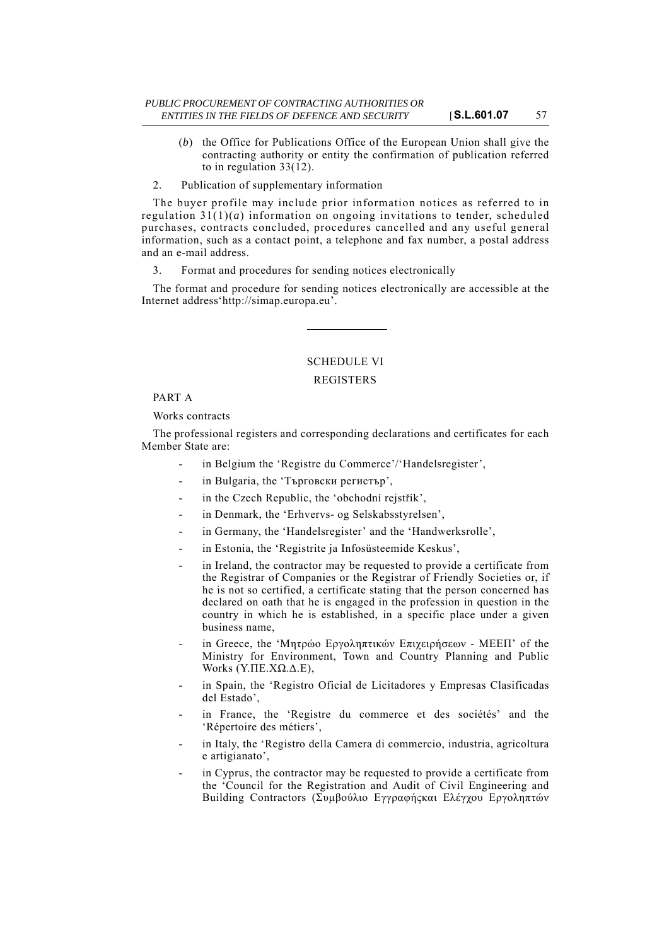- (*b*) the Office for Publications Office of the European Union shall give the contracting authority or entity the confirmation of publication referred to in regulation 33(12).
- 2. Publication of supplementary information

The buyer profile may include prior information notices as referred to in regulation  $31(1)(a)$  information on ongoing invitations to tender, scheduled purchases, contracts concluded, procedures cancelled and any useful general information, such as a contact point, a telephone and fax number, a postal address and an e-mail address.

3. Format and procedures for sending notices electronically

The format and procedure for sending notices electronically are accessible at the Internet address'http://simap.europa.eu'.

# SCHEDULE VI

### **REGISTERS**

### PART A

Works contracts

The professional registers and corresponding declarations and certificates for each Member State are:

- in Belgium the 'Registre du Commerce'/'Handelsregister',
- in Bulgaria, the 'Търговски регистър',
- in the Czech Republic, the 'obchodní rejstřík',
- in Denmark, the 'Erhvervs- og Selskabsstyrelsen',
- in Germany, the 'Handelsregister' and the 'Handwerksrolle',
- in Estonia, the 'Registrite ja Infosüsteemide Keskus'.
- in Ireland, the contractor may be requested to provide a certificate from the Registrar of Companies or the Registrar of Friendly Societies or, if he is not so certified, a certificate stating that the person concerned has declared on oath that he is engaged in the profession in question in the country in which he is established, in a specific place under a given business name,
- in Greece, the 'Μητρώο Εργοληπτικών Επιχειρήσεων MEΕΠ' of the Ministry for Environment, Town and Country Planning and Public Works (Υ.ΠΕ.ΧΩ.Δ.Ε),
- in Spain, the 'Registro Oficial de Licitadores y Empresas Clasificadas del Estado',
- in France, the 'Registre du commerce et des sociétés' and the 'Répertoire des métiers',
- in Italy, the 'Registro della Camera di commercio, industria, agricoltura e artigianato',
- in Cyprus, the contractor may be requested to provide a certificate from the 'Council for the Registration and Audit of Civil Engineering and Building Contractors (Συμβούλιο Εγγραφήςκαι Ελέγχου Εργοληπτών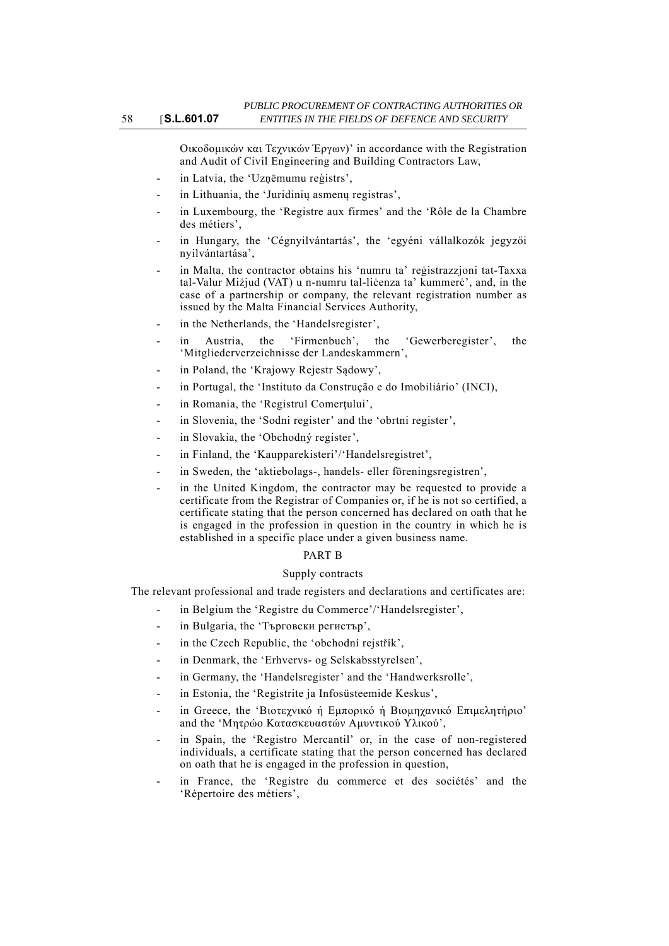Οικοδομικών και Τεχνικών Έργων)' in accordance with the Registration and Audit of Civil Engineering and Building Contractors Law,

- in Latvia, the 'Uzņēmumu reģistrs',
- in Lithuania, the 'Juridinių asmenų registras',
- in Luxembourg, the 'Registre aux firmes' and the 'Rôle de la Chambre des métiers',
- in Hungary, the 'Cégnyilvántartás', the 'egyéni vállalkozók jegyzői nyilvántartása',
- in Malta, the contractor obtains his 'numru ta' reģistrazzjoni tat-Taxxa tal-Valur Miżjud (VAT) u n-numru tal-liċenza ta' kummerċ', and, in the case of a partnership or company, the relevant registration number as issued by the Malta Financial Services Authority,
- in the Netherlands, the 'Handelsregister',
- in Austria, the 'Firmenbuch', the 'Gewerberegister', the 'Mitgliederverzeichnisse der Landeskammern',
- in Poland, the 'Krajowy Rejestr Sądowy',
- in Portugal, the 'Instituto da Construção e do Imobiliário' (INCI),
- in Romania, the 'Registrul Comerțului',
- in Slovenia, the 'Sodni register' and the 'obrtni register',
- in Slovakia, the 'Obchodný register',
- in Finland, the 'Kaupparekisteri'/'Handelsregistret',
- in Sweden, the 'aktiebolags-, handels- eller föreningsregistren',
- in the United Kingdom, the contractor may be requested to provide a certificate from the Registrar of Companies or, if he is not so certified, a certificate stating that the person concerned has declared on oath that he is engaged in the profession in question in the country in which he is established in a specific place under a given business name.

#### PART B

### Supply contracts

The relevant professional and trade registers and declarations and certificates are:

- in Belgium the 'Registre du Commerce'/'Handelsregister',
- in Bulgaria, the 'Търговски регистър',
- in the Czech Republic, the 'obchodní rejstřík',
- in Denmark, the 'Erhvervs- og Selskabsstyrelsen',
- in Germany, the 'Handelsregister' and the 'Handwerksrolle',
- in Estonia, the 'Registrite ja Infosüsteemide Keskus',
- in Greece, the 'Βιοτεχνικό ή Εμπορικό ή Βιομηχανικό Επιμελητήριο' and the 'Μητρώο Κατασκευαστών Αμυντικού Υλικού',
- in Spain, the 'Registro Mercantil' or, in the case of non-registered individuals, a certificate stating that the person concerned has declared on oath that he is engaged in the profession in question,
- in France, the 'Registre du commerce et des sociétés' and the 'Répertoire des métiers',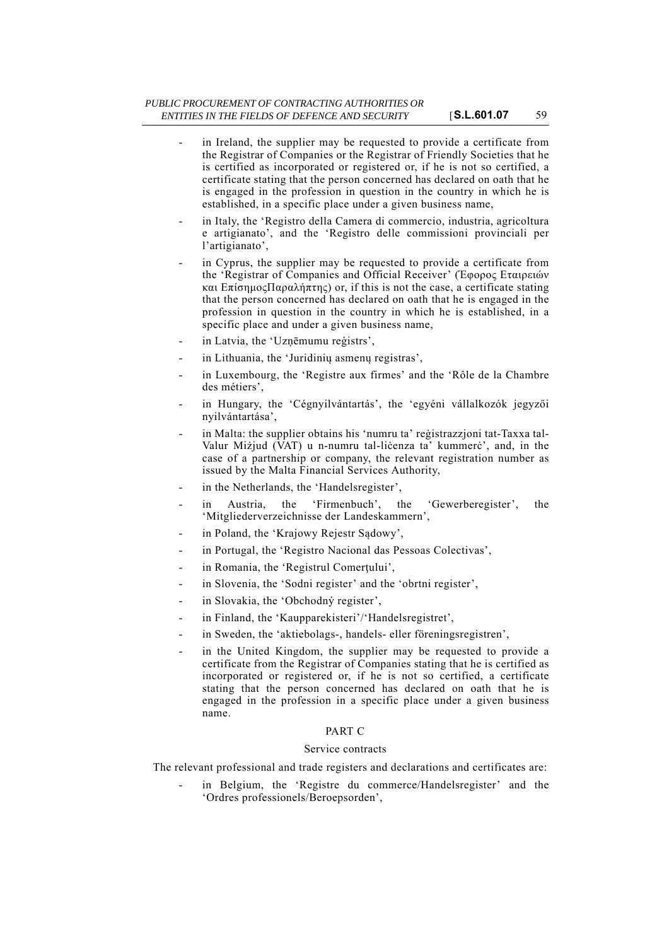- in Ireland, the supplier may be requested to provide a certificate from the Registrar of Companies or the Registrar of Friendly Societies that he is certified as incorporated or registered or, if he is not so certified, a certificate stating that the person concerned has declared on oath that he is engaged in the profession in question in the country in which he is established, in a specific place under a given business name,
- in Italy, the 'Registro della Camera di commercio, industria, agricoltura e artigianato', and the 'Registro delle commissioni provinciali per l'artigianato',
- in Cyprus, the supplier may be requested to provide a certificate from the 'Registrar of Companies and Official Receiver' (Έφορος Εταιρειών και ΕπίσημοςΠαραλήπτης) or, if this is not the case, a certificate stating that the person concerned has declared on oath that he is engaged in the profession in question in the country in which he is established, in a specific place and under a given business name,
- in Latvia, the 'Uznēmumu reģistrs'.
- in Lithuania, the 'Juridinių asmenų registras',
- in Luxembourg, the 'Registre aux firmes' and the 'Rôle de la Chambre des métiers',
- in Hungary, the 'Cégnyilvántartás', the 'egyéni vállalkozók jegyzői nyilvántartása',
- in Malta: the supplier obtains his 'numru ta' reġistrazzjoni tat-Taxxa tal-Valur Miżjud (VAT) u n-numru tal-liċenza ta' kummerċ', and, in the case of a partnership or company, the relevant registration number as issued by the Malta Financial Services Authority,
- in the Netherlands, the 'Handelsregister',
- in Austria, the 'Firmenbuch', the 'Gewerberegister', the 'Mitgliederverzeichnisse der Landeskammern',
- in Poland, the 'Krajowy Rejestr Sądowy',
- in Portugal, the 'Registro Nacional das Pessoas Colectivas',
- in Romania, the 'Registrul Comerțului',
- in Slovenia, the 'Sodni register' and the 'obrtni register',
- in Slovakia, the 'Obchodný register',
- in Finland, the 'Kaupparekisteri'/'Handelsregistret',
- in Sweden, the 'aktiebolags-, handels- eller föreningsregistren',
- in the United Kingdom, the supplier may be requested to provide a certificate from the Registrar of Companies stating that he is certified as incorporated or registered or, if he is not so certified, a certificate stating that the person concerned has declared on oath that he is engaged in the profession in a specific place under a given business name.

### PART C

### Service contracts

The relevant professional and trade registers and declarations and certificates are:

in Belgium, the 'Registre du commerce/Handelsregister' and the 'Ordres professionels/Beroepsorden',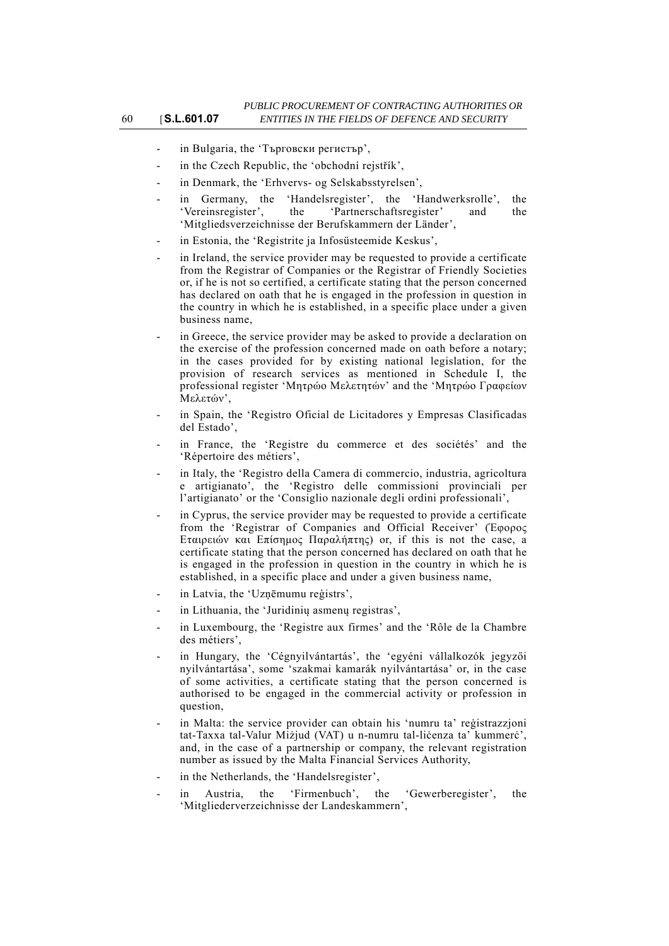- in Bulgaria, the 'Търговски регистър',
- in the Czech Republic, the 'obchodní rejstřík',
- in Denmark, the 'Erhvervs- og Selskabsstyrelsen',
- in Germany, the 'Handelsregister', the 'Handwerksrolle', the 'Vereinsregister', the 'Partnerschaftsregister' and the 'Mitgliedsverzeichnisse der Berufskammern der Länder',
- in Estonia, the 'Registrite ja Infosüsteemide Keskus',
- in Ireland, the service provider may be requested to provide a certificate from the Registrar of Companies or the Registrar of Friendly Societies or, if he is not so certified, a certificate stating that the person concerned has declared on oath that he is engaged in the profession in question in the country in which he is established, in a specific place under a given business name,
- in Greece, the service provider may be asked to provide a declaration on the exercise of the profession concerned made on oath before a notary; in the cases provided for by existing national legislation, for the provision of research services as mentioned in Schedule I, the professional register 'Μητρώο Μελετητών' and the 'Μητρώο Γραφείων Μελετών',
- in Spain, the 'Registro Oficial de Licitadores y Empresas Clasificadas del Estado',
- in France, the 'Registre du commerce et des sociétés' and the 'Répertoire des métiers',
- in Italy, the 'Registro della Camera di commercio, industria, agricoltura e artigianato', the 'Registro delle commissioni provinciali per l'artigianato' or the 'Consiglio nazionale degli ordini professionali',
- in Cyprus, the service provider may be requested to provide a certificate from the 'Registrar of Companies and Official Receiver' (Έφορος Εταιρειών και Επίσημος Παραλήπτης) or, if this is not the case, a certificate stating that the person concerned has declared on oath that he is engaged in the profession in question in the country in which he is established, in a specific place and under a given business name,
- in Latvia, the 'Uzņēmumu reģistrs',
- in Lithuania, the 'Juridinių asmenų registras',
- in Luxembourg, the 'Registre aux firmes' and the 'Rôle de la Chambre des métiers',
- in Hungary, the 'Cégnyilvántartás', the 'egyéni vállalkozók jegyzői nyilvántartása', some 'szakmai kamarák nyilvántartása' or, in the case of some activities, a certificate stating that the person concerned is authorised to be engaged in the commercial activity or profession in question,
- in Malta: the service provider can obtain his 'numru ta' reġistrazzjoni tat-Taxxa tal-Valur Miżjud (VAT) u n-numru tal-liċenza ta' kummerċ', and, in the case of a partnership or company, the relevant registration number as issued by the Malta Financial Services Authority,
- in the Netherlands, the 'Handelsregister',
- Austria, the 'Firmenbuch', the 'Gewerberegister', the 'Mitgliederverzeichnisse der Landeskammern',